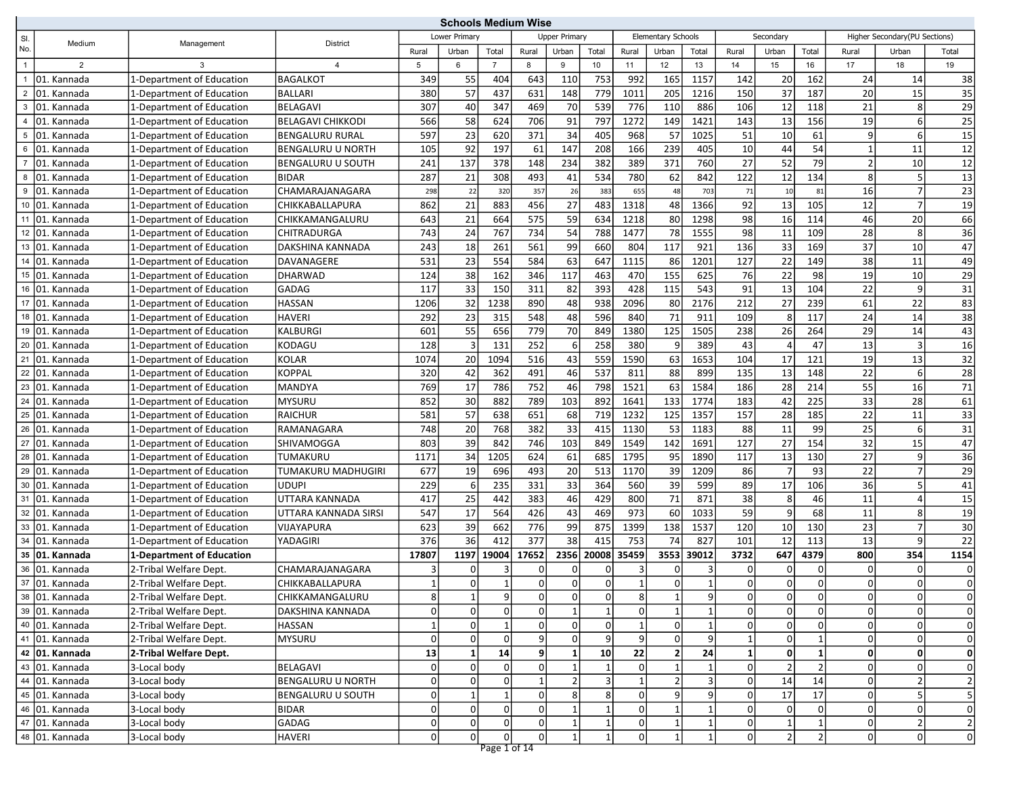|                |                             |                           |                          |                | <b>Schools Medium Wise</b> |                |                |                      |                 |                |                           |                 |             |                |                |                |                               |                         |
|----------------|-----------------------------|---------------------------|--------------------------|----------------|----------------------------|----------------|----------------|----------------------|-----------------|----------------|---------------------------|-----------------|-------------|----------------|----------------|----------------|-------------------------------|-------------------------|
| SI.            | Medium                      | Management                | District                 |                | Lower Primary              |                |                | <b>Upper Primary</b> |                 |                | <b>Elementary Schools</b> |                 |             | Secondary      |                |                | Higher Secondary(PU Sections) |                         |
| No.            |                             |                           |                          | Rural          | Urban                      | Total          | Rural          | Urban                | Total           | Rural          | Urban                     | Total           | Rural       | Urban          | Total          | Rural          | Urban                         | Total                   |
| $\mathbf{1}$   | $\overline{2}$              | 3                         | $\overline{4}$           | 5              | 6                          | $\overline{7}$ | 8              | 9                    | 10 <sup>1</sup> | 11             | 12                        | 13              | 14          | 15             | 16             | 17             | 18                            | 19                      |
| $\overline{1}$ | 01. Kannada                 | 1-Department of Education | <b>BAGALKOT</b>          | 349            | 55                         | 404            | 643            | 110                  | 753             | 992            | 165                       | 1157            | 142         | 20             | 162            | 24             | 14                            | 38                      |
|                | 2 01. Kannada               | 1-Department of Education | <b>BALLARI</b>           | 380            | 57                         | 437            | 631            | 148                  | 779             | 1011           | 205                       | 1216            | 150         | 37             | 187            | 20             | 15                            | 35                      |
| 3              | 01. Kannada                 | 1-Department of Education | <b>BELAGAVI</b>          | 307            | 40                         | 347            | 469            | 70                   | 539             | 776            | 110                       | 886             | 106         | 12             | 118            | 21             | 8                             | 29                      |
| $\overline{4}$ | 01. Kannada                 | 1-Department of Education | <b>BELAGAVI CHIKKODI</b> | 566            | 58                         | 624            | 706            | 91                   | 797             | 1272           | 149                       | 1421            | 143         | 13             | 156            | 19             | 6                             | 25                      |
|                | 5 01. Kannada               | 1-Department of Education | <b>BENGALURU RURAL</b>   | 597            | 23                         | 620            | 371            | 34                   | 405             | 968            | 57                        | 1025            | 51          | 10             | 61             | 9              | 6                             | $\overline{15}$         |
| 6              | 01. Kannada                 | 1-Department of Education | <b>BENGALURU U NORTH</b> | 105            | 92                         | 197            | 61             | 147                  | 208             | 166            | 239                       | 405             | 10          | 44             | 54             | $\mathbf{1}$   | 11                            | 12                      |
|                | 7 01. Kannada               | 1-Department of Education | <b>BENGALURU U SOUTH</b> | 241            | 137                        | 378            | 148            | 234                  | 382             | 389            | 371                       | 760             | 27          | 52             | 79             | $\overline{2}$ | 10                            | $\overline{12}$         |
|                | 8 01. Kannada               | 1-Department of Education | <b>BIDAR</b>             | 287            | 21                         | 308            | 493            | 41                   | 534             | 780            | 62                        | 842             | 122         | $12$           | 134            | 8 <sup>1</sup> | 5                             | $\overline{13}$         |
|                | 9 01. Kannada               | 1-Department of Education | CHAMARAJANAGARA          | 298            | 22                         | 320            | 357            | 26                   | 383             | 655            | 48                        | 703             | 71          | 10             | 81             | 16             | $\overline{7}$                | 23                      |
|                | 10 01. Kannada              | 1-Department of Education | CHIKKABALLAPURA          | 862            | 21                         | 883            | 456            | 27                   | 483             | 1318           | 48                        | 1366            | 92          | 13             | 105            | 12             | 7                             | 19                      |
|                | 11 01. Kannada              | 1-Department of Education | CHIKKAMANGALURU          | 643            | 21                         | 664            | 575            | 59                   | 634             | 1218           | 80                        | 1298            | 98          | 16             | 114            | 46             | 20                            | 66                      |
|                | 12 01. Kannada              | 1-Department of Education | CHITRADURGA              | 743            | 24                         | 767            | 734            | 54                   | 788             | 1477           | 78                        | 1555            | 98          | 11             | 109            | 28             | 8 <sup>1</sup>                | $\overline{36}$         |
|                | 13 01. Kannada              | 1-Department of Education | DAKSHINA KANNADA         | 243            | 18                         | 261            | 561            | 99                   | 660             | 804            | 117                       | 921             | 136         | 33             | 169            | 37             | 10                            | 47                      |
|                | 14 01. Kannada              | 1-Department of Education | DAVANAGERE               | 531            | 23                         | 554            | 584            | 63                   | 647             | 1115           | 86                        | 1201            | 127         | 22             | 149            | 38             | 11                            | 49                      |
|                | 15 01. Kannada              | 1-Department of Education | <b>DHARWAD</b>           | 124            | 38                         | 162            | 346            | 117                  | 463             | 470            | 155                       | 625             | 76          | 22             | 98             | 19             | 10                            | 29                      |
|                | 16 01. Kannada              | 1-Department of Education | <b>GADAG</b>             | 117            | 33                         | 150            | 311            | 82                   | 393             | 428            | 115                       | 543             | 91          | 13             | 104            | 22             | 9                             | $\overline{31}$         |
|                | 17 01. Kannada              | 1-Department of Education | <b>HASSAN</b>            | 1206           | 32                         | 1238           | 890            | 48                   | 938             | 2096           | 80                        | 2176            | 212         | 27             | 239            | 61             | 22                            | 83                      |
|                | 18 01. Kannada              | 1-Department of Education | <b>HAVERI</b>            | 292            | 23                         | 315            | 548            | 48                   | 596             | 840            | 71                        | 911             | 109         | 8              | 117            | 24             | 14                            | 38                      |
|                | 19 01. Kannada              | 1-Department of Education | <b>KALBURGI</b>          | 601            | 55                         | 656            | 779            | 70                   | 849             | 1380           | 125                       | 1505            | 238         | 26             | 264            | 29             | 14                            | $\overline{43}$         |
|                | 20 01. Kannada              | 1-Department of Education | KODAGU                   | 128            | $\overline{3}$             | 131            | 252            | 6                    | 258             | 380            | 9                         | 389             | 43          | $\overline{a}$ | 47             | 13             | 3                             | 16                      |
|                | $\overline{21}$ 01. Kannada | 1-Department of Education | <b>KOLAR</b>             | 1074           | 20                         | 1094           | 516            | 43                   | 559             | 1590           | 63                        | 1653            | 104         | 17             | 121            | 19             | 13                            | 32                      |
|                | $\overline{22}$ 01. Kannada | 1-Department of Education | KOPPAL                   | 320            | 42                         | 362            | 491            | 46                   | 537             | 811            | 88                        | 899             | 135         | 13             | 148            | 22             | 6                             | 28                      |
|                | 23 01. Kannada              | 1-Department of Education | MANDYA                   | 769            | 17                         | 786            | 752            | 46                   | 798             | 1521           | 63                        | 1584            | 186         | 28             | 214            | 55             | 16                            | $\overline{71}$         |
|                | 24 01. Kannada              | 1-Department of Education | <b>MYSURU</b>            | 852            | 30                         | 882            | 789            | 103                  | 892             | 1641           | 133                       | 1774            | 183         | 42             | 225            | 33             | 28                            | 61                      |
|                | 25 01. Kannada              | 1-Department of Education | <b>RAICHUR</b>           | 581            | 57                         | 638            | 651            | 68                   | 719             | 1232           | 125                       | 1357            | 157         | 28             | 185            | 22             | 11                            | 33                      |
|                | 26 01. Kannada              | 1-Department of Education | RAMANAGARA               | 748            | 20                         | 768            | 382            | 33                   | 415             | 1130           | 53                        | 1183            | 88          | 11             | 99             | 25             | 6                             | 31                      |
|                | $\overline{27}$ 01. Kannada | 1-Department of Education | SHIVAMOGGA               | 803            | 39                         | 842            | 746            | 103                  | 849             | 1549           | 142                       | 1691            | 127         | 27             | 154            | 32             | 15                            | 47                      |
|                | 28 01. Kannada              | 1-Department of Education | TUMAKURU                 | 1171           | 34                         | 1205           | 624            | 61                   | 685             | 1795           | 95                        | 1890            | 117         | 13             | 130            | 27             | 9                             | $\overline{36}$         |
|                | 29 01. Kannada              | 1-Department of Education | TUMAKURU MADHUGIRI       | 677            | 19                         | 696            | 493            | 20                   | 513             | 1170           | 39                        | 1209            | 86          | $\overline{7}$ | 93             | 22             | $\overline{7}$                | 29                      |
|                | 30 01. Kannada              | 1-Department of Education | <b>UDUPI</b>             | 229            | 6                          | 235            | 331            | 33                   | 364             | 560            | 39                        | 599             | 89          | 17             | 106            | 36             | 5                             | 41                      |
|                | 31 01. Kannada              | 1-Department of Education | UTTARA KANNADA           | 417            | 25                         | 442            | 383            | 46                   | 429             | 800            | 71                        | 871             | 38          | 8              | 46             | 11             | 4                             | 15                      |
|                | 32 01. Kannada              | 1-Department of Education | UTTARA KANNADA SIRSI     | 547            | 17                         | 564            | 426            | 43                   | 469             | 973            | 60                        | 1033            | 59          | 9              | 68             | 11             | 8 <sup>1</sup>                | 19                      |
|                | 33 01. Kannada              | 1-Department of Education | <b>VIJAYAPURA</b>        | 623            | 39                         | 662            | 776            | 99                   | 875             | 1399           | 138                       | 1537            | 120         | 10             | 130            | 23             | $\overline{7}$                | 30                      |
|                | 34 01. Kannada              | 1-Department of Education | YADAGIRI                 | 376            | 36                         | 412            | 377            | 38                   | 415             | 753            | 74                        | 827             | 101         | 12             | 113            | 13             | 9                             | 22                      |
|                | 35 01. Kannada              | 1-Department of Education |                          | 17807          | 1197                       | 19004          | 17652          | 2356                 | 20008           | 35459          | 3553                      | 39012           | 3732        | 647            | 4379           | 800            | 354                           | 1154                    |
|                | 36 01. Kannada              | 2-Tribal Welfare Dept.    | CHAMARAJANAGARA          | 3              | $\Omega$                   | 3              |                | O                    | $\Omega$        | 3              | 0                         |                 | 0           | $\mathbf 0$    | 0              | $\Omega$       | 0                             | $\mathbf 0$             |
|                | 37 01. Kannada              | 2-Tribal Welfare Dept.    | CHIKKABALLAPURA          | $\mathbf{1}$   | $\overline{0}$             | $\overline{1}$ | $\Omega$       | $\Omega$             | $\overline{0}$  |                | 0                         |                 | $\Omega$    | $\Omega$       | $\Omega$       | $\Omega$       |                               | $\Omega$                |
|                | 38 01. Kannada              | 2-Tribal Welfare Dept.    | CHIKKAMANGALURU          | 8 <sup>1</sup> | 1                          | $9 \mid$       | 0              | 0                    | 0               | 8              | $\vert$ 1                 | 9               | 0           | 0              | 0              | 0              | 0                             | $\mathbf{0}$            |
|                | 39 01. Kannada              | 2-Tribal Welfare Dept.    | DAKSHINA KANNADA         | $\Omega$       | $\overline{0}$             | $\mathbf 0$    | $\Omega$       |                      | $\mathbf{1}$    | $\Omega$       | $\mathbf{1}$              |                 | $\Omega$    | $\overline{0}$ |                | 0              | $\Omega$                      | $\mathbf 0$             |
|                | 40 01. Kannada              | 2-Tribal Welfare Dept.    | <b>HASSAN</b>            | $\vert$ 1      | $\overline{0}$             | $\mathbf{1}$   | $\overline{0}$ | 0                    | $\overline{0}$  |                | $\overline{0}$            |                 | $\Omega$    | $\overline{0}$ |                | $\Omega$       | 0                             | $\mathsf{O}$            |
|                | 41 01. Kannada              | 2-Tribal Welfare Dept.    | <b>MYSURU</b>            | 0              | $\overline{0}$             | $\mathbf 0$    |                |                      | $\overline{9}$  | 9              | $\mathbf 0$               | 9 <sub>l</sub>  |             | $\overline{0}$ |                | 0              | 0                             | $\mathsf{O}$            |
|                | 42 01. Kannada              | 2-Tribal Welfare Dept.    |                          | 13             | $\mathbf{1}$               | 14             | $\overline{9}$ |                      | $10$            | 22             | $\mathbf{2}$              | $\overline{24}$ |             | $\mathbf{0}$   |                | $\mathbf{0}$   | 0l                            | $\mathbf 0$             |
|                | 43 01. Kannada              | 3-Local body              | <b>BELAGAVI</b>          | 0              | $\pmb{0}$                  | $\mathbf 0$    | $\Omega$       |                      |                 | $\mathbf 0$    |                           |                 | $\mathbf 0$ | $\overline{2}$ |                | $\Omega$       | 0                             | $\mathbf 0$             |
|                | 44 01. Kannada              | 3-Local body              | <b>BENGALURU U NORTH</b> | $\Omega$       | $\overline{0}$             | $\mathbf 0$    |                | $\overline{2}$       | $\overline{3}$  |                | $\overline{2}$            | 3               | $\mathbf 0$ | 14             | 14             | $\overline{0}$ | $\overline{2}$                | $\mathbf 2$             |
|                | 45 01. Kannada              | 3-Local body              | <b>BENGALURU U SOUTH</b> | $\overline{0}$ | $\mathbf{1}$               | $\mathbf{1}$   | $\overline{0}$ | 8                    | $\bf 8$         | $\mathbf 0$    | 9                         | 9               | $\mathbf 0$ | 17             | 17             | $\Omega$       | 5 <sup>1</sup>                | $\overline{\mathbf{5}}$ |
|                | 46 01. Kannada              | 3-Local body              | <b>BIDAR</b>             | $\Omega$       | $\overline{0}$             | $\overline{0}$ | $\Omega$       |                      |                 | $\mathbf 0$    |                           |                 | 0           | $\mathbf{0}$   |                | $\Omega$       | 0                             | $\mathbf 0$             |
|                | 47 01. Kannada              | 3-Local body              | <b>GADAG</b>             | 0              | $\overline{0}$             | $\mathbf 0$    | $\Omega$       |                      |                 | 0              |                           |                 | 0           | $\vert$ 1      |                | 0              | 2                             | $\overline{2}$          |
|                | 48 01. Kannada              | 3-Local body              | <b>HAVERI</b>            | $\Omega$       | $\overline{0}$             | $\overline{0}$ | 0l             | $\mathbf{1}$         | $1\vert$        | $\overline{0}$ | $\mathbf{1}$              | $\mathbf{1}$    | $\mathbf 0$ | 2              | $\overline{2}$ | $\Omega$       | 0                             | $\mathsf{O}$            |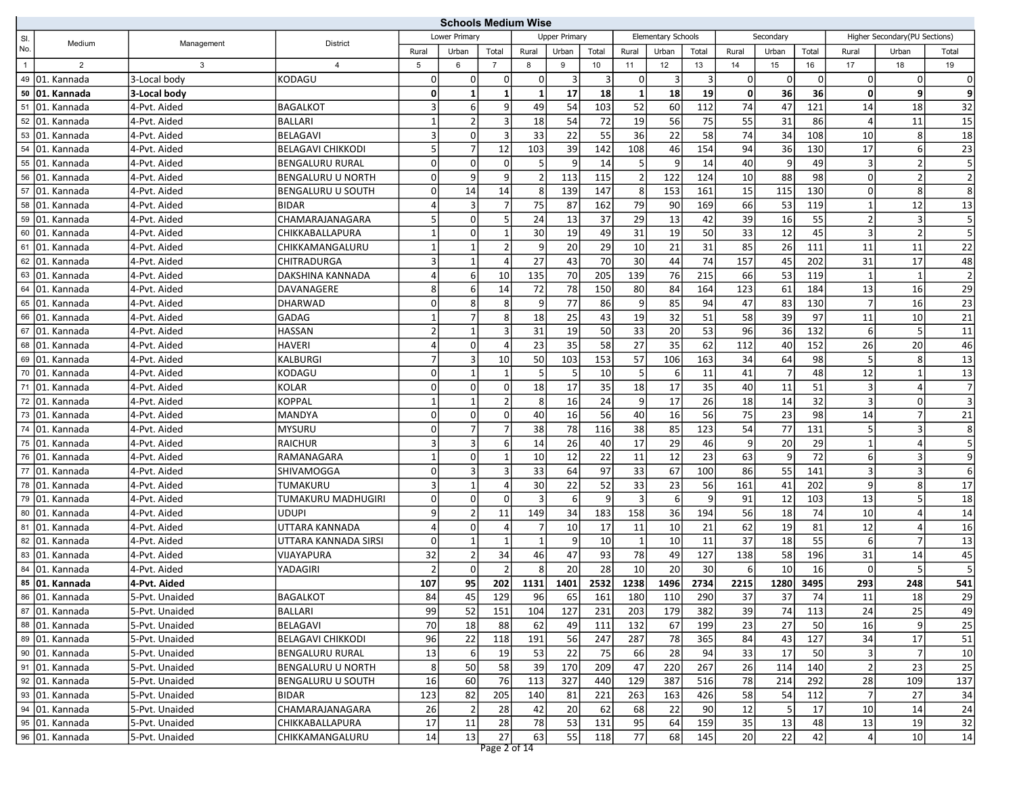|     |                             |                | <b>Schools Medium Wise</b> |                |                |                |          |                      |                 |                |                    |                |             |                |       |                         |                               |                         |
|-----|-----------------------------|----------------|----------------------------|----------------|----------------|----------------|----------|----------------------|-----------------|----------------|--------------------|----------------|-------------|----------------|-------|-------------------------|-------------------------------|-------------------------|
| SI. | Medium                      | Management     | District                   |                | Lower Primary  |                |          | <b>Upper Primary</b> |                 |                | Elementary Schools |                |             | Secondary      |       |                         | Higher Secondary(PU Sections) |                         |
| No. |                             |                |                            | Rural          | Urban          | Total          | Rural    | Urban                | Total           | Rural          | Urban              | Total          | Rural       | Urban          | Total | Rural                   | Urban                         | Total                   |
| 1   | $\overline{2}$              | 3              | 4                          | 5              | 6              | $\overline{7}$ | 8        | 9                    | 10              | 11             | 12                 | 13             | 14          | 15             | 16    | 17                      | 18                            | 19                      |
|     | 49 01. Kannada              | 3-Local body   | KODAGU                     | 0              | $\overline{0}$ | $\mathbf 0$    | $\Omega$ | $\vert$ 3            | $\vert$ 3       | 0              | $\vert$ 3          | 3 <sup>1</sup> | $\mathbf 0$ | $\mathbf 0$    | 0     | $\overline{0}$          | 0                             | $\mathbf 0$             |
|     | 50 01. Kannada              | 3-Local body   |                            | $\mathbf{0}$   | $\mathbf{1}$   | $\mathbf{1}$   |          | 17                   | 18              | $\mathbf{1}$   | 18                 | 19             | $\mathbf 0$ | 36             | 36    | 0                       | 9                             | 9                       |
|     | 51 01. Kannada              | 4-Pvt. Aided   | <b>BAGALKOT</b>            | $\overline{3}$ | 6              | 9              | 49       | 54                   | 103             | 52             | 60                 | 112            | 74          | 47             | 121   | 14                      | 18                            | 32                      |
|     | 52 01. Kannada              | 4-Pvt. Aided   | <b>BALLARI</b>             | $\mathbf{1}$   | $\overline{2}$ | $\overline{3}$ | 18       | 54                   | 72              | 19             | 56                 | 75             | 55          | 31             | 86    | 4                       | 11                            | 15                      |
|     | 53 01. Kannada              | 4-Pvt. Aided   | <b>BELAGAVI</b>            | $\overline{3}$ | $\overline{0}$ | 3              | 33       | 22                   | 55              | 36             | 22                 | 58             | 74          | 34             | 108   | 10                      | 8                             | 18                      |
|     | 54 01. Kannada              | 4-Pvt. Aided   | <b>BELAGAVI CHIKKODI</b>   | 5 <sup>1</sup> | $\overline{7}$ | 12             | 103      | 39                   | 142             | 108            | 46                 | 154            | 94          | 36             | 130   | 17                      | $6 \mid$                      | 23                      |
|     | 55 01. Kannada              | 4-Pvt. Aided   | <b>BENGALURU RURAL</b>     | 0              | $\overline{0}$ | $\mathbf 0$    |          | 9                    | 14              | 5              | 9                  | 14             | 40          | 9              | 49    | $\overline{3}$          | $\overline{2}$                | $\overline{\mathbf{5}}$ |
|     | 56 01. Kannada              | 4-Pvt. Aided   | <b>BENGALURU U NORTH</b>   | $\Omega$       | 9              | 9              |          | 113                  | 115             | $\overline{2}$ | 122                | 124            | 10          | 88             | 98    | $\Omega$                | $\overline{2}$                | $\overline{2}$          |
|     | 57 01. Kannada              | 4-Pvt. Aided   | <b>BENGALURU U SOUTH</b>   | 0              | 14             | 14             | 8        | 139                  | 147             | 8              | 153                | 161            | 15          | 115            | 130   | $\Omega$                | 8 <sup>1</sup>                | $\overline{8}$          |
|     | 58 01. Kannada              | 4-Pvt. Aided   | <b>BIDAR</b>               | $\overline{4}$ | $\vert$ 3      | $\overline{7}$ | 75       | 87                   | 162             | 79             | 90                 | 169            | 66          | 53             | 119   | $\mathbf{1}$            | 12                            | 13                      |
|     | 59 01. Kannada              | 4-Pvt. Aided   | CHAMARAJANAGARA            | 5 <sup>1</sup> | $\overline{0}$ | 5              | 24       | 13                   | 37              | 29             | 13                 | 42             | 39          | 16             | 55    | $\overline{2}$          | 3                             | 5                       |
|     | 60 01. Kannada              | 4-Pvt. Aided   | CHIKKABALLAPURA            | $\mathbf{1}$   | $\overline{0}$ | $\mathbf{1}$   | 30       | 19                   | 49              | 31             | 19                 | 50             | 33          | 12             | 45    | $\overline{3}$          | 2 <sup>1</sup>                |                         |
|     | 61 01. Kannada              | 4-Pvt. Aided   | CHIKKAMANGALURU            | $\mathbf{1}$   | $\mathbf{1}$   | $\overline{2}$ | 9        | 20                   | 29              | 10             | 21                 | 31             | 85          | 26             | 111   | 11                      | 11                            | 22                      |
|     | 62 01. Kannada              | 4-Pvt. Aided   | CHITRADURGA                | $\overline{3}$ | $\mathbf{1}$   | $\overline{a}$ | 27       | 43                   | 70              | 30             | 44                 | 74             | 157         | 45             | 202   | 31                      | 17                            | 48                      |
|     | 63 01. Kannada              | 4-Pvt. Aided   | DAKSHINA KANNADA           | $\vert$        | 6              | 10             | 135      | 70                   | 205             | 139            | 76                 | 215            | 66          | 53             | 119   | $\mathbf{1}$            | $\mathbf{1}$                  | $\overline{2}$          |
|     | 64 01. Kannada              | 4-Pvt. Aided   | DAVANAGERE                 | 8 <sup>1</sup> | $6 \mid$       | 14             | 72       | 78                   | 150             | 80             | 84                 | 164            | 123         | 61             | 184   | 13                      | 16                            | 29                      |
|     | 65 01. Kannada              | 4-Pvt. Aided   | DHARWAD                    | $\Omega$       | 8              | 8              | 9        | 77                   | 86              | 9              | 85                 | 94             | 47          | 83             | 130   | $\overline{7}$          | 16                            | 23                      |
|     | 66 01. Kannada              | 4-Pvt. Aided   | GADAG                      | $\mathbf{1}$   | $\overline{7}$ | 8              | 18       | 25                   | 43              | 19             | 32                 | 51             | 58          | 39             | 97    | 11                      | 10                            | 21                      |
|     | 67 01. Kannada              | 4-Pvt. Aided   | HASSAN                     | $\overline{2}$ | $\mathbf{1}$   | $\overline{3}$ | 31       | 19                   | 50              | 33             | 20                 | 53             | 96          | 36             | 132   | $6 \mid$                | 5                             | $\overline{11}$         |
|     | 68 01. Kannada              | 4-Pvt. Aided   | HAVERI                     | $\overline{4}$ | $\overline{0}$ | $\overline{a}$ | 23       | 35                   | 58              | 27             | 35                 | 62             | 112         | 40             | 152   | 26                      | 20                            | 46                      |
|     | 69 01. Kannada              | 4-Pvt. Aided   | KALBURGI                   | 7              | 3              | 10             | 50       | 103                  | 153             | 57             | 106                | 163            | 34          | 64             | 98    | 5                       | 8                             | 13                      |
|     | 70 01. Kannada              | 4-Pvt. Aided   | KODAGU                     | $\Omega$       | $\mathbf{1}$   | $\mathbf{1}$   |          | 5                    | 10              | 5              | 6                  | 11             | 41          | $\overline{7}$ | 48    | 12                      | $\mathbf{1}$                  | $\overline{13}$         |
|     | 71 01. Kannada              | 4-Pvt. Aided   | KOLAR                      | $\Omega$       | $\overline{0}$ | $\mathbf 0$    | 18       | 17                   | 35              | 18             | 17                 | 35             | 40          | 11             | 51    | $\overline{3}$          | $\vert$                       | $\overline{7}$          |
|     | 72 01. Kannada              | 4-Pvt. Aided   | KOPPAL                     | $\mathbf{1}$   | $\mathbf{1}$   | $\overline{2}$ | 8        | 16                   | 24              | 9              | 17                 | 26             | 18          | 14             | 32    | $\overline{3}$          | $\Omega$                      | $\overline{\mathbf{3}}$ |
|     | 73 01. Kannada              | 4-Pvt. Aided   | MANDYA                     | 0              | $\overline{0}$ | $\mathbf 0$    | 40       | 16                   | 56              | 40             | 16                 | 56             | 75          | 23             | 98    | 14                      | $\overline{7}$                | 21                      |
|     | $\overline{74}$ 01. Kannada | 4-Pvt. Aided   | <b>MYSURU</b>              | $\Omega$       | 7              | $\overline{7}$ | 38       | 78                   | 116             | 38             | 85                 | 123            | 54          | 77             | 131   | 5 <sup>1</sup>          | 3                             | 8                       |
|     | 75 01. Kannada              | 4-Pvt. Aided   | <b>RAICHUR</b>             | $\overline{3}$ | $\overline{3}$ | 6              | 14       | 26                   | 40              | 17             | 29                 | 46             | 9           | 20             | 29    | $\mathbf{1}$            | 4                             | 5                       |
|     | 76 01. Kannada              | 4-Pvt. Aided   | RAMANAGARA                 | $\mathbf{1}$   | $\overline{0}$ | $\mathbf{1}$   | 10       | 12                   | 22              | 11             | 12                 | 23             | 63          | 9              | 72    | $6 \mid$                | 3                             | $\overline{9}$          |
|     | 77 01. Kannada              | 4-Pvt. Aided   | SHIVAMOGGA                 | 0              | $\overline{3}$ | 3              | 33       | 64                   | 97              | 33             | 67                 | 100            | 86          | 55             | 141   | $\overline{\mathbf{3}}$ | 3                             | 6                       |
|     | 78 01. Kannada              | 4-Pvt. Aided   | TUMAKURU                   | $\overline{3}$ | $\overline{1}$ | $\overline{4}$ | 30       | 22                   | 52              | 33             | 23                 | 56             | 161         | 41             | 202   | $\overline{9}$          | 8 <sup>1</sup>                | 17                      |
|     | 79 01. Kannada              | 4-Pvt. Aided   | TUMAKURU MADHUGIRI         | $\Omega$       | $\Omega$       | $\mathbf 0$    |          | $6 \overline{6}$     | $\vert 9 \vert$ | $\overline{3}$ | $6 \mid$           | $\overline{9}$ | 91          | 12             | 103   | 13                      | 5                             | 18                      |
|     | 80 01. Kannada              | 4-Pvt. Aided   | UDUPI                      | 9 <sup>1</sup> | $\overline{2}$ | 11             | 149      | 34                   | 183             | 158            | 36                 | 194            | 56          | 18             | 74    | 10                      | 4                             | 14                      |
|     | 81 01. Kannada              | 4-Pvt. Aided   | UTTARA KANNADA             | $\overline{4}$ | $\overline{0}$ | $\overline{4}$ |          | 10                   | 17              | 11             | 10                 | 21             | 62          | 19             | 81    | 12                      | 4                             | 16                      |
|     | 82 01. Kannada              | 4-Pvt. Aided   | UTTARA KANNADA SIRSI       | 0              | $\mathbf{1}$   | $\mathbf{1}$   |          | 9                    | 10              | $\mathbf{1}$   | 10                 | 11             | 37          | 18             | 55    | $6 \mid$                | $\overline{7}$                | 13                      |
|     | 83 01. Kannada              | 4-Pvt. Aided   | VIJAYAPURA                 | 32             | $\overline{2}$ | 34             | 46       | 47                   | 93              | 78             | 49                 | 127            | 138         | 58             | 196   | 31                      | 14                            | 45                      |
|     | 84 01. Kannada              | 4-Pvt. Aided   | YADAGIRI                   | $\overline{2}$ | $\Omega$       | $\overline{2}$ | 8        | 20                   | 28              | 10             | 20                 | 30             | 6           | 10             | 16    | $\mathbf 0$             | 5                             | 5                       |
|     | 85 01. Kannada              | 4-Pvt. Aided   |                            | 107            | 95             | 202            | 1131     | 1401                 | 2532            | 1238           | 1496               | 2734           | 2215        | 1280           | 3495  | 293                     | 248                           | 541                     |
|     | 86 01. Kannada              | 5-Pvt. Unaided | <b>BAGALKOT</b>            | 84             | 45             | 129            | 96       | 65                   | 161             | 180            | 110                | 290            | 37          | 37             | 74    | 11                      | 18                            | 29                      |
|     | 87 01. Kannada              | 5-Pvt. Unaided | <b>BALLARI</b>             | 99             | 52             | 151            | 104      | 127                  | 231             | 203            | 179                | 382            | 39          | 74             | 113   | 24                      | 25                            | 49                      |
|     | 88 01. Kannada              | 5-Pvt. Unaided | <b>BELAGAVI</b>            | 70             | 18             | 88             | 62       | 49                   | 111             | 132            | 67                 | 199            | 23          | 27             | 50    | 16                      | 9                             | 25                      |
|     | 89 01. Kannada              | 5-Pvt. Unaided | <b>BELAGAVI CHIKKODI</b>   | 96             | 22             | 118            | 191      | 56                   | 247             | 287            | 78                 | 365            | 84          | 43             | 127   | 34                      | 17                            | 51                      |
|     | 90 01. Kannada              | 5-Pvt. Unaided | <b>BENGALURU RURAL</b>     | 13             | $6 \mid$       | 19             | 53       | 22                   | 75              | 66             | 28                 | 94             | 33          | 17             | 50    | 3 <sup>1</sup>          | 7                             | 10                      |
|     | 91 01. Kannada              | 5-Pvt. Unaided | BENGALURU U NORTH          | 8              | 50             | 58             | 39       | 170                  | 209             | 47             | 220                | 267            | 26          | 114            | 140   | $\overline{2}$          | 23                            | 25                      |
|     | $\overline{92}$ 01. Kannada | 5-Pvt. Unaided | BENGALURU U SOUTH          | 16             | 60             | 76             | 113      | 327                  | 440             | 129            | 387                | 516            | 78          | 214            | 292   | 28                      | 109                           | 137                     |
|     | 93 01. Kannada              | 5-Pvt. Unaided | <b>BIDAR</b>               | 123            | 82             | 205            | 140      | 81                   | 221             | 263            | 163                | 426            | 58          | 54             | 112   | $\overline{7}$          | 27                            | 34                      |
|     | 94 01. Kannada              | 5-Pvt. Unaided | CHAMARAJANAGARA            | 26             | 2              | 28             | 42       | 20                   | 62              | 68             | 22                 | 90             | 12          | 5              | 17    | 10                      | 14                            | 24                      |
|     | 95 01. Kannada              | 5-Pvt. Unaided | CHIKKABALLAPURA            | 17             | 11             | 28             | 78       | 53                   | 131             | 95             | 64                 | 159            | 35          | 13             | 48    | 13                      | 19                            | 32                      |
|     | 96 01. Kannada              | 5-Pvt. Unaided | CHIKKAMANGALURU            | 14             | 13             | 27             | 63       | 55                   | 118             | 77             | 68                 | 145            | 20          | 22             | 42    | $\vert$                 | 10                            | $14\,$                  |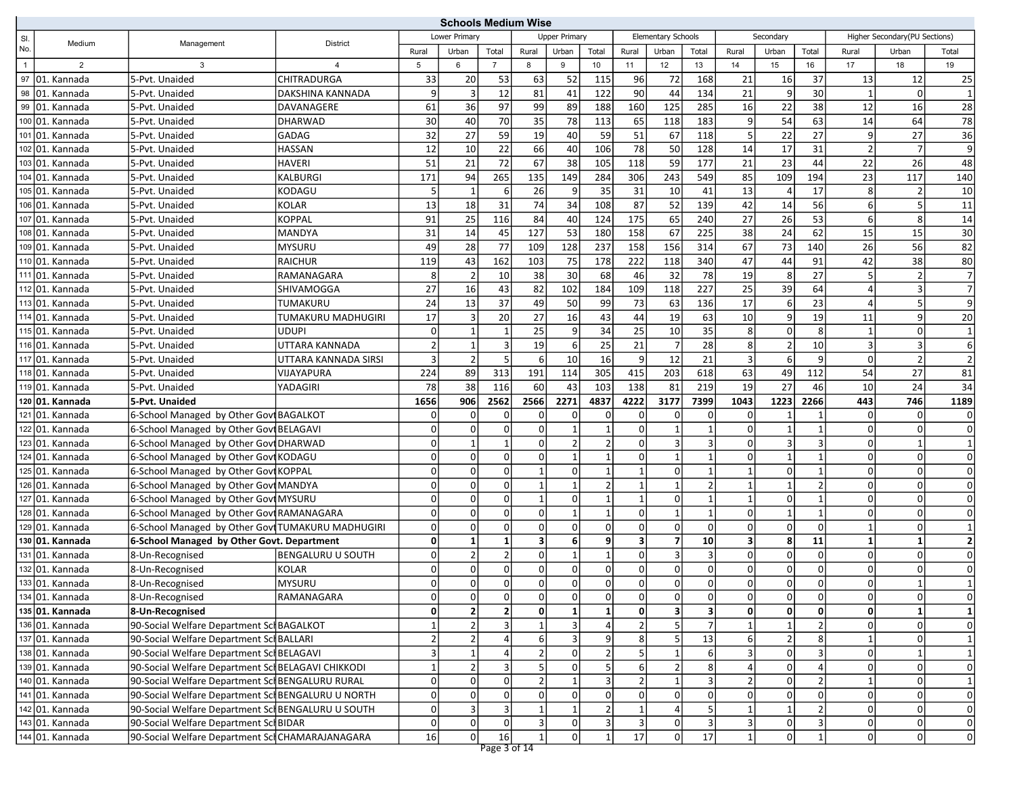|                |                                                 |                                                                                                        |                          |                                  | <b>Schools Medium Wise</b>       |                                        |          |                                |                                           |                         |                            |                         |              |                                  |                               |                                |                               |                              |
|----------------|-------------------------------------------------|--------------------------------------------------------------------------------------------------------|--------------------------|----------------------------------|----------------------------------|----------------------------------------|----------|--------------------------------|-------------------------------------------|-------------------------|----------------------------|-------------------------|--------------|----------------------------------|-------------------------------|--------------------------------|-------------------------------|------------------------------|
| SI.            | Medium                                          | Management                                                                                             | <b>District</b>          |                                  | Lower Priman                     |                                        |          | <b>Upper Primary</b>           |                                           |                         | Elementary Schools         |                         |              | Secondary                        |                               |                                | Higher Secondary(PU Sections) |                              |
| No.            |                                                 |                                                                                                        |                          | Rural                            | Urban                            | Total                                  | Rural    | Urban                          | Total                                     | Rural                   | Urban                      | Total                   | Rural        | Urban                            | Total                         | Rural                          | Urban                         | Total                        |
| $\overline{1}$ | 2                                               | 3                                                                                                      | 4                        | 5                                | 6                                | $\overline{7}$                         | 8        | 9                              | 10 <sup>1</sup>                           | 11                      | 12                         | 13                      | 14           | 15                               | 16                            | 17                             | 18                            | 19                           |
|                | 97 01. Kannada                                  | 5-Pvt. Unaided                                                                                         | CHITRADURGA              | 33                               | 20                               | 53                                     | 63       | 52                             | 115                                       | 96                      | 72                         | 168                     | 21           | 16                               | 37                            | 13                             | 12                            | 25                           |
| 98             | 01. Kannada                                     | 5-Pvt. Unaided                                                                                         | DAKSHINA KANNADA         | 9                                | $\overline{3}$                   | 12                                     | 81       | 41                             | 122                                       | 90                      | 44                         | 134                     | 21           | 9                                | 30                            | $\mathbf{1}$                   | 0l                            |                              |
| 99             | 01. Kannada                                     | 5-Pvt. Unaided                                                                                         | DAVANAGERE               | 61                               | 36                               | 97                                     | 99       | 89                             | 188                                       | 160                     | 125                        | 285                     | 16           | 22                               | 38                            | 12                             | 16                            | 28                           |
|                | 100 01. Kannada                                 | 5-Pvt. Unaided                                                                                         | <b>DHARWAD</b>           | 30                               | 40                               | 70                                     | 35       | 78                             | 113                                       | 65                      | 118                        | 183                     | 9            | 54                               | 63                            | 14                             | 64                            | 78                           |
|                | 101 01. Kannada                                 | 5-Pvt. Unaided                                                                                         | GADAG                    | 32                               | 27                               | 59                                     | 19       | 40                             | 59                                        | 51                      | 67                         | 118                     | 5            | 22                               | 27                            | 9                              | 27                            | 36                           |
|                | 102 01. Kannada                                 | 5-Pvt. Unaided                                                                                         | <b>HASSAN</b>            | 12                               | 10                               | 22                                     | 66       | 40                             | 106                                       | 78                      | 50                         | 128                     | 14           | 17                               | 31                            | $\overline{2}$                 | 7                             | 9                            |
|                | 103 01. Kannada                                 | 5-Pvt. Unaided                                                                                         | <b>HAVERI</b>            | 51                               | 21                               | 72                                     | 67       | 38                             | 105                                       | 118                     | 59                         | 177                     | 21           | 23                               | 44                            | 22                             | 26                            | 48                           |
|                | 104 01. Kannada                                 | 5-Pvt. Unaided                                                                                         | <b>KALBURGI</b>          | 171                              | 94                               | 265                                    | 135      | 149                            | 284                                       | 306                     | 243                        | 549                     | 85           | 109                              | 194                           | 23                             | 117                           | 140                          |
|                | 105 01. Kannada                                 | 5-Pvt. Unaided                                                                                         | KODAGU                   | 5 <sup>1</sup>                   | $\mathbf{1}$                     | 6                                      | 26       | 9                              | 35                                        | 31                      | 10                         | 41                      | 13           | 4                                | 17                            | 8 <sup>1</sup>                 | 2 <sup>1</sup>                | 10                           |
|                | 106 01. Kannada                                 | 5-Pvt. Unaided                                                                                         | <b>KOLAR</b>             | 13                               | 18                               | 31                                     | 74       | 34                             | 108                                       | 87                      | 52                         | 139                     | 42           | 14                               | 56                            | $6 \mid$                       | 5 <sup>1</sup>                | 11                           |
|                | $\overline{107}$ 01. Kannada                    | 5-Pvt. Unaided                                                                                         | KOPPAL                   | 91                               | 25                               | 116                                    | 84       | 40                             | 124                                       | 175                     | 65                         | 240                     | 27           | 26                               | 53                            | $6 \mid$                       | 8                             | 14                           |
|                | 108 01. Kannada                                 | 5--Pvt. Unaided                                                                                        | MANDYA                   | 31                               | 14                               | 45                                     | 127      | 53                             | 180                                       | 158                     | 67                         | 225                     | 38           | 24                               | 62                            | 15                             | 15                            | 30                           |
|                | 109 01. Kannada                                 | 5-Pvt. Unaided                                                                                         | <b>MYSURU</b>            | 49                               | 28                               | 77                                     | 109      | 128                            | 237                                       | 158                     | 156                        | 314                     | 67           | 73                               | 140                           | 26                             | 56                            | 82                           |
|                | 110 01. Kannada                                 | 5-Pvt. Unaided                                                                                         | <b>RAICHUR</b>           | 119                              | 43                               | 162                                    | 103      | 75                             | 178                                       | 222                     | 118                        | 340                     | 47           | 44                               | 91                            | 42                             | 38                            | 80                           |
|                | 111 01. Kannada                                 | 5-Pvt. Unaided                                                                                         | RAMANAGARA               | 8 <sup>1</sup>                   | $\overline{2}$                   | 10                                     | 38       | 30                             | 68                                        | 46                      | 32                         | 78                      | 19           | 8                                | 27                            | 5 <sub>l</sub>                 | 2                             | $\overline{7}$               |
|                | 112 01. Kannada                                 | 5-Pvt. Unaided                                                                                         | <b>SHIVAMOGGA</b>        | 27                               | 16                               | 43                                     | 82       | 102                            | 184                                       | 109                     | 118                        | 227                     | 25           | 39                               | 64                            | 4                              | 3 <sup>1</sup>                | $\overline{7}$               |
|                | 113 01. Kannada                                 | 5-Pvt. Unaided                                                                                         | TUMAKURU                 | 24                               | 13                               | 37                                     | 49       | 50                             | 99                                        | 73                      | 63                         | 136                     | 17           | 6                                | 23                            | $\overline{4}$                 | 5 <sup>1</sup>                | 9                            |
|                | 114 01. Kannada                                 | 5-Pvt. Unaided                                                                                         | TUMAKURU MADHUGIRI       | 17                               | $\vert$ 3                        | 20                                     | 27       | 16                             | 43                                        | 44                      | 19                         | 63                      | 10           | $\overline{9}$                   | 19                            | 11                             | او                            | 20                           |
|                | 115 01. Kannada                                 | 5-Pvt. Unaided                                                                                         | <b>UDUPI</b>             | $\Omega$                         |                                  | $\mathbf{1}$                           | 25       | 9                              | 34                                        | 25                      | 10                         | 35                      | 8            | $\mathbf 0$                      | 8                             | $\mathbf{1}$                   | οl                            |                              |
|                | 116 01. Kannada                                 | 5-Pvt. Unaided                                                                                         | UTTARA KANNADA           | $\overline{2}$                   | $\mathbf{1}$                     | $\overline{3}$                         | 19       | 6                              | 25                                        | 21                      | 7                          | 28                      | 8            | $\overline{2}$                   | 10                            | 3 <sup>1</sup>                 | $\overline{3}$                | 6                            |
|                | 117 01. Kannada                                 | 5-Pvt. Unaided                                                                                         | UTTARA KANNADA SIRSI     | 3                                | $\overline{2}$                   | 5                                      | 6        | 10                             | 16                                        | 9                       | 12                         | 21                      | 3            | 6                                | 9                             | $\overline{0}$                 | 2                             | $\overline{2}$               |
|                | $\overline{118}$ 01. Kannada                    | 5-Pvt. Unaided                                                                                         | VIJAYAPURA               | 224                              | 89                               | 313                                    | 191      | 114                            | 305                                       | 415                     | 203                        | 618                     | 63           | 49                               | 112                           | 54                             | 27                            | 81                           |
|                | 119 01. Kannada                                 | 5-Pvt. Unaided                                                                                         | YADAGIRI                 | 78                               | 38                               | 116                                    | 60       | 43                             | 103                                       | 138                     | 81                         | 219                     | 19           | 27                               | 46                            | 10                             | 24                            | 34                           |
|                | 120 01. Kannada                                 | 5-Pvt. Unaided                                                                                         |                          | 1656                             | 906                              | 2562                                   | 2566     | 2271                           | 4837                                      | 4222                    | 3177                       | 7399                    | 1043         | 1223                             | 2266                          | 443                            | 746                           | 1189                         |
|                | 121 01. Kannada                                 | 6-School Managed by Other Govt BAGALKOT                                                                |                          | 0                                | $\Omega$                         | $\mathbf 0$                            |          |                                | $\overline{0}$                            | $\Omega$                | 0                          | $\Omega$                |              |                                  |                               | <sup>0</sup>                   | $\Omega$                      | 0                            |
|                | 122 01. Kannada                                 | 6-School Managed by Other Govi BELAGAVI                                                                |                          | $\Omega$                         | $\overline{0}$                   | $\mathbf 0$                            | $\Omega$ | $\mathbf{1}$                   | $\mathbf{1}$                              | $\Omega$                | $\mathbf{1}$               |                         | $\Omega$     | $\overline{1}$                   | $\mathbf{1}$                  | $\overline{0}$                 | οI                            | $\mathbf 0$                  |
|                | 123 01. Kannada                                 | 6-School Managed by Other Govt DHARWAD                                                                 |                          | 0                                | $\mathbf{1}$                     | $\mathbf{1}$                           | U        | $\overline{2}$                 | $\overline{2}$                            | $\mathbf 0$             | 3                          | 3                       | $\Omega$     | 3                                | 3                             | $\overline{0}$                 | 1                             |                              |
|                | 124 01. Kannada                                 | 6-School Managed by Other Govi KODAGU                                                                  |                          | 0                                | $\overline{0}$                   | $\mathbf 0$                            | $\Omega$ | $\mathbf{1}$                   | $\mathbf{1}$                              | $\Omega$                | $1\vert$                   |                         | $\Omega$     | $\mathbf{1}$                     | $\mathbf{1}$                  | $\overline{0}$                 | οI                            | $\Omega$                     |
|                | 125 01. Kannada                                 | 6-School Managed by Other Govi KOPPAL                                                                  |                          | $\Omega$                         | $\overline{0}$                   | $\mathbf 0$                            |          | $\Omega$                       | 1                                         | $\mathbf{1}$            | $\Omega$                   |                         |              | $\mathbf 0$                      | 1                             | $\overline{0}$                 | 0                             | $\mathbf 0$                  |
|                | 126 01. Kannada                                 | 6-School Managed by Other Govt MANDYA                                                                  |                          | 0                                | $\Omega$                         | $\mathbf 0$                            |          | $\mathbf{1}$                   | $\overline{2}$                            | $\overline{1}$          | $1$ <sup>'</sup>           |                         |              | $\mathbf{1}$                     | $\overline{2}$                | 0                              | οl                            | $\Omega$                     |
|                | 127 01. Kannada                                 | 6-School Managed by Other Govt MYSURU                                                                  |                          | $\Omega$                         | $\Omega$                         | $\mathbf 0$                            |          | $\Omega$                       | 1                                         | $\overline{1}$          | $\overline{0}$             |                         |              | $\mathbf 0$                      | $\mathbf{1}$                  | $\overline{0}$                 | οl                            | $\Omega$                     |
|                | 128 01. Kannada                                 | 6-School Managed by Other GoviRAMANAGARA                                                               |                          | 0                                | $\overline{0}$                   | $\mathbf 0$                            | $\Omega$ | $\mathbf{1}$                   | 1                                         | $\mathbf 0$             | $\mathbf{1}$               |                         | $\Omega$     | $\mathbf{1}$                     | 1                             | $\overline{0}$                 | $\Omega$                      | $\Omega$                     |
|                | 129 01. Kannada                                 | 6-School Managed by Other Govi TUMAKURU MADHUGIRI                                                      |                          | $\Omega$                         | $\overline{0}$                   | $\mathbf 0$                            | $\Omega$ | $\Omega$                       | $\overline{0}$                            | $\mathbf 0$             | $\Omega$                   | $\overline{0}$          | $\Omega$     | $\overline{0}$                   | $\Omega$                      | $\mathbf{1}$                   | $\Omega$                      |                              |
|                | 130 01. Kannada                                 | 6-School Managed by Other Govt. Department                                                             |                          | 0                                | $\mathbf{1}$                     | $\mathbf{1}$                           | 3        | $6 \,$                         | 9                                         | $\overline{\mathbf{3}}$ | 7 <sup>1</sup>             | 10 <sup>1</sup>         | 3            | 8                                | 11                            | $1\overline{ }$                | $1\vert$                      | $\overline{2}$               |
|                | 131 01. Kannada                                 | 8-Un-Recognised                                                                                        | <b>BENGALURU U SOUTH</b> | 0                                | $\overline{2}$                   | $\overline{2}$                         | $\Omega$ | $\mathbf{1}$                   | 1                                         | $\mathbf 0$             | $\vert$ 3                  | 3                       | $\Omega$     | $\overline{0}$                   | 0                             | $\overline{0}$                 | οI                            | $\Omega$                     |
|                | 132 01. Kannada                                 | 8-Un-Recognised                                                                                        | KOLAR                    | 0                                | $\overline{0}$                   | $\mathbf 0$                            | $\Omega$ | 0                              | $\Omega$                                  | $\mathbf 0$             | $\overline{0}$             | 0                       | $\Omega$     | $\overline{0}$                   | $\Omega$                      | $\overline{0}$                 | οI                            | $\Omega$                     |
|                | 133 01. Kannada                                 | 8-Un-Recognised                                                                                        | MYSURU                   | 0                                | $\Omega$                         | $\mathbf 0$                            | $\Omega$ | 0                              | $\overline{0}$                            | $\Omega$                | 0                          | 0                       | 0            | $\Omega$                         | $\Omega$                      | 0                              |                               |                              |
|                | 134 01. Kannada                                 | 8-Un-Recognised                                                                                        | RAMANAGARA               | 0                                | 0                                | 0 <br>$\overline{2}$                   | 0        | 0                              | 0                                         | $\overline{0}$          | 0                          | 0                       | 0            | 0                                | 0                             | 0                              | 0                             | 0                            |
|                | 135 01. Kannada                                 | 8-Un-Recognised                                                                                        |                          | $\mathbf{0}$                     | $\mathbf{2}$                     |                                        | ٥I       | $\mathbf{1}$                   | $1\vert$                                  | $\mathbf{0}$            | $\vert$ 3                  | $\overline{\mathbf{3}}$ | $\mathbf{0}$ | $\mathbf{0}$                     | $\mathbf{0}$                  | $\mathbf{0}$                   | 1                             | $\mathbf{1}$                 |
|                | 136 01. Kannada                                 | 90-Social Welfare Department Scl BAGALKOT                                                              |                          | $\vert$ 1                        | $\overline{2}$                   | 3                                      |          | 3 <sup>1</sup>                 | 4                                         | $\overline{2}$          | $\overline{5}$             |                         |              | $\mathbf{1}$                     |                               | $\overline{0}$                 | 0                             | $\mathbf 0$                  |
|                | 137 01. Kannada                                 | 90-Social Welfare Department Sch BALLARI                                                               |                          | $\overline{2}$<br>$\overline{3}$ | $\overline{2}$                   |                                        | $6 \mid$ | 3<br>$\Omega$                  | $\overline{9}$<br>$\overline{2}$          | 8<br>5                  | 5 <sub>l</sub>             | 13                      | 6            | $\overline{2}$<br>$\overline{0}$ | 8<br>$\overline{3}$           | $\mathbf{1}$<br>$\Omega$       | οl<br>$1\vert$                | $\mathbf{1}$<br>$\mathbf{1}$ |
|                | 138 01. Kannada                                 | 90-Social Welfare Department Sci BELAGAVI                                                              |                          |                                  |                                  |                                        |          |                                |                                           |                         |                            |                         |              |                                  | $\overline{a}$                |                                |                               |                              |
|                | 139 01. Kannada<br>$\overline{140}$ 01. Kannada | 90-Social Welfare Department Scl BELAGAVI CHIKKODI<br>90-Social Welfare Department Scl BENGALURU RURAL |                          | $\vert$ 1<br>$\overline{0}$      | $\overline{2}$<br>$\overline{0}$ | $\overline{\mathbf{3}}$<br>$\mathbf 0$ |          | $\overline{0}$<br>$\mathbf{1}$ | 5 <sup>1</sup><br>$\overline{\mathbf{3}}$ | 6<br>$\overline{2}$     | $\overline{2}$<br>$1\vert$ | 8 <sup>1</sup><br>3     |              | $\overline{0}$<br>$\overline{0}$ |                               | $\overline{0}$<br>$\mathbf{1}$ | 0<br>οl                       | $\mathbf 0$<br>$\mathbf{1}$  |
|                | 141 01. Kannada                                 | 90-Social Welfare Department Scl BENGALURU U NORTH                                                     |                          | $\overline{0}$                   | $\mathbf{0}$                     | $\mathsf{O}\xspace$                    | Οl       | $\overline{0}$                 | $\overline{0}$                            | 0                       | $\Omega$                   | $\overline{0}$          | 0            | $\circ$                          | $\overline{2}$<br>$\mathbf 0$ | $\overline{0}$                 | 0                             | $\overline{0}$               |
|                | 142 01. Kannada                                 | 90-Social Welfare Department Scl BENGALURU U SOUTH                                                     |                          | $\overline{0}$                   | $\mathbf{3}$                     | $\overline{\mathbf{3}}$                |          | 1                              | $\mathbf{2}$                              | $\mathbf{1}$            | $\vert$                    |                         |              | $\mathbf{1}$                     | $\overline{2}$                | $\mathbf{0}$                   | 0                             | 0                            |
|                | 143 01. Kannada                                 | 90-Social Welfare Department Sci BIDAR                                                                 |                          | $\Omega$                         | $\overline{0}$                   | $\mathbf 0$                            |          | $\Omega$                       | $\vert$                                   | $\overline{3}$          | $\Omega$                   |                         |              | 0                                | 3                             | $\overline{0}$                 | 0                             | 0                            |
|                | 144 01. Kannada                                 | 90-Social Welfare Department SclCHAMARAJANAGARA                                                        |                          | 16                               | $\overline{0}$                   | 16                                     | 1        | $\Omega$                       | 1                                         | 17                      | $\overline{0}$             | 17                      | $\mathbf{1}$ | 0                                | $\mathbf{1}$                  | $\overline{0}$                 | 0                             | 0                            |
|                |                                                 |                                                                                                        |                          |                                  |                                  |                                        |          |                                |                                           |                         |                            |                         |              |                                  |                               |                                |                               |                              |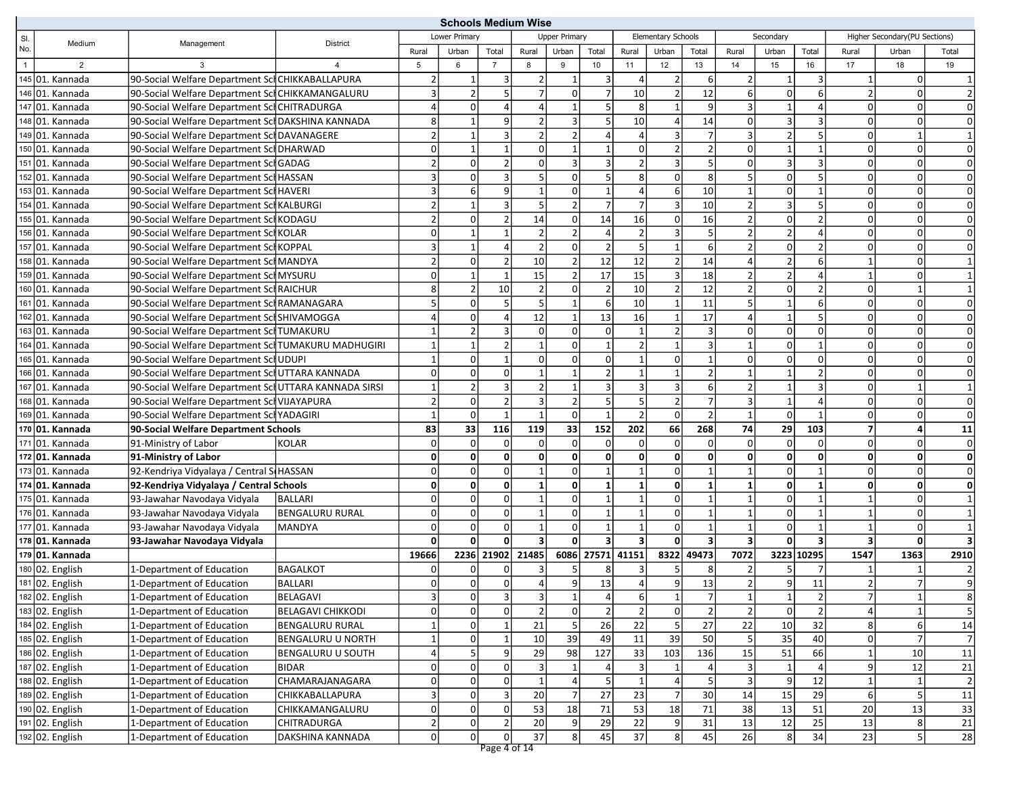|                |                           |                                                      |                          | <b>Schools Medium Wise</b> |                |                  |              |                      |                         |                         |                           |                |                |                |                |                         |                               |                         |
|----------------|---------------------------|------------------------------------------------------|--------------------------|----------------------------|----------------|------------------|--------------|----------------------|-------------------------|-------------------------|---------------------------|----------------|----------------|----------------|----------------|-------------------------|-------------------------------|-------------------------|
| SI.            | Medium                    | Management                                           | District                 |                            | Lower Primary  |                  |              | <b>Upper Primary</b> |                         |                         | <b>Elementary Schools</b> |                |                | Secondary      |                |                         | Higher Secondary(PU Sections) |                         |
| No.            |                           |                                                      |                          | Rural                      | Urban          | Total            | Rural        | Urban                | Total                   | Rural                   | Urban                     | Total          | Rural          | Urban          | Total          | Rural                   | Urban                         | Total                   |
| $\overline{1}$ | 2                         |                                                      |                          | 5                          | 6              | $\overline{7}$   | 8            | 9                    | 10 <sup>1</sup>         | 11                      | 12                        | 13             | 14             | 15             | 16             | 17                      | 18                            | 19                      |
|                | $145$ 01. Kannada         | 90-Social Welfare Department SclCHIKKABALLAPURA      |                          | $\overline{2}$             | 1              | 3                |              | 1                    | $\vert$ 3               | $\overline{4}$          | 2                         | 6              | 2              | $\mathbf 1$    | 3              | 1                       | $\overline{0}$                |                         |
|                | 146 01. Kannada           | 90-Social Welfare Department SclCHIKKAMANGALURU      |                          | 3                          | $\overline{2}$ | 5                |              | $\Omega$             | $\overline{7}$          | 10                      | $\overline{2}$            | 12             | 6              | $\Omega$       | 6              | $\overline{2}$          | $\Omega$                      |                         |
|                | $\sqrt{14701}$ . Kannada  | 90-Social Welfare Department SclCHITRADURGA          |                          | 4                          | $\overline{0}$ | $\overline{a}$   |              |                      | 5 <sup>1</sup>          | 8                       | $\mathbf{1}$              | 9              | 3              | $\mathbf{1}$   |                | $\Omega$                | 0                             |                         |
|                | 148 01. Kannada           | 90-Social Welfare Department Sci DAKSHINA KANNADA    |                          | 8 <sup>1</sup>             | $\mathbf{1}$   | 9                |              | 3                    | 5 <sup>1</sup>          | 10                      | $\overline{4}$            | 14             | $\Omega$       | $\overline{3}$ | $\overline{3}$ | $\Omega$                | 0                             | $\Omega$                |
|                | 149 01. Kannada           | 90-Social Welfare Department Scl DAVANAGERE          |                          | $\overline{2}$             | 1              | $\overline{3}$   |              | $\mathcal{P}$        | 4                       |                         | $\vert$ 3                 |                |                | $\overline{2}$ | .5             | 0                       | $\mathbf 1$                   |                         |
|                | 150 01. Kannada           | 90-Social Welfare Department Sci DHARWAD             |                          | $\Omega$                   | 1              | $\mathbf{1}$     | $\Omega$     | $\mathbf{1}$         | $\mathbf{1}$            | $\mathbf 0$             | $\overline{2}$            | $\overline{2}$ | $\Omega$       | $\mathbf{1}$   | $\mathbf 1$    | $\Omega$                | 0                             | $\Omega$                |
|                | 151 01. Kannada           | 90-Social Welfare Department SclGADAG                |                          | $\overline{a}$             | $\Omega$       | $\overline{2}$   | $\Omega$     | 3                    | $\overline{3}$          | $\overline{2}$          | $\overline{3}$            | 5              |                | $\overline{3}$ | 3              | 0                       | 0                             | $\Omega$                |
|                | 152 01. Kannada           | 90-Social Welfare Department Sch HASSAN              |                          | 3                          | $\Omega$       | $\overline{3}$   |              | $\Omega$             | 5 <sup>1</sup>          | 8                       | $\Omega$                  | 8              |                | $\Omega$       | 5              | $\Omega$                | $\Omega$                      | $\Omega$                |
|                | 153 01. Kannada           | 90-Social Welfare Department Sci HAVERI              |                          | 3                          | 6              | 9                | $\mathbf{1}$ | $\Omega$             | $1\vert$                | $\overline{4}$          | $6 \mid$                  | 10             |                | $\Omega$       | $\mathbf{1}$   | $\Omega$                | 0                             | $\Omega$                |
|                | 154 01. Kannada           | 90-Social Welfare Department Scl KALBURGI            |                          | $\overline{2}$             |                | 3                |              | $\overline{2}$       | $\overline{7}$          | 7                       | $\overline{3}$            | 10             |                | $\overline{3}$ | 5              | 0                       | 0                             | $\Omega$                |
|                | 155 01. Kannada           | 90-Social Welfare Department Scl KODAGU              |                          | $\overline{2}$             | $\Omega$       | $\overline{2}$   | 14           | $\Omega$             | 14                      | 16                      | $\Omega$                  | 16             |                | $\Omega$       | $\overline{2}$ | $\Omega$                | 0                             | $\Omega$                |
|                | 156 01. Kannada           | 90-Social Welfare Department SclKOLAR                |                          | $\Omega$                   | 1              | $\mathbf{1}$     |              | $\overline{2}$       | 4 <sup>1</sup>          | $\overline{2}$          | $\vert$ 3                 | 5              |                | $\overline{2}$ |                | $\Omega$                | 0                             | $\Omega$                |
|                | 157 01. Kannada           | 90-Social Welfare Department SchKOPPAL               |                          | 3                          | $\mathbf{1}$   | $\overline{4}$   |              | $\Omega$             | 2                       | 5                       | $\mathbf{1}$              | 6              |                | $\Omega$       |                | $\Omega$                | $\Omega$                      | $\Omega$                |
|                | 158 01. Kannada           | 90-Social Welfare Department Scl MANDYA              |                          | $\overline{2}$             | $\Omega$       | $\overline{2}$   | 10           | $\overline{2}$       | 12                      | 12                      | 2                         | 14             |                | 2 <sup>1</sup> | 6              | $\mathbf{1}$            | 0                             |                         |
|                | 159 01. Kannada           | 90-Social Welfare Department SchMYSURU               |                          | $\Omega$                   | $\mathbf{1}$   | $\mathbf{1}$     | 15           | $\overline{2}$       | 17                      | 15                      | $\overline{3}$            | 18             |                | 2              | $\Delta$       | $\mathbf{1}$            | 0                             |                         |
|                | 160 01. Kannada           | 90-Social Welfare Department Scl RAICHUR             |                          | 8                          | $\overline{2}$ | 10               |              | 0                    | $\overline{2}$          | 10                      | $\overline{2}$            | 12             |                | $\Omega$       | $\mathcal{P}$  | 0                       |                               |                         |
|                | 161 01. Kannada           | 90-Social Welfare Department Scl RAMANAGARA          |                          | 5 <sup>1</sup>             | $\overline{0}$ | 5                |              | $\mathbf{1}$         | $\sqrt{6}$              | 10                      | $\mathbf{1}$              | 11             |                | $1\vert$       | 6              | $\Omega$                | 0                             | $\Omega$                |
|                | 162 01. Kannada           | 90-Social Welfare Department SclSHIVAMOGGA           |                          | 4                          | $\overline{0}$ | $\overline{4}$   | 12           |                      | 13                      | 16                      |                           | 17             |                | $\mathbf{1}$   | 5              | $\Omega$                | $\mathbf 0$                   | $\Omega$                |
|                | 163 01. Kannada           | 90-Social Welfare Department Scl TUMAKURU            |                          |                            | $\mathfrak{p}$ | $\overline{3}$   |              | 0                    | $\overline{0}$          |                         | 2 <sup>1</sup>            | 3              |                | $\Omega$       | $\Omega$       | $\Omega$                | $\Omega$                      | $\Omega$                |
|                | 164 01. Kannada           | 90-Social Welfare Department SclTUMAKURU MADHUGIRI   |                          | 1                          | $\mathbf{1}$   | $\overline{2}$   |              | $\Omega$             | $1\vert$                | $\overline{2}$          | $\mathbf{1}$              | 3              |                | $\Omega$       | $\mathbf{1}$   | $\Omega$                | $\Omega$                      | $\Omega$                |
|                | 165 01. Kannada           | 90-Social Welfare Department SclUDUPI                |                          | $\mathbf{1}$               | $\Omega$       | $\overline{1}$   | n            | 0                    | $\overline{0}$          | $\overline{1}$          | $\Omega$                  | 1              |                | $\Omega$       | $\Omega$       | $\Omega$                | 0                             | $\Omega$                |
|                | 166 01. Kannada           | 90-Social Welfare Department Sci UTTARA KANNADA      |                          | $\Omega$                   | $\overline{0}$ | $\mathbf 0$      |              |                      | 2 <sup>1</sup>          | $\mathbf{1}$            |                           | $\mathcal{P}$  |                | $\mathbf{1}$   |                | $\Omega$                | 0                             | $\Omega$                |
|                | 167 01. Kannada           | 90-Social Welfare Department SclUTTARA KANNADA SIRSI |                          | $\mathbf{1}$               | $\overline{2}$ | $\overline{3}$   |              | 1                    | $\overline{3}$          | $\overline{3}$          | 3                         | 6              |                | $\mathbf{1}$   | 3              | $\Omega$                |                               |                         |
|                | 168 01. Kannada           | 90-Social Welfare Department SchVIJAYAPURA           |                          | $\overline{2}$             | $\overline{0}$ | $\overline{2}$   |              | $\overline{2}$       | 5 <sup>1</sup>          | 5                       | 2                         |                | 3              | $1\vert$       | $\overline{a}$ | $\Omega$                | $\Omega$                      | $\Omega$                |
|                | 169 01. Kannada           | 90-Social Welfare Department SclYADAGIRI             |                          | $\mathbf{1}$               | $\overline{0}$ | $\overline{1}$   | $\mathbf{1}$ | $\Omega$             | $\mathbf{1}$            | $\overline{2}$          | $\Omega$                  | $\mathfrak{p}$ | $\mathbf{1}$   | $\Omega$       | $\mathbf{1}$   | $\Omega$                | $\Omega$                      | $\Omega$                |
|                | 170 01. Kannada           | 90-Social Welfare Department Schools                 |                          | 83                         | 33             | 116              | 119          | 33                   | 152                     | 202                     | 66                        | 268            | 74             | 29             | 103            | $\overline{7}$          | 4                             | 11                      |
|                | $\boxed{171}$ 01. Kannada | 91-Ministry of Labor                                 | <b>KOLAR</b>             | 0                          | $\overline{0}$ | $\mathbf 0$      | $\Omega$     | $\mathbf 0$          | $\overline{0}$          | $\Omega$                | $\overline{0}$            | $\overline{0}$ | $\Omega$       | $\Omega$       | $\Omega$       | $\Omega$                | $\Omega$                      | $\Omega$                |
|                | 172 01. Kannada           | 91-Ministry of Labor                                 |                          | $\mathbf{0}$               | $\mathbf{0}$   | $\pmb{0}$        | 0            | $\mathbf{0}$         | $\mathbf{0}$            | 0                       | $\mathbf{0}$              | $\mathbf{0}$   | $\Omega$       | $\mathbf{0}$   | 0              | $\mathbf{0}$            | 0                             | $\Omega$                |
|                | 173 01. Kannada           | 92-Kendriya Vidyalaya / Central S(HASSAN             |                          | $\Omega$                   | $\overline{0}$ | $\mathbf 0$      |              | $\Omega$             | $\mathbf{1}$            | $\overline{1}$          | $\overline{0}$            |                |                | $\overline{0}$ |                | $\Omega$                | $\overline{0}$                | $\Omega$                |
|                | 174 01. Kannada           | 92-Kendriya Vidyalaya / Central Schools              |                          | 0                          | $\mathbf{0}$   | $\mathbf{0}$     |              | 0                    | 1                       | $\mathbf{1}$            | 0                         |                |                | $\mathbf{0}$   |                | 0                       | 0                             | 0                       |
|                | $175$ 01. Kannada         | 93-Jawahar Navodaya Vidyala                          | BALLARI                  | $\Omega$                   | $\overline{0}$ | $\overline{0}$   |              | $\Omega$             | $\mathbf{1}$            | $\mathbf{1}$            | $\overline{0}$            | 1              |                | $\Omega$       |                | $\mathbf{1}$            | $\Omega$                      |                         |
|                | $\boxed{176}$ 01. Kannada | 93-Jawahar Navodaya Vidyala                          | <b>BENGALURU RURAL</b>   | $\Omega$                   | $\overline{0}$ | $\mathbf 0$      |              | $\mathbf 0$          | $\mathbf{1}$            | $\overline{1}$          | $\overline{0}$            | $\mathbf 1$    |                | $\Omega$       |                | $\mathbf{1}$            | 0                             |                         |
|                | 177 01. Kannada           | 93-Jawahar Navodaya Vidyala                          | MANDYA                   | $\Omega$                   | $\overline{0}$ | $\pmb{0}$        |              | $\Omega$             | $\mathbf{1}$            | $\mathbf{1}$            | $\Omega$                  | $\mathbf 1$    |                | $\Omega$       | $\mathbf 1$    | $\mathbf{1}$            | $\Omega$                      |                         |
|                | 178 01. Kannada           | 93-Jawahar Navodaya Vidyala                          |                          | $\mathbf{0}$               | $\mathbf{0}$   | $\mathbf{0}$     |              | $\Omega$             | $\overline{\mathbf{3}}$ | $\overline{\mathbf{3}}$ | 0                         |                | 3              | 0              | 3              | $\overline{\mathbf{3}}$ | 0                             |                         |
|                | 179 01. Kannada           |                                                      |                          | 19666                      |                | 2236 21902       | 21485        | 6086                 | 27571 41151             |                         |                           | 8322 49473     | 7072           |                | 3223 10295     | 1547                    | 1363                          | 2910                    |
|                | 180 02. English           | 1-Department of Education                            | <b>BAGALKOT</b>          | 0                          | $\overline{0}$ | 0                |              | 5                    | 8                       | 3                       | 5                         | 8              |                | 5              |                |                         |                               |                         |
|                | 181 02. English           | 1-Department of Education                            | <b>BALLARI</b>           | ŋ                          | $\overline{0}$ | $\overline{0}$   |              | 9 <sup>1</sup>       | 13                      | 4                       | 9 <sub>l</sub>            | 13             |                | 9 <sub>l</sub> | 11             |                         |                               |                         |
|                | 182 02. English           | 1-Department of Education                            | BELAGAVI                 | $\vert$ 3                  | 0              | $\mathbf{3}$     | 3            | $\mathbf{1}$         | 4                       | $6 \mid$                | 1                         | $\overline{7}$ | $\mathbf{1}$   | 1              | 2              | 7                       | 11                            | 8                       |
|                | 183 02. English           | 1-Department of Education                            | <b>BELAGAVI CHIKKODI</b> | $\overline{0}$             | 0              | $\mathsf{o}$     | 2            | $\mathbf 0$          | $\overline{2}$          | $\overline{2}$          | $\overline{0}$            | $\overline{2}$ | $\overline{2}$ | $\mathbf 0$    | $\overline{2}$ | 4                       | $\mathbf{1}$                  | $\overline{\mathbf{5}}$ |
|                | 184 02. English           | 1-Department of Education                            | <b>BENGALURU RURAL</b>   |                            | $\overline{0}$ | $\mathbf{1}$     | 21           |                      | 26                      | 22                      | 5 <sub>l</sub>            | 27             | 22             | 10             | 32             | 8                       | 6 <sup>1</sup>                | 14                      |
|                | 185 02. English           | 1-Department of Education                            | BENGALURU U NORTH        | $\mathbf{1}$               | $\overline{0}$ | $\mathbf{1}$     | 10           | 39                   | 49                      | 11                      | 39                        | 50             |                | 35             | 40             | 0                       | $\overline{7}$                | $\overline{7}$          |
|                | 186 02. English           | 1-Department of Education                            | <b>BENGALURU U SOUTH</b> | $\vert 4 \vert$            | 5              | $\boldsymbol{9}$ | 29           | 98                   | 127                     | 33                      | 103                       | 136            | 15             | 51             | 66             | $\mathbf{1}$            | 10                            | 11                      |
|                | 187 02. English           | 1-Department of Education                            | <b>BIDAR</b>             | 0                          | $\overline{0}$ | $\pmb{0}$        | 3            | 1                    | 4                       | 3                       | 1                         |                | 3              | $\mathbf{1}$   | $\overline{a}$ | $\overline{9}$          | 12                            | 21                      |
|                | 188 02. English           | 1-Department of Education                            | CHAMARAJANAGARA          | 0                          | $\overline{0}$ | $\mathbf 0$      |              | 4                    | 5 <sup>1</sup>          |                         | $\vert$                   |                | 3              | $9\,$          | 12             | 1                       | 1                             | $\overline{2}$          |
|                | 189 02. English           | 1-Department of Education                            | <b>CHIKKABALLAPURA</b>   | $\overline{\mathbf{3}}$    | $\overline{0}$ | 3                | 20           | 7                    | 27                      | 23                      | 7                         | 30             | 14             | 15             | 29             | $6 \mid$                | 5 <sup>1</sup>                | 11                      |
|                | 190 02. English           | 1-Department of Education                            | CHIKKAMANGALURU          | $\overline{0}$             | $\overline{0}$ | $\pmb{0}$        | 53           | 18                   | 71                      | 53                      | 18                        | 71             | 38             | $13$           | 51             | 20                      | 13                            | 33                      |
|                | 191 02. English           | 1-Department of Education                            | <b>CHITRADURGA</b>       | $\overline{2}$             | $\overline{0}$ | $\sqrt{2}$       | 20           | 9                    | 29                      | 22                      | 9                         | 31             | 13             | 12             | 25             | 13                      | 8                             | 21                      |
|                | 192 02. English           | 1-Department of Education                            | DAKSHINA KANNADA         | $\overline{0}$             | οl             | $\overline{0}$   | 37           | 8                    | 45                      | 37                      | 8 <sup>1</sup>            | 45             | 26             | 8 <sup>1</sup> | 34             | 23                      | 5 <sup>1</sup>                | ${\bf 28}$              |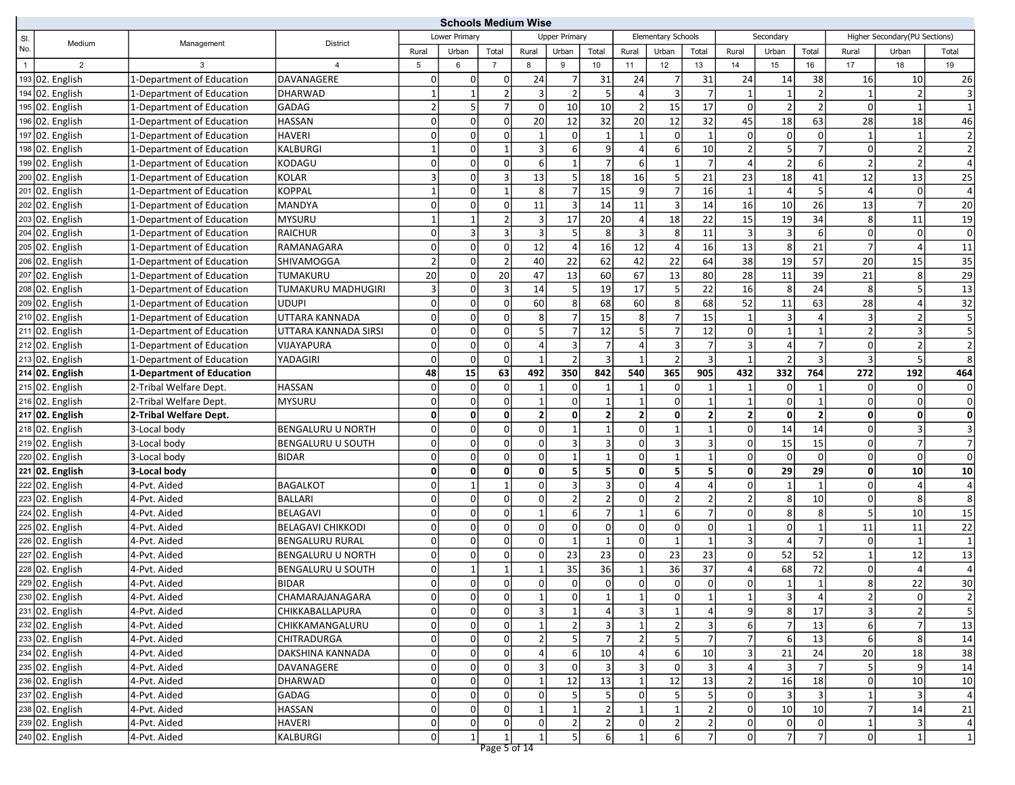|                |                 |                           |                           | <b>Schools Medium Wise</b> |                |                     |                |                         |                |                         |                           |                 |                |                         |                 |                 |                                |                         |
|----------------|-----------------|---------------------------|---------------------------|----------------------------|----------------|---------------------|----------------|-------------------------|----------------|-------------------------|---------------------------|-----------------|----------------|-------------------------|-----------------|-----------------|--------------------------------|-------------------------|
| SI.            | Medium          | Management                | <b>District</b>           |                            | Lower Primarv  |                     |                | <b>Upper Primary</b>    |                |                         | <b>Elementary Schools</b> |                 |                | Secondary               |                 |                 | Higher Secondary (PU Sections) |                         |
| No.            |                 |                           |                           | Rural                      | Urban          | Total               | Rural          | Urban                   | Total          | Rural                   | Urban                     | Total           | Rural          | Urban                   | Total           | Rural           | Urban                          | Total                   |
| $\overline{1}$ | $\overline{2}$  | 3                         | 4                         | 5                          | 6              | $\overline{7}$      | 8              | 9                       | 10             | 11                      | 12                        | 13              | 14             | 15                      | 16              | 17              | 18                             | 19                      |
|                | 193 02. English | 1-Department of Education | DAVANAGERE                | $\overline{0}$             | $\overline{0}$ | 0                   | 24             | 7                       | 31             | 24                      | $\overline{7}$            | 31              | 24             | 14                      | 38              | 16              | 10 <sup>1</sup>                | 26                      |
|                | 194 02. English | 1-Department of Education | <b>DHARWAD</b>            | $1\vert$                   |                | $\overline{2}$      |                | $\overline{2}$          | 5              | $\Delta$                | $\overline{3}$            |                 |                | $\mathbf{1}$            | $\overline{2}$  | $\mathbf{1}$    | $\overline{2}$                 | $\overline{3}$          |
|                | 195 02. English | 1-Department of Education | GADAG                     | $\overline{2}$             | 5 <sup>1</sup> | $\overline{7}$      | $\Omega$       | 10                      | 10             | $\overline{2}$          | 15                        | 17              | $\Omega$       | $\overline{2}$          | $\overline{2}$  | $\overline{0}$  |                                | $\mathbf{1}$            |
|                | 196 02. English | 1-Department of Education | <b>HASSAN</b>             | $\Omega$                   | $\overline{0}$ | $\mathbf 0$         | 20             | 12                      | 32             | 20                      | 12                        | 32              | 45             | 18                      | 63              | 28              | 18                             | 46                      |
|                | 197 02. English | 1-Department of Education | <b>HAVERI</b>             | $\Omega$                   | $\overline{0}$ | 0                   |                | $\overline{0}$          | $\mathbf 1$    | $\mathbf{1}$            | $\Omega$                  | $\mathbf{1}$    | 0              | $\overline{0}$          | $\Omega$        | 1               | 1                              | $\overline{2}$          |
|                | 198 02. English | 1-Department of Education | KALBURGI                  | 1                          | $\overline{0}$ | 1                   |                | $6 \mid$                | 9 <sub>l</sub> | $\overline{4}$          | $6 \mid$                  | 10 <sup>1</sup> | $\overline{2}$ | $\overline{\mathbf{5}}$ | 7               | $\overline{0}$  | $\overline{2}$                 | $\overline{2}$          |
|                | 199 02. English | 1-Department of Education | KODAGU                    | $\Omega$                   | $\Omega$       | 0                   | 6              | $\mathbf{1}$            | $\overline{7}$ | 6                       |                           |                 |                | 2                       | 6               | $\overline{2}$  | $\overline{2}$                 | $\overline{a}$          |
|                | 200 02. English | 1-Department of Education | <b>KOLAR</b>              | $\overline{\mathbf{3}}$    | 0              | $\overline{3}$      | 13             | $\overline{5}$          | 18             | 16                      | 5                         | 21              | 23             | 18                      | 41              | 12              | 13                             | 25                      |
|                | 201 02. English | 1-Department of Education | <b>KOPPAL</b>             | $1\vert$                   | $\Omega$       | 1                   | 8              | $\overline{7}$          | 15             | 9                       | $\overline{7}$            | 16              | $\mathbf 1$    | $\overline{4}$          | 5               | $\overline{4}$  | 0                              | $\overline{4}$          |
|                | 202 02. English | 1-Department of Education | <b>MANDYA</b>             | $\Omega$                   | $\overline{0}$ | 0                   | 11             | 3                       | 14             | 11                      | $\overline{3}$            | 14              | 16             | 10                      | 26              | 13              | $\overline{7}$                 | 20                      |
|                | 203 02. English | 1-Department of Education | <b>MYSURU</b>             | 1                          | $\mathbf{1}$   | $\overline{2}$      |                | 17                      | 20             | $\overline{4}$          | 18                        | 22              | 15             | 19                      | 34              | 8 <sup>1</sup>  | 11                             | 19                      |
|                | 204 02. English | 1-Department of Education | <b>RAICHUR</b>            | $\Omega$                   | 3              | 3                   |                | 5 <sup>1</sup>          | 8              | 3                       | 8                         | 11              | 3              | $\overline{3}$          | 6               | $\overline{0}$  | 0                              | $\mathbf 0$             |
|                | 205 02. English | 1-Department of Education | RAMANAGARA                | $\Omega$                   | $\Omega$       | $\mathbf 0$         | 12             | $\overline{4}$          | 16             | $\overline{12}$         |                           | 16              | 13             | 8                       | 21              | $\overline{7}$  | 4                              | 11                      |
|                | 206 02. English | 1-Department of Education | SHIVAMOGGA                | $\overline{2}$             | $\Omega$       | $\overline{2}$      | 40             | 22                      | 62             | 42                      | 22                        | 64              | 38             | 19                      | 57              | 20              | 15                             | 35                      |
|                | 207 02. English | 1-Department of Education | TUMAKURU                  | 20                         | $\overline{0}$ | 20                  | 47             | 13                      | 60             | 67                      | 13                        | 80              | 28             | 11                      | 39              | 21              | 8                              | 29                      |
|                | 208 02. English | 1-Department of Education | <b>TUMAKURU MADHUGIRI</b> | $\vert$ 3                  | $\overline{0}$ | 3                   | 14             | 5 <sup>1</sup>          | 19             | 17                      | 5                         | 22              | 16             | 8                       | 24              | 8               | 5                              | $\overline{13}$         |
|                | 209 02. English | 1-Department of Education | <b>UDUPI</b>              | 0                          | $\overline{0}$ | $\mathbf 0$         | 60             | 8 <sup>1</sup>          | 68             | 60                      | 8 <sup>1</sup>            | 68              | 52             | 11                      | 63              | 28              | $\vert$                        | 32                      |
|                | 210 02. English | 1-Department of Education | UTTARA KANNADA            | 0                          | $\Omega$       | 0                   | 8              | $\overline{7}$          | 15             | 8                       | $\overline{7}$            | 15              | $\mathbf 1$    | 3                       | 4               | 3               | $\overline{2}$                 | $\overline{\mathbf{5}}$ |
|                | 211 02. English | 1-Department of Education | UTTARA KANNADA SIRSI      | $\Omega$                   | $\Omega$       | 0                   |                | $\overline{7}$          | 12             |                         |                           | 12              | $\Omega$       | $\mathbf{1}$            |                 | $\overline{2}$  | 3                              | 5                       |
|                | 212 02. English | 1-Department of Education | <b>VIJAYAPURA</b>         | $\Omega$                   | $\overline{0}$ | $\mathbf 0$         | $\Delta$       | $\overline{3}$          | $\overline{7}$ | $\overline{4}$          | $\overline{3}$            | $\overline{7}$  | 3              | $\overline{4}$          | $\overline{7}$  | $\overline{0}$  | $\overline{2}$                 | $\overline{2}$          |
|                | 213 02. English | 1-Department of Education | YADAGIRI                  | $\Omega$                   | $\overline{0}$ | $\mathbf 0$         |                | $\overline{2}$          | 3              | $\mathbf{1}$            | $\overline{2}$            | $\overline{3}$  |                | $\overline{2}$          | 3               | $\overline{3}$  | 5                              | 8                       |
|                | 214 02. English | 1-Department of Education |                           | 48                         | 15             | 63                  | 492            | 350                     | 842            | 540                     | 365                       | 905             | 432            | 332                     | 764             | 272             | 192                            | 464                     |
|                | 215 02. English | 2-Tribal Welfare Dept.    | <b>HASSAN</b>             | 0                          | $\overline{0}$ | 0                   |                | $\overline{0}$          |                | $\mathbf{1}$            | $\Omega$                  |                 |                | $\overline{0}$          | $\mathbf 1$     | <sup>0</sup>    | 0                              | $\mathbf 0$             |
|                | 216 02. English | 2-Tribal Welfare Dept.    | <b>MYSURU</b>             | $\Omega$                   | $\Omega$       | $\mathbf 0$         |                | $\Omega$                |                | $\mathbf{1}$            | $\Omega$                  |                 |                | $\overline{0}$          |                 | $\overline{0}$  | $\mathbf 0$                    | $\mathbf 0$             |
|                | 217 02. English | 2-Tribal Welfare Dept.    |                           | 0                          | $\mathbf{0}$   | $\mathbf{0}$        | $\overline{2}$ | $\mathbf{0}$            | $\overline{2}$ | $\overline{\mathbf{2}}$ | $\mathbf{0}$              | 2               | $\overline{2}$ | $\mathbf{0}$            | $\overline{2}$  | 0               | $\mathbf{0}$                   | $\mathbf 0$             |
|                | 218 02. English | 3-Local body              | <b>BENGALURU U NORTH</b>  | $\Omega$                   | 0              | $\mathbf 0$         | $\Omega$       |                         | $\mathbf{1}$   | $\mathbf 0$             |                           | 1               | $\Omega$       | 14                      | 14              | $\overline{0}$  | 3                              | 3                       |
|                | 219 02. English | 3-Local body              | BENGALURU U SOUTH         | $\Omega$                   | $\overline{0}$ | 0                   | $\Omega$       | $\overline{\mathbf{3}}$ | 3              | $\mathbf 0$             | 3                         | 3               | 0              | 15                      | 15              | <sup>0</sup>    | $\overline{7}$                 | $\overline{7}$          |
|                | 220 02. English | 3-Local body              | <b>BIDAR</b>              | $\overline{0}$             | $\overline{0}$ | $\mathbf 0$         | n              |                         | 1              | $\mathbf 0$             | 1                         |                 | 0              | $\mathbf 0$             | $\Omega$        | $\overline{0}$  | 0                              | $\mathsf{O}$            |
|                | 221 02. English | 3-Local body              |                           | 0                          | $\mathbf{0}$   | $\mathbf 0$         | $\mathbf{0}$   | 5 <sup>1</sup>          | 5              | $\mathbf 0$             | 5 <sup>1</sup>            | 5               | 0              | 29                      | 29              | $\mathbf{0}$    | 10 <sup>1</sup>                | 10                      |
|                | 222 02. English | 4-Pvt. Aided              | <b>BAGALKOT</b>           | $\overline{0}$             |                | $\mathbf{1}$        | $\Omega$       | 3                       | 3              | $\mathbf 0$             |                           |                 | $\Omega$       | $\mathbf{1}$            |                 | $\overline{0}$  | 4                              | $\overline{4}$          |
|                | 223 02. English | 4-Pvt. Aided              | <b>BALLARI</b>            | $\overline{0}$             | $\overline{0}$ | $\mathbf 0$         | $\Omega$       | 2 <sup>1</sup>          | 2              | $\mathbf 0$             | $\overline{2}$            |                 | $\overline{2}$ | 8                       | 10              | $\overline{0}$  | 8                              | 8                       |
|                | 224 02. English | 4-Pvt. Aided              | <b>BELAGAVI</b>           | $\Omega$                   | $\overline{0}$ | 0                   |                | $6 \mid$                | $\overline{7}$ | $\overline{1}$          | $6 \mid$                  | 7               | $\Omega$       | 8 <sup>1</sup>          | 8               | 5               | 10                             | 15                      |
|                | 225 02. English | 4-Pvt. Aided              | <b>BELAGAVI CHIKKODI</b>  | $\Omega$                   | $\overline{0}$ | 0                   | $\Omega$       | $\Omega$                | $\overline{0}$ | $\mathbf 0$             | $\Omega$                  | $\Omega$        |                | $\Omega$                | $\mathbf{1}$    | 11              | 11                             | 22                      |
|                | 226 02. English | 4-Pvt. Aided              | <b>BENGALURU RURAL</b>    | $\Omega$                   | $\Omega$       | 0                   | $\Omega$       | $\vert$ 1               | 1              | $\mathbf 0$             | $\mathbf{1}$              | $\mathbf 1$     | 3              | $\overline{4}$          | 7               | <sup>0</sup>    | 1                              | $\overline{1}$          |
|                | 227 02. English | 4-Pvt. Aided              | <b>BENGALURU U NORTH</b>  | $\overline{0}$             | $\Omega$       | 0                   |                | $\overline{23}$         | 23             | $\mathbf 0$             | 23                        | 23              | $\Omega$       | 52                      | 52              | $\mathbf{1}$    | $\overline{12}$                | 13                      |
|                | 228 02. English | 4-Pvt. Aided              | <b>BENGALURU U SOUTH</b>  | $\Omega$                   | $\mathbf{1}$   | $\mathbf{1}$        |                | 35                      | 36             | $\overline{1}$          | 36                        | 37              | $\Delta$       | 68                      | 72              | $\overline{0}$  | 4                              | $\overline{4}$          |
|                | 229 02. English | 4-Pvt. Aided              | <b>BIDAR</b>              | οI                         | $\Omega$       | $\Omega$            |                | $\Omega$                | $\Omega$       | $\Omega$                | $\Omega$                  | $\Omega$        | $\Omega$       | $\mathbf{1}$            |                 | 8               | 22                             | 30                      |
|                | 230 02. English | 4-Pvt. Aided              | CHAMARAJANAGARA           | 0                          | 0              | $\overline{0}$      | 11             | $\overline{0}$          | 1              | 1                       | 0                         | $\vert$ 1       | $\mathbf{1}$   | 3                       | $\vert 4 \vert$ | $\overline{2}$  | 0                              | $\overline{2}$          |
|                | 231 02. English | 4-Pvt. Aided              | CHIKKABALLAPURA           | $\overline{0}$             | $\overline{0}$ | $\overline{0}$      | $\overline{3}$ | $1\overline{ }$         | $\overline{4}$ | 3                       | $\mathbf{1}$              |                 | 9              | $\overline{8}$          | 17              | $\overline{3}$  | 2 <sup>1</sup>                 |                         |
|                | 232 02. English | 4-Pvt. Aided              | CHIKKAMANGALURU           | $\Omega$                   | $\overline{0}$ | $\overline{0}$      |                | $\overline{2}$          | 3              | $\mathbf{1}$            |                           |                 | 6              | $\overline{7}$          | 13              | $6 \mid$        | $\overline{7}$                 | 13                      |
|                | 233 02. English | 4-Pvt. Aided              | CHITRADURGA               | $\overline{0}$             | $\overline{0}$ | 0                   |                | 5 <sup>1</sup>          |                |                         | 5 <sup>1</sup>            |                 |                | $6 \mid$                | 13              | $6 \mid$        | 8 <sup>1</sup>                 | 14                      |
|                | 234 02. English | 4-Pvt. Aided              | DAKSHINA KANNADA          | $\overline{0}$             | $\overline{0}$ | $\mathbf 0$         | 4              | $6 \overline{6}$        | 10             | $\overline{4}$          | 6                         | 10              | 3              | 21                      | 24              | 20              | 18                             | 38                      |
|                | 235 02. English | 4-Pvt. Aided              | DAVANAGERE                | $\Omega$                   | $\overline{0}$ | $\overline{0}$      | 3              | $\overline{0}$          | 3              | 3                       | $\mathbf 0$               | 3               | $\overline{4}$ | 3                       | $\overline{7}$  | 5 <sub>l</sub>  | 9 <sub>l</sub>                 | 14                      |
|                | 236 02. English | 4-Pvt. Aided              | DHARWAD                   | 0                          | $\overline{0}$ | 0                   |                | 12                      | 13             | $\mathbf{1}$            | 12                        | 13              | $\overline{2}$ | 16                      | 18              | $\overline{0}$  | 10                             | 10                      |
|                | 237 02. English | 4-Pvt. Aided              | GADAG                     | 0                          | $\Omega$       | $\mathbf 0$         |                | 5 <sub>l</sub>          | 5              | 0                       | 5 <sup>1</sup>            | 5               | 0              | $\overline{\mathbf{3}}$ | 3               | $1\overline{ }$ | 3                              | $\overline{4}$          |
|                | 238 02. English | 4-Pvt. Aided              | <b>HASSAN</b>             | $\Omega$                   | 0              | 0                   |                |                         |                |                         |                           |                 | 0              | 10                      | 10              | 7 <sup>1</sup>  | 14                             | 21                      |
|                | 239 02. English | 4-Pvt. Aided              | <b>HAVERI</b>             | $\overline{0}$             | $\overline{0}$ | $\mathsf{O}\xspace$ | 0              | $\mathbf{2}$            | $\overline{2}$ | $\mathbf 0$             | $\overline{2}$            | $\overline{2}$  | 0              | $\circ$                 | 0               | $\mathbf{1}$    | 3                              | $\overline{4}$          |
|                | 240 02. English | 4-Pvt. Aided              | KALBURGI                  | 0                          | 1              | $\mathbf 1$         |                | 5 <sub>l</sub>          | $6\vert$       | $\mathbf 1$             | $6\vert$                  | 7               | 0              | 7                       | $\overline{7}$  | $\overline{0}$  | 1                              | $\mathbf 1$             |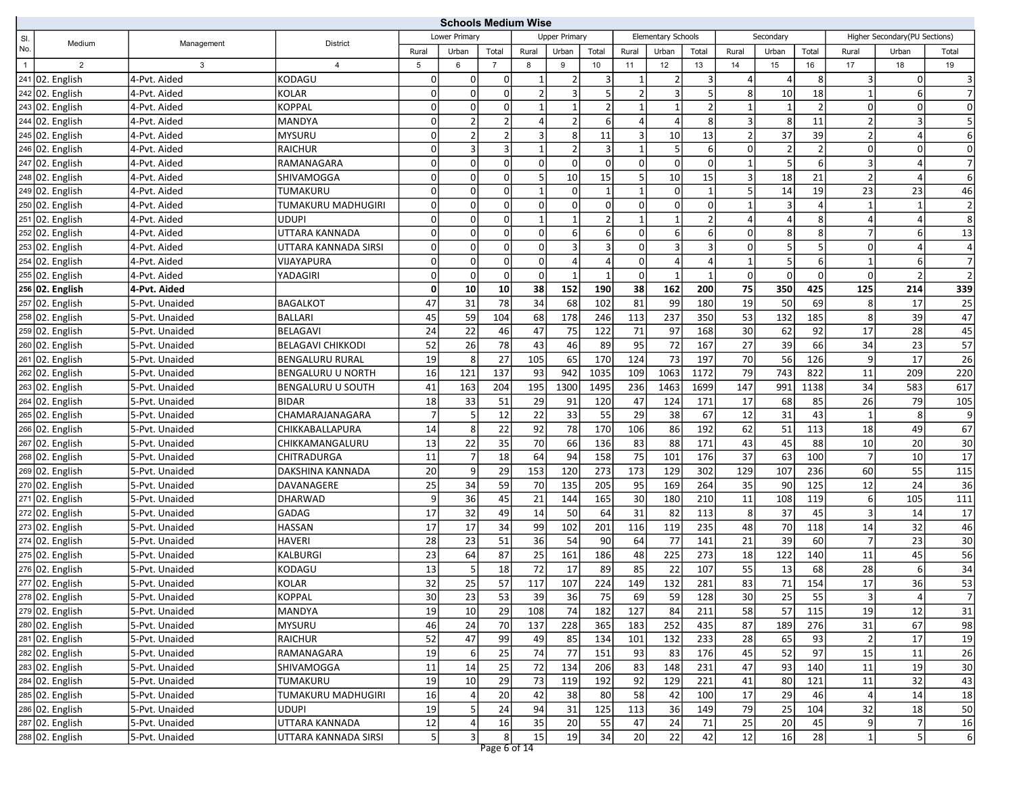|              |                                 |                | <b>Schools Medium Wise</b> |                |                |                |              |                      |                         |                |                           |                |                |                |                |                         |                               |                 |
|--------------|---------------------------------|----------------|----------------------------|----------------|----------------|----------------|--------------|----------------------|-------------------------|----------------|---------------------------|----------------|----------------|----------------|----------------|-------------------------|-------------------------------|-----------------|
| SI.          | Medium                          | Management     | <b>District</b>            |                | Lower Primarv  |                |              | <b>Upper Primary</b> |                         |                | <b>Elementary Schools</b> |                |                | Secondary      |                |                         | Higher Secondary(PU Sections) |                 |
| No.          |                                 |                |                            | Rural          | Urban          | Total          | Rural        | Urban                | Total                   | Rural          | Urban                     | Total          | Rural          | Urban          | Total          | Rural                   | Urban                         | Total           |
| $\mathbf{1}$ | $\overline{2}$                  | 3              | $\overline{4}$             | 5              | 6              | $\overline{7}$ | 8            | 9                    | 10                      | 11             | 12                        | 13             | 14             | 15             | 16             | 17                      | 18                            | 19              |
|              | 241 02. English                 | 4-Pvt. Aided   | KODAGU                     | 0              | $\overline{0}$ | 0              |              | 2                    | $\lvert 3 \rvert$       | 1              | $\overline{2}$            | 3              | 4              | $\vert$        | 8              | $\lvert 3 \rvert$       | 0l                            | $\overline{3}$  |
|              | 242 02. English                 | 4-Pvt. Aided   | <b>KOLAR</b>               | $\overline{0}$ | $\mathbf 0$    | $\mathbf 0$    |              | $\overline{3}$       | $\overline{5}$          | $\overline{2}$ | $\overline{3}$            |                | 8              | 10             | 18             | $\mathbf{1}$            | 6                             | $\overline{7}$  |
|              | 243 02. English                 | 4-Pvt. Aided   | <b>KOPPAL</b>              | 0              | $\mathbf 0$    | $\mathbf 0$    |              | $\mathbf{1}$         | 2 <sup>1</sup>          | $\overline{1}$ | $\mathbf{1}$              | $\mathfrak{p}$ |                | $\mathbf{1}$   | $\overline{2}$ | $\Omega$                | 0                             | $\mathbf 0$     |
|              | 244 02. English                 | 4-Pvt. Aided   | <b>MANDYA</b>              | 0              | $\overline{2}$ | $\overline{2}$ |              | $\overline{2}$       | 6 <sup>1</sup>          | $\overline{4}$ | $\vert$                   | 8              | 3              | 8              | 11             | $\overline{2}$          | 3                             | 5               |
|              | 245 02. English                 | 4-Pvt. Aided   | <b>MYSURU</b>              | 0              | $\overline{2}$ | $\overline{2}$ |              | 8                    | 11                      | 3              | 10                        | 13             | $\overline{2}$ | 37             | 39             | $\overline{2}$          | 4                             | 6               |
|              | 246 02. English                 | 4-Pvt. Aided   | <b>RAICHUR</b>             | 0              | 3              | $\mathsf 3$    |              | 2                    | $\overline{3}$          | $\overline{1}$ | 5 <sup>1</sup>            | $6 \mid$       | 0              | $\overline{2}$ | $\overline{2}$ | $\overline{0}$          | 0                             | $\mathbf 0$     |
|              | 247 02. English                 | 4-Pvt. Aided   | RAMANAGARA                 | 0              | $\Omega$       | $\pmb{0}$      | $\Omega$     | $\overline{0}$       | 0                       | $\mathbf 0$    | οI                        | $\Omega$       |                | 5 <sup>1</sup> | 6              | $\overline{\mathbf{3}}$ | 4                             | $\overline{7}$  |
|              | 248 02. English                 | 4-Pvt. Aided   | SHIVAMOGGA                 | 0              | $\mathbf 0$    | $\mathbf 0$    |              | 10                   | 15                      | 5              | 10                        | 15             | $\overline{3}$ | 18             | 21             | $\overline{2}$          | 4                             | 6               |
|              | $249$ 02. English               | 4-Pvt. Aided   | TUMAKURU                   | 0              | $\mathbf 0$    | $\pmb{0}$      |              | $\mathbf 0$          | $\mathbf{1}$            | $\overline{1}$ | οI                        | $\mathbf{1}$   | 5              | 14             | 19             | 23                      | 23                            | 46              |
|              | 250 02. English                 | 4-Pvt. Aided   | TUMAKURU MADHUGIRI         | 0              | $\mathbf 0$    | $\mathbf 0$    | 0            | 0                    | οl                      | $\mathbf 0$    | $\Omega$                  | $\overline{0}$ | $\mathbf 1$    | $\overline{3}$ | $\overline{4}$ | 1                       | $\mathbf{1}$                  | $\overline{2}$  |
|              | 251 02. English                 | 4-Pvt. Aided   | <b>UDUPI</b>               | 0              | $\mathbf 0$    | $\mathbf 0$    |              |                      | $\overline{2}$          |                | $\mathbf{1}$              |                |                | $\overline{4}$ | 8              | 4                       | Δ                             | 8               |
|              | 252 02. English                 | 4-Pvt. Aided   | UTTARA KANNADA             | 0              | $\Omega$       | $\overline{0}$ | <sup>0</sup> | $6 \mid$             | $6 \mid$                | $\mathbf 0$    | $6 \mid$                  | 6              | 0              | 8              | 8              | $\overline{7}$          | $6 \mid$                      | 13              |
|              | 253 02. English                 | 4-Pvt. Aided   | UTTARA KANNADA SIRSI       | 0              | $\mathbf 0$    | $\mathbf 0$    | $\Omega$     | 3                    | $\overline{\mathbf{3}}$ | $\mathbf 0$    | $\vert$ 3                 | 3              | 0              | 5 <sub>5</sub> | 5              | $\Omega$                | 4                             | $\overline{4}$  |
|              | 254 02. English                 | 4-Pvt. Aided   | VIJAYAPURA                 | $\Omega$       | $\mathbf 0$    | $\pmb{0}$      | $\Omega$     | $\overline{4}$       | $\vert 4 \vert$         | $\mathbf 0$    | $\vert$                   |                | $\mathbf 1$    | 5 <sup>1</sup> | 6              | $\mathbf{1}$            | $6 \mid$                      | $\overline{7}$  |
|              | 255 02. English                 | 4-Pvt. Aided   | YADAGIRI                   | 0              | $\mathbf 0$    | $\pmb{0}$      | $\Omega$     | 1                    | 1                       | $\mathbf 0$    | $\mathbf{1}$              | 1              | 0              | $\Omega$       | $\Omega$       | $\overline{0}$          | $\overline{2}$                | $\overline{2}$  |
|              | 256 02. English                 | 4-Pvt. Aided   |                            | $\mathbf{0}$   | 10             | 10             | 38           | 152                  | 190                     | 38             | 162                       | 200            | 75             | 350            | 425            | 125                     | 214                           | 339             |
|              | 257 02. English                 | 5-Pvt. Unaided | <b>BAGALKOT</b>            | 47             | 31             | 78             | 34           | 68                   | 102                     | 81             | 99                        | 180            | 19             | 50             | 69             | 8 <sup>1</sup>          | 17                            | 25              |
|              | 258 02. English                 | 5-Pvt. Unaided | <b>BALLARI</b>             | 45             | 59             | 104            | 68           | 178                  | 246                     | 113            | 237                       | 350            | 53             | 132            | 185            | 8 <sup>1</sup>          | 39                            | 47              |
|              | 259 02. English                 | 5-Pvt. Unaided | <b>BELAGAVI</b>            | 24             | 22             | 46             | 47           | 75                   | 122                     | 71             | 97                        | 168            | 30             | 62             | 92             | 17                      | 28                            | 45              |
|              | $260$ 02. English               | 5-Pvt. Unaided | <b>BELAGAVI CHIKKODI</b>   | 52             | 26             | 78             | 43           | 46                   | 89                      | 95             | $\overline{72}$           | 167            | 27             | 39             | 66             | 34                      | 23                            | $\overline{57}$ |
|              | 261 02. English                 | 5-Pvt. Unaided | <b>BENGALURU RURAL</b>     | 19             | 8              | 27             | 105          | 65                   | 170                     | 124            | 73                        | 197            | 70             | 56             | 126            | 9                       | 17                            | 26              |
|              | 262 02. English                 | 5-Pvt. Unaided | <b>BENGALURU U NORTH</b>   | 16             | 121            | 137            | 93           | 942                  | 1035                    | 109            | 1063                      | 1172           | 79             | 743            | 822            | 11                      | 209                           | 220             |
|              | 263 02. English                 | 5-Pvt. Unaided | <b>BENGALURU U SOUTH</b>   | 41             | 163            | 204            | 195          | 1300                 | 1495                    | 236            | 1463                      | 1699           | 147            | 991            | 1138           | 34                      | 583                           | 617             |
|              | 264 02. English                 | 5-Pvt. Unaided | <b>BIDAR</b>               | 18             | 33             | 51             | 29           | 91                   | 120                     | 47             | 124                       | 171            | 17             | 68             | 85             | 26                      | 79                            | 105             |
|              | 265 02. English                 | 5-Pvt. Unaided | CHAMARAJANAGARA            | $\overline{7}$ | 5              | 12             | 22           | 33                   | 55                      | 29             | 38                        | 67             | 12             | 31             | 43             | 1                       | 8                             | $\overline{9}$  |
|              | 266 02. English                 | 5-Pvt. Unaided | CHIKKABALLAPURA            | 14             | 8              | 22             | 92           | 78                   | 170                     | 106            | 86                        | 192            | 62             | 51             | 113            | 18                      | 49                            | 67              |
|              | 267 02. English                 | 5-Pvt. Unaided | CHIKKAMANGALURU            | 13             | 22             | 35             | 70           | 66                   | 136                     | 83             | 88                        | 171            | 43             | 45             | 88             | 10                      | 20                            | $\overline{30}$ |
|              | 268 02. English                 | 5-Pvt. Unaided | CHITRADURGA                | 11             | $\overline{7}$ | 18             | 64           | 94                   | 158                     | 75             | 101                       | 176            | 37             | 63             | 100            | $\overline{7}$          | 10                            | $\overline{17}$ |
|              | 269 02. English                 | 5-Pvt. Unaided | DAKSHINA KANNADA           | 20             | 9              | 29             | 153          | 120                  | 273                     | 173            | 129                       | 302            | 129            | 107            | 236            | 60                      | 55                            | 115             |
|              | 270 02. English                 | 5-Pvt. Unaided | DAVANAGERE                 | 25             | 34             | 59             | 70           | 135                  | 205                     | 95             | 169                       | 264            | 35             | 90             | 125            | 12                      | 24                            | 36              |
|              | 271 02. English                 | 5-Pvt. Unaided | <b>DHARWAD</b>             | 9              | 36             | 45             | 21           | 144                  | 165                     | 30             | 180                       | 210            | 11             | 108            | 119            | $6 \mid$                | 105                           | 111             |
|              | 272 02. English                 | 5-Pvt. Unaided | GADAG                      | 17             | 32             | 49             | 14           | 50                   | 64                      | 31             | 82                        | 113            | 8              | 37             | 45             | 3                       | 14                            | 17              |
|              | 273 02. English                 | 5-Pvt. Unaided | <b>HASSAN</b>              | 17             | 17             | 34             | 99           | 102                  | 201                     | 116            | 119                       | 235            | 48             | 70             | 118            | 14                      | 32                            | 46              |
|              | 274 02. English                 | 5-Pvt. Unaided | <b>HAVERI</b>              | 28             | 23             | 51             | 36           | 54                   | 90                      | 64             | 77                        | 141            | 21             | 39             | 60             | $\overline{7}$          | $\overline{23}$               | 30              |
|              | 275 02. English                 | 5-Pvt. Unaided | KALBURGI                   | 23             | 64             | 87             | 25           | 161                  | 186                     | 48             | 225                       | 273            | 18             | 122            | 140            | 11                      | 45                            | 56              |
|              | 276 02. English                 | 5-Pvt. Unaided | KODAGU                     | 13             |                | 18             | 72           | 17                   | 89                      | 85             | 22                        | 107            | 55             | 13             | 68             | 28                      | 6                             | 34              |
|              | 277 02. English                 | 5-Pvt. Unaided | <b>KOLAR</b>               | 32             | 25             | 57             | 117          | 107                  | 224                     | 149            | 132                       | 281            | 83             | 71             | 154            | 17                      | 36                            | 53              |
|              | 278 02. English                 | 5-Pvt. Unaided | KOPPAL                     | 30             | 23             | 53             | 39           | 36                   | 75                      | 69             | 59 J                      | 128            | 30             | 25             | 55             | $\lvert 3 \rvert$       | 4                             | 7               |
|              | 279 02. English                 | 5-Pvt. Unaided | <b>MANDYA</b>              | 19             | 10             | 29             | 108          | 74                   | 182                     | 127            | 84                        | 211            | 58             | 57             | 115            | 19                      | 12                            | 31              |
|              | 280 02. English                 | 5-Pvt. Unaided | <b>MYSURU</b>              | 46             | 24             | 70             | 137          | 228                  | 365                     | 183            | 252                       | 435            | 87             | 189            | 276            | 31                      | 67                            | 98              |
|              | 281 02. English                 | 5-Pvt. Unaided | RAICHUR                    | 52             | 47             | 99             | 49           | 85                   | 134                     | 101            | 132                       | 233            | 28             | 65             | 93             | $\overline{2}$          | 17                            | 19              |
|              | 282 02. English                 | 5-Pvt. Unaided | RAMANAGARA                 | 19             | 6              | 25             | 74           | 77                   | 151                     | 93             | 83                        | 176            | 45             | 52             | 97             | 15                      | 11                            | 26              |
|              | 283 02. English                 | 5-Pvt. Unaided | SHIVAMOGGA                 | 11             | 14             | 25             | 72           | 134                  | 206                     | 83             | 148                       | 231            | 47             | 93             | 140            | 11                      | 19                            | 30              |
|              | $\sqrt{284\sqrt{02}}$ . English | 5-Pvt. Unaided | TUMAKURU                   | 19             | 10             | 29             | 73           | 119                  | 192                     | 92             | 129                       | 221            | 41             | 80             | 121            | 11                      | 32                            | 43              |
|              | 285 02. English                 | 5-Pvt. Unaided | TUMAKURU MADHUGIRI         | 16             |                | 20             | 42           | 38                   | 80                      | 58             | 42                        | 100            | 17             | 29             | 46             | $\vert$                 | 14                            | 18              |
|              | 286 02. English                 | 5-Pvt. Unaided | <b>UDUPI</b>               | 19             |                | 24             | 94           | 31                   | 125                     | 113            | 36                        | 149            | 79             | 25             | 104            | 32                      | 18                            | 50              |
|              | 287 02. English                 | 5-Pvt. Unaided | UTTARA KANNADA             | 12             |                | 16             | 35           | 20                   | 55                      | 47             | 24                        | 71             | 25             | 20             | 45             | 9                       | 7                             | 16              |
|              | 288 02. English                 | 5-Pvt. Unaided | UTTARA KANNADA SIRSI       | 5 <sup>1</sup> | 3              | $\bf 8$        | 15           | 19                   | 34                      | 20             | 22                        | 42             | 12             | 16             | 28             | $\vert$ 1               | 5 <sup>1</sup>                | 6               |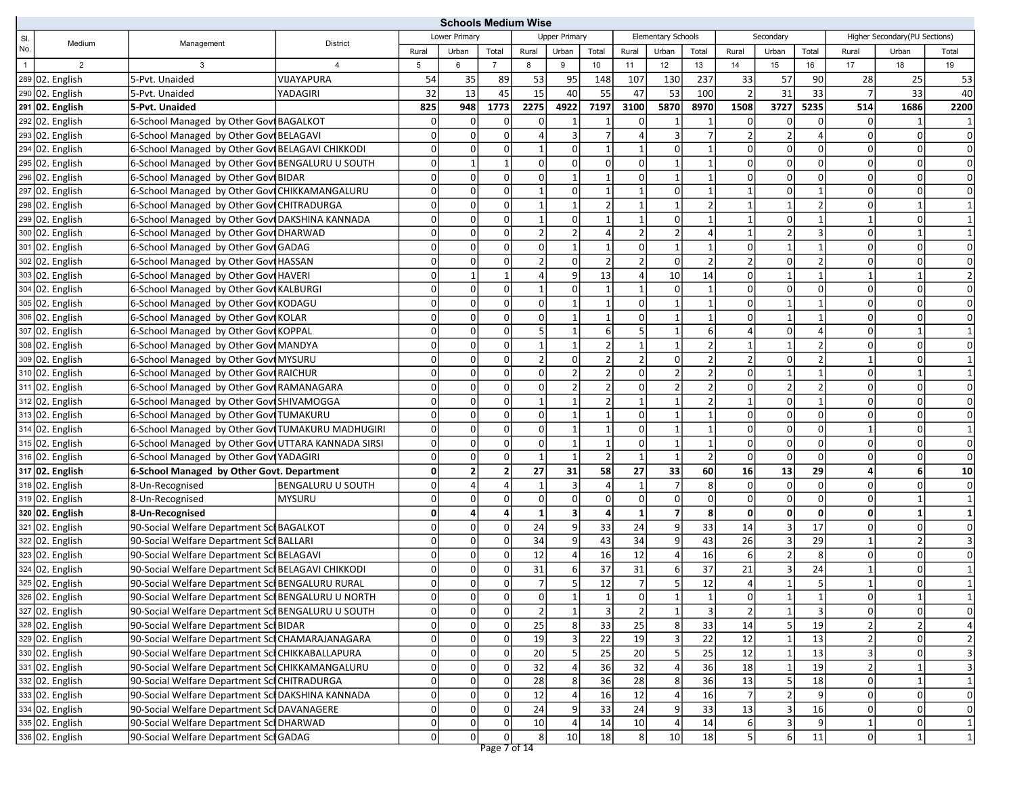|                |                   |                                                     |                          | <b>Schools Medium Wise</b> |                 |                         |                 |                         |                 |                 |                    |                         |                |                 |                 |                |                               |                         |
|----------------|-------------------|-----------------------------------------------------|--------------------------|----------------------------|-----------------|-------------------------|-----------------|-------------------------|-----------------|-----------------|--------------------|-------------------------|----------------|-----------------|-----------------|----------------|-------------------------------|-------------------------|
| SI.            | Medium            | Management                                          | <b>District</b>          |                            | Lower Primarv   |                         |                 | <b>Upper Primary</b>    |                 |                 | Elementary Schools |                         |                | Secondary       |                 |                | Higher Secondary(PU Sections) |                         |
| No.            |                   |                                                     |                          | Rural                      | Urban           | Total                   | Rural           | Urban                   | Total           | Rural           | Urban              | Total                   | Rural          | Urban           | Total           | Rural          | Urban                         | Total                   |
| $\overline{1}$ | $\overline{2}$    | 3                                                   | 4                        | 5                          | 6               | $\overline{7}$          | 8               | 9                       | 10              | 11              | 12                 | 13                      | 14             | 15              | 16              | 17             | 18                            | 19                      |
|                | 289 02. English   | 5-Pvt. Unaided                                      | VIJAYAPURA               | 54                         | 35              | 89                      | 53              | 95                      | 148             | 107             | 130                | 237                     | 33             | 57              | 90              | 28             | 25                            | 53                      |
|                | 290 02. English   | 5-Pvt. Unaided                                      | YADAGIRI                 | 32                         | $\overline{13}$ | 45                      | $\overline{15}$ | 40                      | 55              | 47              | 53                 | 100                     | $\overline{2}$ | 31              | 33              | $\overline{7}$ | $\overline{33}$               | 40                      |
|                | $291$ 02. English | 5-Pvt. Unaided                                      |                          | 825                        | 948             | 1773                    | 2275            | 4922                    | 7197            | 3100            | 5870               | 8970                    | 1508           | 3727            | 5235            | 514            | 1686                          | 2200                    |
|                | 292 02. English   | 6-School Managed by Other Govt BAGALKOT             |                          | 0                          | $\overline{0}$  | 0                       |                 |                         |                 | 0               |                    |                         |                | 0               | $\Omega$        | 0              |                               |                         |
|                | $293$ 02. English | 6-School Managed by Other Govi BELAGAVI             |                          | $\overline{0}$             | $\overline{0}$  | $\mathbf 0$             |                 | $\overline{3}$          | $\overline{7}$  | 4               | 3 <sup>1</sup>     | $\overline{7}$          |                | $\overline{2}$  |                 | $\Omega$       | $\mathbf 0$                   | $\mathbf 0$             |
|                | 294 02. English   | 6-School Managed by Other Govi BELAGAVI CHIKKODI    |                          | 0                          | $\overline{0}$  | $\mathsf 0$             |                 | $\overline{0}$          | $1\vert$        | $\mathbf{1}$    | $\Omega$           | $\mathbf 1$             |                | $\Omega$        |                 | $\Omega$       | 0                             | $\mathbf 0$             |
|                | 295 02. English   | 6-School Managed by Other Govi BENGALURU U SOUTH    |                          | $\overline{0}$             | $\mathbf{1}$    | $\mathbf{1}$            | $\Omega$        | $\Omega$                | 0               | $\mathbf 0$     |                    |                         |                | $\overline{0}$  |                 | $\Omega$       | 0                             | $\mathbf 0$             |
|                | 296 02. English   | 6-School Managed by Other Govi BIDAR                |                          | 0                          | $\Omega$        | $\mathbf 0$             |                 |                         |                 | $\Omega$        | $\mathbf{1}$       |                         |                | $\Omega$        |                 | 0              | 0                             | $\mathbf 0$             |
|                | 297 02. English   | 6-School Managed by Other Gov CHIKKAMANGALURU       |                          | $\overline{0}$             | $\overline{0}$  | $\pmb{0}$               |                 | $\overline{0}$          | $\mathbf{1}$    | $\overline{1}$  | $\Omega$           | $\mathbf{1}$            |                | $\Omega$        |                 | $\Omega$       | 0                             | $\Omega$                |
|                | 298 02. English   | 6-School Managed by Other Govt CHITRADURGA          |                          | $\Omega$                   | $\overline{0}$  | $\mathbf 0$             |                 | $\mathbf{1}$            | $\overline{2}$  | $\overline{1}$  | $\mathbf{1}$       | $\overline{2}$          |                | $\mathbf{1}$    |                 | $\Omega$       |                               |                         |
|                | $299$ 02. English | 6-School Managed by Other Govt DAKSHINA KANNADA     |                          | $\Omega$                   | $\overline{0}$  | $\mathbf 0$             |                 | 0                       | $\mathbf{1}$    |                 | $\overline{0}$     |                         |                | $\Omega$        |                 | $\mathbf{1}$   | $\Omega$                      |                         |
|                | 300 02. English   | 6-School Managed by Other Govt DHARWAD              |                          | 0                          | $\overline{0}$  | $\mathbf 0$             |                 | $\overline{2}$          | $\vert 4 \vert$ | $\overline{2}$  | $\overline{2}$     |                         |                | $\overline{2}$  | 3               | $\Omega$       | $\mathbf 1$                   |                         |
|                | 301 02. English   | 6-School Managed by Other Govt GADAG                |                          | 0                          | $\Omega$        | $\pmb{0}$               |                 |                         | $\mathbf{1}$    | $\mathbf 0$     | $\mathbf{1}$       |                         |                | $\mathbf{1}$    |                 | 0              | 0                             | $\Omega$                |
|                | 302 02. English   | 6-School Managed by Other Govi HASSAN               |                          | $\Omega$                   | $\overline{0}$  | $\overline{0}$          |                 | $\Omega$                | 2 <sup>1</sup>  | $\overline{2}$  | $\Omega$           | $\mathcal{P}$           |                | $\Omega$        |                 | $\Omega$       | $\Omega$                      | $\mathbf 0$             |
|                | 303 02. English   | 6-School Managed by Other Govt HAVERI               |                          | $\Omega$                   | $\mathbf{1}$    | $\mathbf{1}$            |                 | 9                       | 13              | $\Delta$        | 10                 | 14                      | $\Omega$       | $\mathbf{1}$    |                 | $\mathbf{1}$   |                               | $\overline{2}$          |
|                | 304 02. English   | 6-School Managed by Other Govi KALBURGI             |                          | $\Omega$                   | $\overline{0}$  | $\mathbf 0$             |                 | $\mathbf 0$             | $\mathbf{1}$    | $\mathbf{1}$    | $\Omega$           | $\mathbf{1}$            | $\Omega$       | $\Omega$        | $\Omega$        | $\Omega$       | $\Omega$                      | $\Omega$                |
|                | 305 02. English   | 6-School Managed by Other Govi KODAGU               |                          | 0                          | $\overline{0}$  | $\mathbf 0$             | $\Omega$        | $\mathbf{1}$            | $\mathbf{1}$    | $\mathbf 0$     | $1\vert$           | $\mathbf{1}$            | $\Omega$       | $1\vert$        |                 | $\Omega$       | 0                             | $\mathbf 0$             |
|                | 306 02. English   | 6-School Managed by Other Govi KOLAR                |                          | $\Omega$                   | $\overline{0}$  | $\mathbf 0$             | n               | 1                       | $\mathbf{1}$    | $\mathbf 0$     | $1\vert$           |                         |                | $1\vert$        |                 | $\overline{0}$ | 0                             | 0                       |
|                | 307 02. English   | 6-School Managed by Other Govt KOPPAL               |                          | 0                          | $\overline{0}$  | $\mathbf 0$             |                 |                         | 6 <sup>1</sup>  | 5               |                    | 6                       |                | $\Omega$        |                 | 0              |                               |                         |
|                | 308 02. English   | 6-School Managed by Other Govt MANDYA               |                          | $\Omega$                   | $\overline{0}$  | $\mathbf 0$             |                 | $\mathbf{1}$            | $\overline{2}$  | $\overline{1}$  | $\mathbf{1}$       | $\mathfrak{p}$          |                | $\mathbf{1}$    |                 | $\Omega$       | 0                             | $\Omega$                |
|                | 309 02. English   | 6-School Managed by Other Govt MYSURU               |                          | $\Omega$                   | $\overline{0}$  | $\mathbf 0$             |                 | $\Omega$                | 2               | $\overline{2}$  | $\overline{0}$     | $\overline{2}$          |                | $\Omega$        |                 | $\mathbf{1}$   | 0                             |                         |
|                | 310 02. English   | 6-School Managed by Other Govi RAICHUR              |                          | 0                          | $\Omega$        | $\mathbf 0$             |                 |                         | $\overline{2}$  | $\Omega$        | $\overline{2}$     |                         | O              | $1\vert$        |                 | 0              |                               |                         |
|                | 311 02. English   | 6-School Managed by Other Govt RAMANAGARA           |                          | $\Omega$                   | $\overline{0}$  | $\overline{0}$          | $\Omega$        | $\overline{2}$          | $\overline{2}$  | $\mathbf 0$     | 2                  | $\overline{2}$          | $\Omega$       | 2               |                 | $\Omega$       | 0                             | $\Omega$                |
|                | 312 02. English   | 6-School Managed by Other Govt SHIVAMOGGA           |                          | $\Omega$                   | $\overline{0}$  | $\pmb{0}$               |                 |                         | $\overline{2}$  | $\overline{1}$  |                    |                         |                | $\overline{0}$  |                 | $\Omega$       | $\Omega$                      | $\mathbf 0$             |
|                | 313 02. English   | 6-School Managed by Other Govi TUMAKURU             |                          | $\Omega$                   | $\overline{0}$  | $\pmb{0}$               | $\Omega$        | $\mathbf{1}$            | 1               | $\mathbf 0$     |                    |                         | $\Omega$       | $\Omega$        | $\Omega$        | $\Omega$       | 0                             | $\mathbf 0$             |
|                | 314 02. English   | 6-School Managed by Other Govt TUMAKURU MADHUGIRI   |                          | $\Omega$                   | $\overline{0}$  | $\mathbf 0$             | $\Omega$        | $\mathbf{1}$            | $\mathbf{1}$    | $\mathbf 0$     | $1\vert$           | $\mathbf{1}$            | $\Omega$       | $\Omega$        | $\Omega$        | $\mathbf{1}$   | 0                             | $\mathbf{1}$            |
|                | 315 02. English   | 6-School Managed by Other Govt UTTARA KANNADA SIRSI |                          | 0                          | $\overline{0}$  | $\mathsf 0$             | $\Omega$        | $\mathbf{1}$            | $\mathbf{1}$    | $\mathbf 0$     | $\mathbf{1}$       | $\mathbf{1}$            | $\Omega$       | $\Omega$        | $\Omega$        | $\mathbf 0$    | 0                             | $\Omega$                |
|                | 316 02. English   | 6-School Managed by Other Govi YADAGIRI             |                          | 0                          | $\overline{0}$  | $\pmb{0}$               |                 | $\mathbf{1}$            | 2               | $\overline{1}$  | $\mathbf{1}$       | $\overline{2}$          | 0              | $\overline{0}$  | $\Omega$        | $\Omega$       | 0                             | $\mathbf 0$             |
|                | 317 02. English   | 6-School Managed by Other Govt. Department          |                          | $\mathbf{0}$               | $\overline{2}$  | $\overline{\mathbf{2}}$ | 27              | 31                      | 58              | 27              | 33                 | 60                      | 16             | 13              | 29              | 4              | 6 <sup>1</sup>                | 10                      |
|                | 318 02. English   | 8-Un-Recognised                                     | <b>BENGALURU U SOUTH</b> | $\overline{0}$             | $\overline{a}$  | $\overline{4}$          |                 | $\overline{3}$          | $\vert 4 \vert$ |                 | 7                  | 8 <sup>1</sup>          | 0              | $\overline{0}$  | $\Omega$        | $\Omega$       | 0                             | $\Omega$                |
|                | 319 02. English   | 8-Un-Recognised                                     | <b>MYSURU</b>            | 0                          | $\overline{0}$  | $\overline{0}$          | $\Omega$        | $\Omega$                | 0               | $\mathbf 0$     | $\Omega$           | $\overline{0}$          | $\Omega$       | $\Omega$        | $\Omega$        | $\Omega$       |                               |                         |
|                | 320 02. English   | 8-Un-Recognised                                     |                          | $\mathbf{0}$               | 4               | 4                       |                 | $\overline{\mathbf{3}}$ | 4               | $\mathbf{1}$    | $\overline{7}$     | 8                       | $\mathbf{0}$   | $\mathbf{0}$    | 0               | $\mathbf{0}$   | $\mathbf{1}$                  |                         |
|                | 321 02. English   | 90-Social Welfare Department Scl BAGALKOT           |                          | 0                          | $\Omega$        | $\mathbf 0$             | 24              | 9                       | 33              | 24              | 9                  | 33                      | 14             | $\overline{3}$  | 17              | 0              | $\Omega$                      | 0                       |
|                | 322 02. English   | 90-Social Welfare Department Sch BALLARI            |                          | $\Omega$                   | $\overline{0}$  | $\mathbf 0$             | 34              | 9                       | 43              | 34              | $\overline{9}$     | 43                      | 26             | $\overline{3}$  | $\overline{29}$ | $\mathbf{1}$   | $\overline{2}$                |                         |
|                | 323 02. English   | 90-Social Welfare Department Scl BELAGAVI           |                          | 0                          | $\Omega$        | $\mathsf 0$             | 12              | 4                       | 16              | 12              | $\vert$            | 16                      | 6              | 2               | 8               | $\Omega$       | $\overline{0}$                | 0                       |
|                | 324 02. English   | 90-Social Welfare Department Scl BELAGAVI CHIKKODI  |                          | 0                          | $\overline{0}$  | $\mathbf 0$             | 31              | 6                       | 37              | 31              | $6 \mid$           | 37                      | 21             | $\overline{3}$  | 24              | $\mathbf{1}$   | $\Omega$                      |                         |
|                | 325 02. English   | 90-Social Welfare Department Scl BENGALURU RURAL    |                          | $\Omega$                   | $\overline{0}$  | $\overline{0}$          |                 | 5                       | 12              | $\overline{7}$  | 5 <sup>1</sup>     | 12                      |                |                 |                 |                |                               |                         |
|                | 326 02. English   | 90-Social Welfare Department SchBENGALURU U NORTH   |                          | 0                          | 0               | $\overline{0}$          | 0               | 1                       | 1               | $\overline{0}$  | 1                  | $\mathbf{1}$            | 0              | 1               | 1               | 0              | 1                             | $\mathbf{1}$            |
|                | 327 02. English   | 90-Social Welfare Department Scl BENGALURU U SOUTH  |                          | 0                          | 0               | $\overline{\mathbf{0}}$ | 2               | $\mathbf 1$             | $\overline{3}$  | $\overline{2}$  | $\mathbf{1}$       | $\overline{\mathbf{3}}$ | $\overline{2}$ | $1\vert$        | $\overline{3}$  | $\Omega$       | $\Omega$                      | $\overline{0}$          |
|                | 328 02. English   | 90-Social Welfare Department Sci BIDAR              |                          | 0                          | $\overline{0}$  | $\mathbf 0$             | 25              | 8                       | 33              | 25              | 8 <sup>1</sup>     | 33                      | 14             | 5               | 19              | $\overline{2}$ | 2                             | $\pmb{4}$               |
|                | 329 02. English   | 90-Social Welfare Department SclCHAMARAJANAGARA     |                          | $\Omega$                   | $\overline{0}$  | $\mathbf 0$             | 19              | 3                       | $\overline{22}$ | 19              | 3                  | 22                      | 12             |                 | $\overline{13}$ | $\overline{2}$ | $\mathbf 0$                   | $\mathbf 2$             |
|                | 330 02. English   | 90-Social Welfare Department SclCHIKKABALLAPURA     |                          | $\overline{0}$             | $\overline{0}$  | $\mathbf 0$             | 20              | $\sf 5$                 | 25              | 20              | $\overline{5}$     | 25                      | 12             | $1\overline{ }$ | 13              | $\overline{3}$ | $\overline{0}$                | $\overline{\mathbf{3}}$ |
|                | 331 02. English   | 90-Social Welfare Department SclCHIKKAMANGALURU     |                          | $\overline{0}$             | $\overline{0}$  | $\mathbf 0$             | 32              | $\overline{4}$          | 36              | 32              | $\vert$            | 36                      | 18             | $\mathbf{1}$    | 19              | $\overline{2}$ | 1                             | $\overline{\mathbf{3}}$ |
|                | 332 02. English   | 90-Social Welfare Department SciCHITRADURGA         |                          | $\overline{0}$             | $\overline{0}$  | $\mathbf 0$             | 28              | 8                       | 36              | 28              | 8 <sup>1</sup>     | 36                      | 13             | 5 <sub>l</sub>  | 18              | $\Omega$       | 1                             | $\mathbf{1}$            |
|                | 333 02. English   | 90-Social Welfare Department SchDAKSHINA KANNADA    |                          | $\overline{0}$             | $\overline{0}$  | $\mathsf{O}\xspace$     | 12              | 4                       | 16              | $\overline{12}$ | $\vert$            | 16                      |                | $\overline{2}$  |                 | $\Omega$       | $\Omega$                      | $\pmb{0}$               |
|                | 334 02. English   | 90-Social Welfare Department SclDAVANAGERE          |                          | $\overline{0}$             | $\overline{0}$  | $\pmb{0}$               | 24              | 9                       | 33              | 24              | 9 <sup>1</sup>     | 33                      | 13             | $\overline{3}$  | 16              | $\Omega$       | 0                             | $\mathbf 0$             |
|                | 335 02. English   | 90-Social Welfare Department SclDHARWAD             |                          | $\overline{0}$             | $\overline{0}$  | $\mathbf 0$             | 10              |                         | 14              | 10              |                    | 14                      |                | $\overline{3}$  |                 | $\mathbf{1}$   | $\Omega$                      | $\mathbf 1$             |
|                | 336 02. English   | 90-Social Welfare Department SclGADAG               |                          | $\overline{0}$             | $\overline{0}$  | $\overline{0}$          | 8 <sup>1</sup>  | 10                      | 18              | 8               | 10                 | 18                      | 5 <sup>1</sup> | $6 \mid$        | 11              | $\Omega$       | 1                             | $\mathbf 1$             |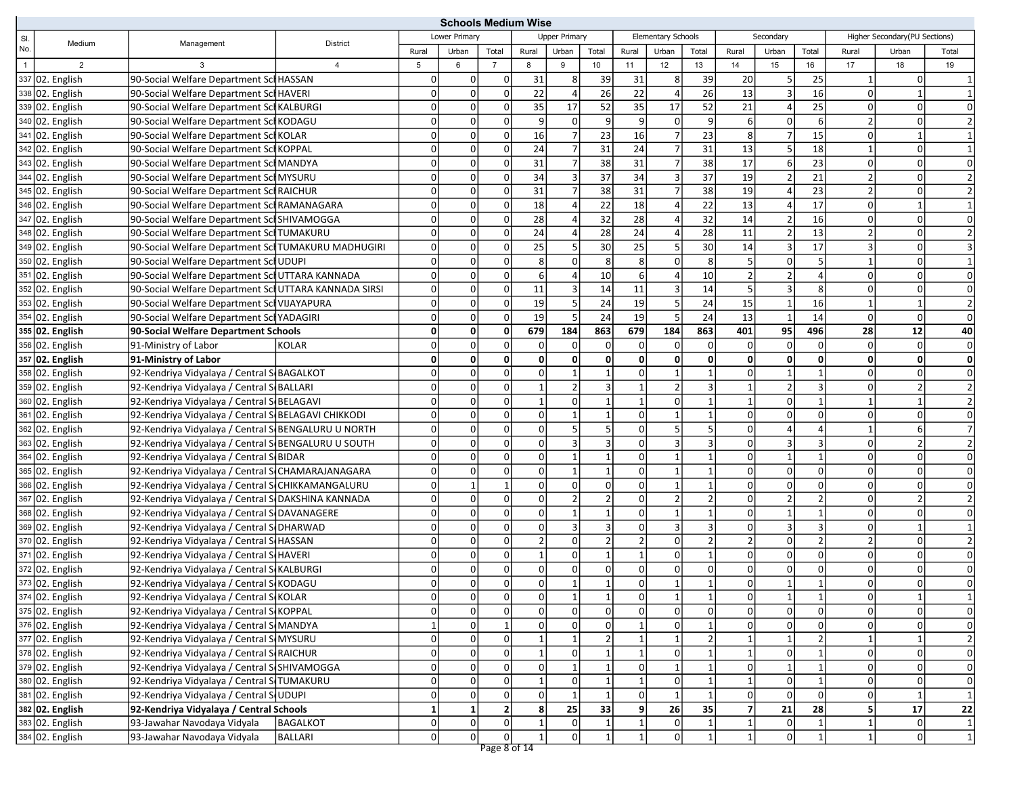|                |                   |                                                      |                |                | <b>Schools Medium Wise</b> |                |                |                      |                |                 |                    |                         |                |                          |                |                |                               |                |
|----------------|-------------------|------------------------------------------------------|----------------|----------------|----------------------------|----------------|----------------|----------------------|----------------|-----------------|--------------------|-------------------------|----------------|--------------------------|----------------|----------------|-------------------------------|----------------|
| SI.            | Medium            | Management                                           | District       |                | Lower Primary              |                |                | <b>Upper Primary</b> |                |                 | Elementary Schools |                         |                | Secondary                |                |                | Higher Secondary(PU Sections) |                |
| No.            |                   |                                                      |                | Rural          | Urban                      | Total          | Rural          | Urban                | Total          | Rural           | Urban              | Total                   | Rural          | Urban                    | Total          | Rural          | Urban                         | Total          |
| $\overline{1}$ | $\overline{2}$    | 3                                                    | $\overline{4}$ | 5              | 6                          | $\overline{7}$ | 8              | 9                    | 10             | 11              | 12                 | 13                      | 14             | 15                       | 16             | 17             | 18                            | 19             |
|                | 337 02. English   | 90-Social Welfare Department Sci HASSAN              |                | $\Omega$       | $\overline{0}$             | $\mathbf 0$    | 31             | 8 <sup>1</sup>       | 39             | 31              | 8 <sup>1</sup>     | 39                      | 20             | 5                        | 25             | 1              | 0l                            |                |
|                | 338 02. English   | 90-Social Welfare Department Sci HAVERI              |                | $\Omega$       | $\overline{0}$             | $\mathbf 0$    | 22             | 4                    | 26             | 22              | 4                  | 26                      | 13             | $\overline{3}$           | 16             | 0              |                               |                |
|                | 339 02. English   | 90-Social Welfare Department Scl KALBURGI            |                | $\Omega$       | $\overline{0}$             | $\mathbf 0$    | 35             | 17                   | 52             | 35              | 17                 | 52                      | 21             |                          | 25             | $\mathbf 0$    | $\Omega$                      | $\Omega$       |
|                | 340 02. English   | 90-Social Welfare Department SclKODAGU               |                | $\Omega$       | $\overline{0}$             | $\mathbf 0$    | 9              | $\Omega$             | 9              | 9               | 0                  | $\overline{9}$          | 6              | $\Omega$                 | 6              | $\overline{2}$ | $\Omega$                      |                |
|                | 341 02. English   | 90-Social Welfare Department SchKOLAR                |                | $\Omega$       | $\overline{0}$             | $\mathbf 0$    | 16             | $\overline{7}$       | 23             | 16              | $\overline{7}$     | 23                      | 8              | 7                        | 15             | 0              | $\mathbf{1}$                  |                |
|                | 342 02. English   | 90-Social Welfare Department Scl KOPPAL              |                | $\Omega$       | $\overline{0}$             | $\mathbf 0$    | 24             | $\overline{7}$       | 31             | $\overline{24}$ | 7                  | 31                      | 13             | 5                        | 18             | $\mathbf{1}$   | 0l                            | $\mathbf{1}$   |
|                | 343 02. English   | 90-Social Welfare Department Sch MANDYA              |                | $\Omega$       | $\overline{0}$             | $\mathbf 0$    | 31             | $\overline{7}$       | 38             | 31              | $\overline{7}$     | 38                      | 17             | $6 \mid$                 | 23             | $\mathbf 0$    | $\Omega$                      | $\overline{0}$ |
|                | 344 02. English   | 90-Social Welfare Department Scl MYSURU              |                | $\Omega$       | $\overline{0}$             | $\mathbf 0$    | 34             | $\overline{3}$       | 37             | 34              | 3                  | 37                      | 19             | $\overline{\phantom{a}}$ | 21             | $\overline{2}$ | $\Omega$                      |                |
|                | 345 02. English   | 90-Social Welfare Department SchRAICHUR              |                | $\Omega$       | $\overline{0}$             | $\mathbf 0$    | 31             | $\overline{7}$       | 38             | 31              | $\overline{7}$     | 38                      | 19             | Δ                        | 23             | 2              | $\Omega$                      |                |
|                | 346 02. English   | 90-Social Welfare Department SchRAMANAGARA           |                | $\Omega$       | $\overline{0}$             | $\mathbf 0$    | 18             | Δ                    | 22             | 18              | 4                  | 22                      | 13             |                          | 17             | $\mathbf 0$    |                               | $\mathbf{1}$   |
|                | 347 02. English   | 90-Social Welfare Department SclSHIVAMOGGA           |                | $\Omega$       | $\overline{0}$             | $\mathbf 0$    | 28             | $\overline{a}$       | 32             | 28              | 4                  | 32                      | 14             | $\overline{2}$           | 16             | 0              | 0                             | $\overline{0}$ |
|                | 348 02. English   | 90-Social Welfare Department Scl TUMAKURU            |                | $\Omega$       | $\overline{0}$             | $\overline{0}$ | 24             | Δ                    | 28             | 24              | Δ                  | 28                      | 11             | $\overline{2}$           | 13             | 2              | $\Omega$                      |                |
|                | 349 02. English   | 90-Social Welfare Department Scl TUMAKURU MADHUGIRI  |                | $\Omega$       | $\overline{0}$             | $\mathbf 0$    | 25             | 5                    | 30             | 25              | 5                  | 30                      | 14             | $\overline{3}$           | 17             | 3              | $\Omega$                      |                |
|                | 350 02. English   | 90-Social Welfare Department SclUDUPI                |                | $\Omega$       | $\overline{0}$             | $\mathbf 0$    | 8 <sup>1</sup> | $\Omega$             | 8              | 8               | $\Omega$           | 8 <sup>1</sup>          | 5              | $\Omega$                 | 5              | $\mathbf{1}$   | $\Omega$                      | 1              |
|                | 351 02. English   | 90-Social Welfare Department SciUTTARA KANNADA       |                | $\Omega$       | $\overline{0}$             | $\mathbf 0$    | $6 \mid$       | $\Delta$             | 10             | 6               | $\Delta$           | 10                      | $\overline{2}$ | $\overline{2}$           | $\overline{a}$ | $\Omega$       | $\Omega$                      | 0              |
|                | 352 02. English   | 90-Social Welfare Department SciUTTARA KANNADA SIRSI |                | $\overline{0}$ | $\overline{0}$             | $\mathbf 0$    | 11             | 3                    | 14             | 11              | 3                  | 14                      | .5             | 3                        | 8              | 0              | $\Omega$                      | 0l             |
|                | 353 02. English   | 90-Social Welfare Department Scl VIJAYAPURA          |                | 0              | $\overline{0}$             | $\mathbf 0$    | 19             | 5                    | 24             | 19              | 5                  | 24                      | 15             | $\mathbf{1}$             | 16             | $\mathbf{1}$   | $\mathbf{1}$                  | $\overline{2}$ |
|                | 354 02. English   | 90-Social Welfare Department Sch YADAGIRI            |                | $\Omega$       | $\overline{0}$             | $\mathbf 0$    | 19             | 5                    | 24             | 19              | 5                  | 24                      | 13             | $\mathbf{1}$             | 14             | $\overline{0}$ | $\Omega$                      | 0              |
|                | 355 02. English   | 90-Social Welfare Department Schools                 |                | $\mathbf{0}$   | $\mathbf{0}$               | $\mathbf 0$    | 679            | 184                  | 863            | 679             | 184                | 863                     | 401            | 95                       | 496            | 28             | 12                            | 40             |
|                | 356 02. English   | 91-Ministry of Labor                                 | KOLAR          | $\Omega$       | $\overline{0}$             | $\mathbf 0$    | $\Omega$       | $\Omega$             | 0              | $\Omega$        | $\Omega$           | $\mathbf{0}$            | $\mathbf 0$    | $\Omega$                 | $\Omega$       | $\mathbf 0$    | 0                             | 0              |
|                | $357$ 02. English | 91-Ministry of Labor                                 |                | $\mathbf{0}$   | $\mathbf{0}$               | $\mathbf{0}$   | $\mathbf{0}$   | $\mathbf{0}$         | 0              | $\mathbf{0}$    | $\mathbf{0}$       | $\mathbf{0}$            | $\mathbf{0}$   | $\mathbf{0}$             | $\Omega$       | 0              | $\mathbf{0}$                  | $\mathbf{0}$   |
|                | 358 02. English   | 92-Kendriya Vidyalaya / Central S(BAGALKOT           |                | $\Omega$       | $\overline{0}$             | $\mathbf 0$    | $\Omega$       | $\mathbf{1}$         | $\mathbf{1}$   | $\mathbf 0$     |                    | $\mathbf{1}$            | 0              | $\mathbf{1}$             |                | $\mathbf 0$    | $\Omega$                      | 0l             |
|                | 359 02. English   | 92-Kendriya Vidyalaya / Central S(BALLARI            |                | $\Omega$       | $\overline{0}$             | $\overline{0}$ | $\mathbf{1}$   | $\overline{2}$       | 3              | 1               | $\overline{2}$     | $\overline{3}$          | $\mathbf{1}$   | $\overline{2}$           | 3              | 0              | 2 <sup>1</sup>                | $\overline{2}$ |
|                | 360 02. English   | 92-Kendriya Vidyalaya / Central S(BELAGAVI           |                | $\Omega$       | $\overline{0}$             | $\mathbf 0$    |                | $\Omega$             | $\mathbf{1}$   |                 | $\Omega$           | $\mathbf{1}$            |                | $\Omega$                 |                |                |                               |                |
|                | 361 02. English   | 92-Kendriya Vidyalaya / Central SIBELAGAVI CHIKKODI  |                | $\Omega$       | $\overline{0}$             | $\mathbf 0$    | $\Omega$       | $\mathbf{1}$         | $\mathbf{1}$   | $\Omega$        | $\mathbf{1}$       | $\mathbf{1}$            | $\Omega$       | $\Omega$                 | $\Omega$       | $\mathbf 0$    | $\Omega$                      | $\overline{0}$ |
|                | 362 02. English   | 92-Kendriya Vidyalaya / Central S(BENGALURU U NORTH  |                | $\Omega$       | $\Omega$                   | $\mathbf 0$    | $\Omega$       | 5                    | 5              | $\Omega$        | 5                  | 5                       | $\Omega$       | $\overline{a}$           | $\Delta$       | 1              | 6 <sup>1</sup>                | $\overline{7}$ |
|                | 363 02. English   | 92-Kendriya Vidyalaya / Central S BENGALURU U SOUTH  |                | $\Omega$       | $\Omega$                   | $\mathbf 0$    | $\Omega$       | 3                    | 3              | $\mathbf 0$     | 3                  | $\overline{3}$          | $\mathbf 0$    | 3                        | 3              | 0              | 2                             | 2              |
|                | 364 02. English   | 92-Kendriya Vidyalaya / Central S(BIDAR              |                | $\overline{0}$ | $\overline{0}$             | $\mathbf 0$    | $\Omega$       | $\mathbf{1}$         | $\mathbf{1}$   | $\mathbf 0$     |                    | $\mathbf{1}$            | $\mathbf 0$    | $\mathbf{1}$             |                | 0              | 0l                            | 0              |
|                | 365 02. English   | 92-Kendriya Vidyalaya / Central SCHAMARAJANAGARA     |                | $\Omega$       | $\Omega$                   | $\mathbf 0$    | $\Omega$       | $\mathbf{1}$         | $\mathbf{1}$   | $\mathbf 0$     | $\mathbf{1}$       | $\mathbf{1}$            | $\mathbf 0$    | $\Omega$                 | $\mathbf 0$    | $\mathbf 0$    | $\Omega$                      | 0l             |
|                | 366 02. English   | 92-Kendriya Vidyalaya / Central SCHIKKAMANGALURU     |                | $\Omega$       | $\mathbf{1}$               | $\mathbf{1}$   | $\Omega$       | $\Omega$             | $\mathbf 0$    | $\Omega$        | $\mathbf{1}$       | $\mathbf{1}$            | $\Omega$       | $\Omega$                 | $\Omega$       | 0              | $\Omega$                      | 0l             |
|                | 367 02. English   | 92-Kendriya Vidyalaya / Central SIDAKSHINA KANNADA   |                | $\Omega$       | $\overline{0}$             | $\mathbf 0$    | $\Omega$       | $\overline{2}$       | $\overline{2}$ | $\Omega$        | $\overline{2}$     | $\overline{2}$          | $\Omega$       | $\overline{2}$           | $\overline{2}$ | $\mathbf 0$    | 2                             |                |
|                | 368 02. English   | 92-Kendriya Vidyalaya / Central S DAVANAGERE         |                | $\Omega$       | $\overline{0}$             | $\mathbf 0$    | $\Omega$       | $\mathbf{1}$         | $\mathbf{1}$   | $\mathbf 0$     | $\mathbf{1}$       | $\mathbf{1}$            | 0              | $\mathbf{1}$             | $\overline{1}$ | $\mathbf 0$    | $\Omega$                      | $\overline{0}$ |
|                | 369 02. English   | 92-Kendriya Vidyalaya / Central SUHARWAD             |                | $\Omega$       | $\overline{0}$             | $\mathbf 0$    | $\Omega$       | $\overline{3}$       | 3              | $\mathbf 0$     | 3                  | $\overline{3}$          | $\mathbf 0$    | $\overline{3}$           | $\overline{3}$ | 0              |                               | $\mathbf{1}$   |
|                | 370 02. English   | 92-Kendriya Vidyalaya / Central S(HASSAN             |                | $\Omega$       | $\overline{0}$             | $\overline{0}$ | 2 <sup>1</sup> | $\Omega$             | $\overline{2}$ | $\overline{2}$  | $\Omega$           | $\overline{2}$          | $\overline{2}$ | $\overline{0}$           | $\overline{2}$ | 2              | 0l                            | $\overline{2}$ |
|                | 371 02. English   | 92-Kendriya Vidyalaya / Central S(HAVERI             |                | $\Omega$       | $\overline{0}$             | $\mathbf 0$    |                | $\Omega$             | $\mathbf{1}$   |                 | $\Omega$           | $\mathbf{1}$            | $\mathbf 0$    | $\Omega$                 | $\Omega$       | $\mathbf 0$    | $\Omega$                      | $\overline{0}$ |
|                | 372 02. English   | 92-Kendriya Vidyalaya / Central S(KALBURGI           |                | $\Omega$       | $\overline{0}$             | $\mathbf 0$    | $\Omega$       | $\Omega$             | 0              | $\mathbf 0$     | $\Omega$           | $\mathbf{0}$            | $\mathbf 0$    | $\Omega$                 | $\Omega$       | 0              | $\Omega$                      | 0              |
|                | 373 02. English   | 92-Kendriya Vidyalaya / Central S(KODAGU             |                | O              | $\Omega$                   | $\Omega$       | $\Omega$       |                      | $\mathbf{1}$   | $\Omega$        |                    |                         | $\Omega$       |                          |                | $\Omega$       | $\Omega$                      | 0l             |
|                | 374 02. English   | 92-Kendriya Vidyalaya / Central SKOLAR               |                | 0              | 0                          | $\overline{0}$ | 0              | $\vert$ 1            | 1              | $\overline{0}$  | $\vert$ 1          | 1                       | 0              | 1                        | 1              | $\overline{0}$ | 1                             | $\vert$ 1      |
|                | 375 02. English   | 92-Kendriya Vidyalaya / Central S(KOPPAL             |                | $\overline{0}$ | $\mathsf{o}\,\,$           | $\overline{0}$ | οI             | $\overline{0}$       | $\mathbf{0}$   | $\mathbf 0$     | $\overline{0}$     | $\overline{\mathsf{o}}$ | $\mathbf 0$    | $\overline{0}$           | $\mathbf 0$    | $\mathbf 0$    | 0                             | 0              |
|                | 376 02. English   | 92-Kendriya Vidyalaya / Central S(MANDYA             |                | $\mathbf 1$    | $\overline{0}$             | $\mathbf{1}$   | $\overline{0}$ | $\Omega$             | 0              |                 | $\Omega$           |                         | 0              | $\overline{0}$           | $\Omega$       | 0              | 0l                            | $\overline{0}$ |
|                | 377 02. English   | 92-Kendriya Vidyalaya / Central S(MYSURU             |                | $\overline{0}$ | $\pmb{0}$                  | $\circ$        |                |                      | $\overline{2}$ |                 |                    | $\overline{2}$          |                | $\vert$ 1                |                |                |                               | $\overline{2}$ |
|                | 378 02. English   | 92-Kendriya Vidyalaya / Central SARAICHUR            |                | $\overline{0}$ | $\pmb{\mathsf{0}}$         | $\circ$        |                | $\Omega$             | $\mathbf 1$    |                 | 0                  | $\mathbf{1}$            |                | $\overline{0}$           |                | $\Omega$       | οl                            | $\overline{0}$ |
|                | 379 02. English   | 92-Kendriya Vidyalaya / Central S(SHIVAMOGGA         |                | $\overline{0}$ | $\pmb{0}$                  | $\circ$        | $\overline{0}$ | $\mathbf{1}$         | $\mathbf{1}$   | 0               | $\mathbf{1}$       | $\mathbf{1}$            | $\mathbf 0$    | $\mathbf{1}$             | $\overline{1}$ | $\Omega$       | $\Omega$                      | 0              |
|                | 380 02. English   | 92-Kendriya Vidyalaya / Central STUMAKURU            |                | $\overline{0}$ | $\overline{0}$             | $\overline{0}$ |                | $\Omega$             | $\mathbf{1}$   |                 | 0                  |                         |                | $\overline{0}$           |                | 0              | οl                            | 0              |
|                | 381 02. English   | 92-Kendriya Vidyalaya / Central SUDUPI               |                | $\overline{0}$ | $\overline{0}$             | $\overline{0}$ | $\overline{0}$ | $\vert$ 1            | $\mathbf{1}$   | $\mathbf 0$     | $\mathbf{1}$       | $1\vert$                | $\mathbf 0$    | $\overline{0}$           | 0              | $\Omega$       | $\mathbf{1}$                  | 1              |
|                | 382 02. English   | 92-Kendriya Vidyalaya / Central Schools              |                | $\mathbf 1$    | $\mathbf{1}$               | $\mathbf 2$    |                | $\overline{25}$      | 33             | 9               | 26                 | 35                      |                | $\overline{21}$          | 28             | 5              | 17                            | 22             |
|                | 383 02. English   | 93-Jawahar Navodaya Vidyala                          | BAGALKOT       | $\overline{0}$ | $\boldsymbol{0}$           | $\circ$        |                | $\mathsf{O}\xspace$  | $\mathbf{1}$   |                 | 0                  | $\mathbf{1}$            |                | $\overline{0}$           |                | $\mathbf 1$    | 0                             | $\mathbf{1}$   |
|                | 384 02. English   | 93-Jawahar Navodaya Vidyala                          | BALLARI        | $\overline{0}$ | $\Omega$                   | $\circ$        | 1              | $\Omega$             | 1              | $\mathbf{1}$    | 0                  | $\mathbf{1}$            | $\mathbf{1}$   | $\overline{0}$           | $\mathbf{1}$   | $\mathbf{1}$   | 0                             | $\mathbf{1}$   |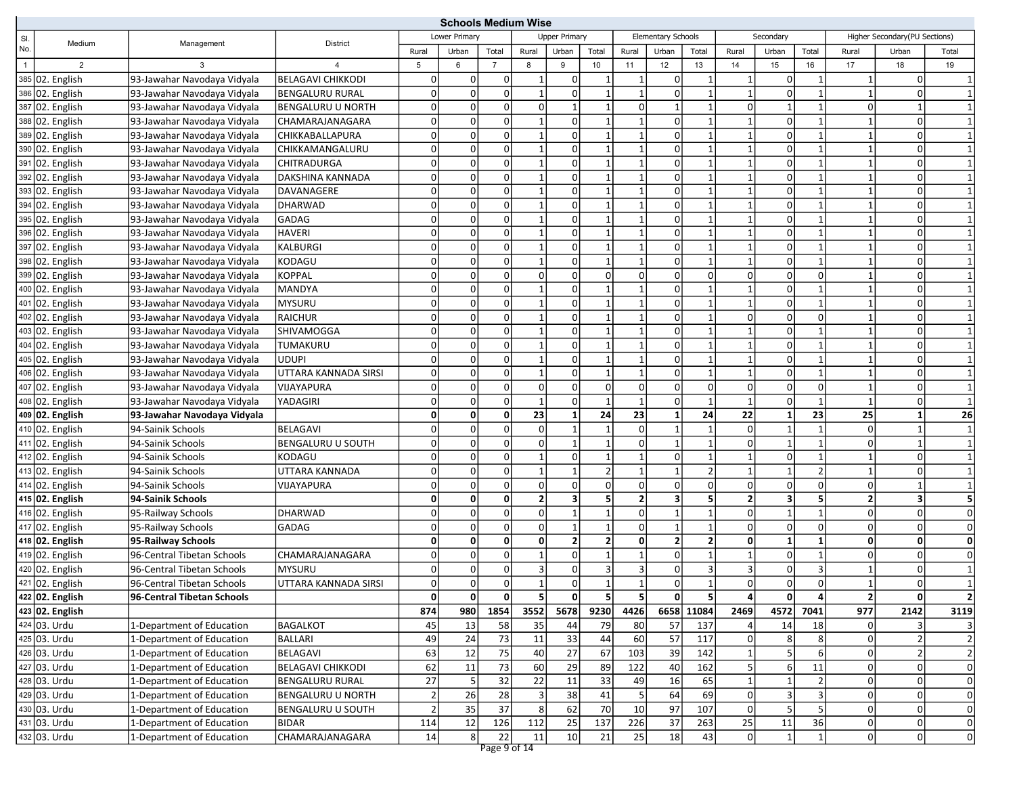|                |                          |                             | <b>Schools Medium Wise</b> |                |                |                |                |                         |                |                         |                         |                |                |                         |                |                |                               |                         |
|----------------|--------------------------|-----------------------------|----------------------------|----------------|----------------|----------------|----------------|-------------------------|----------------|-------------------------|-------------------------|----------------|----------------|-------------------------|----------------|----------------|-------------------------------|-------------------------|
| SI.            | Medium                   | Management                  | <b>District</b>            |                | Lower Primary  |                |                | <b>Upper Primary</b>    |                |                         | Elementary Schools      |                |                | Secondary               |                |                | Higher Secondary(PU Sections) |                         |
| No.            |                          |                             |                            | Rural          | Urban          | Total          | Rural          | Urban                   | Total          | Rural                   | Urban                   | Total          | Rural          | Urban                   | Total          | Rural          | Urban                         | Total                   |
| $\overline{1}$ | $\overline{2}$           | 3                           |                            | 5              | 6              | $\overline{7}$ | 8              | 9                       | 10             | 11                      | 12                      | 13             | 14             | 15                      | 16             | 17             | 18                            | 19                      |
|                | 385 02. English          | 93-Jawahar Navodaya Vidyala | BELAGAVI CHIKKODI          | $\overline{0}$ | $\overline{0}$ | 0              |                | $\overline{0}$          |                | $\mathbf{1}$            | οI                      |                |                | $\overline{0}$          | -1             | -1             | $\overline{0}$                |                         |
|                | 386 02. English          | 93-Jawahar Navodaya Vidyala | <b>BENGALURU RURAL</b>     | 0              | $\Omega$       | $\mathbf 0$    |                | 0                       | $\mathbf{1}$   | $\mathbf{1}$            | οI                      |                |                | $\Omega$                |                | $\mathbf{1}$   | $\Omega$                      |                         |
|                | 387 02. English          | 93-Jawahar Navodaya Vidyala | <b>BENGALURU U NORTH</b>   | $\Omega$       | $\mathbf 0$    | $\pmb{0}$      | n              | $\mathbf{1}$            | $\mathbf{1}$   | $\mathbf 0$             | $\mathbf{1}$            | 1              | $\Omega$       | $\mathbf{1}$            |                | $\overline{0}$ |                               |                         |
|                | 388 02. English          | 93-Jawahar Navodaya Vidyala | CHAMARAJANAGARA            | $\overline{0}$ | $\Omega$       | $\mathbf 0$    |                | 0                       | $\mathbf{1}$   | $\mathbf{1}$            | $\overline{0}$          | 1              |                | $\Omega$                |                | $\mathbf{1}$   | 0                             |                         |
|                | 389 02. English          | 93-Jawahar Navodaya Vidyala | CHIKKABALLAPURA            | 0              | $\mathbf 0$    | 0              |                | 0                       | 1              | $\mathbf{1}$            | 0l                      | 1              |                | 0                       |                | 1              | 0                             |                         |
|                | 390 02. English          | 93-Jawahar Navodaya Vidyala | CHIKKAMANGALURU            | 0              | $\mathbf 0$    | $\pmb{0}$      |                | $\overline{0}$          | 1              | $\mathbf{1}$            | οI                      |                |                | $\Omega$                |                | $\mathbf{1}$   | 0                             |                         |
|                | 391 02. English          | 93-Jawahar Navodaya Vidyala | <b>CHITRADURGA</b>         | 0              | $\Omega$       | $\mathbf 0$    |                | 0                       |                | $\mathbf{1}$            | $\Omega$                |                |                | $\Omega$                |                |                | 0                             |                         |
|                | 392 02. English          | 93-Jawahar Navodaya Vidyala | DAKSHINA KANNADA           | 0              | $\mathbf 0$    | $\mathbf 0$    |                | 0                       | $\mathbf{1}$   | $\mathbf{1}$            | $\overline{0}$          |                |                | $\Omega$                |                |                | $\Omega$                      |                         |
|                | 393 02. English          | 93-Jawahar Navodaya Vidyala | DAVANAGERE                 | 0              | $\mathbf 0$    | $\mathbf 0$    |                | $\mathbf 0$             | 1              | $\mathbf{1}$            | $\Omega$                | 1              |                | 0                       | $\mathbf 1$    | 1              | 0                             |                         |
|                | 394 02. English          | 93-Jawahar Navodaya Vidyala | <b>DHARWAD</b>             | 0              | $\Omega$       | $\mathbf 0$    |                | 0                       |                | $\overline{1}$          | $\overline{0}$          |                |                | $\Omega$                |                |                | 0                             |                         |
|                | 395 02. English          | 93-Jawahar Navodaya Vidyala | GADAG                      | $\overline{0}$ | $\mathbf 0$    | $\pmb{0}$      |                | 0                       | $\mathbf{1}$   | $\mathbf{1}$            | 0                       | 1              |                | $\Omega$                |                | $\mathbf{1}$   | 0                             |                         |
|                | 396 02. English          | 93-Jawahar Navodaya Vidyala | <b>HAVERI</b>              | 0              | 0              | $\mathsf 0$    |                | $\overline{0}$          | 1              | $\mathbf{1}$            | 0l                      |                |                | $\overline{0}$          | $\mathbf 1$    | 1              | $\overline{0}$                |                         |
|                | 397 02. English          | 93-Jawahar Navodaya Vidyala | <b>KALBURGI</b>            | 0              | $\Omega$       | $\mathbf 0$    |                | $\Omega$                |                |                         | $\Omega$                |                |                | $\Omega$                |                |                | $\Omega$                      |                         |
|                | 398 02. English          | 93-Jawahar Navodaya Vidyala | KODAGU                     | 0              | $\mathbf 0$    | $\pmb{0}$      |                | 0                       | $\mathbf{1}$   | $\overline{1}$          | οI                      | 1              |                | $\Omega$                | $\mathbf{1}$   | $\mathbf{1}$   | 0                             |                         |
|                | 399 02. English          | 93-Jawahar Navodaya Vidyala | <b>KOPPAL</b>              | $\overline{0}$ | $\Omega$       | $\mathsf 0$    | n              | $\overline{0}$          | $\overline{0}$ | $\mathbf 0$             | $\overline{0}$          | $\Omega$       | O              | $\Omega$                | $\Omega$       | $\mathbf{1}$   | 0                             |                         |
|                | 400 02. English          | 93-Jawahar Navodaya Vidyala | <b>MANDYA</b>              | 0              | 0              | 0              |                | 0                       | 1              | $\mathbf{1}$            | 0l                      | 1              |                | $\Omega$                |                | 1              | 0                             |                         |
|                | 401 02. English          | 93-Jawahar Navodaya Vidyala | <b>MYSURU</b>              | 0              | $\mathbf 0$    | $\pmb{0}$      |                | $\overline{0}$          | 1              | $\mathbf{1}$            | οI                      | 1              |                | $\overline{0}$          | $\mathbf 1$    | $\mathbf{1}$   | $\Omega$                      |                         |
|                | 402 02. English          | 93-Jawahar Navodaya Vidyala | <b>RAICHUR</b>             | 0              | 0              | $\mathbf 0$    |                | 0                       | 1              | $\mathbf{1}$            | 0                       |                |                | $\overline{0}$          | 0              |                | $\overline{0}$                |                         |
|                | 403 02. English          | 93-Jawahar Navodaya Vidyala | SHIVAMOGGA                 | 0              | $\Omega$       | $\mathbf 0$    |                | $\Omega$                |                |                         | $\Omega$                |                |                | $\Omega$                |                |                | $\Omega$                      |                         |
|                | 404 02. English          | 93-Jawahar Navodaya Vidyala | TUMAKURU                   | $\Omega$       | $\mathbf 0$    | $\mathbf 0$    |                | 0                       | 1              | $\mathbf{1}$            | οI                      | 1              |                | 0                       | $\mathbf 1$    | 1              | 0                             |                         |
|                | 405 02. English          | 93-Jawahar Navodaya Vidyala | <b>UDUPI</b>               | 0              | $\Omega$       | $\mathbf 0$    |                | 0                       | $\mathbf{1}$   | $\overline{1}$          | $\Omega$                | 1              |                | $\Omega$                |                | $\mathbf{1}$   | 0                             |                         |
|                | 406 02. English          | 93-Jawahar Navodaya Vidyala | UTTARA KANNADA SIRSI       | $\overline{0}$ | $\mathbf 0$    | $\pmb{0}$      |                | 0                       | $\mathbf{1}$   | $\mathbf{1}$            | οI                      | 1              |                | $\Omega$                | $\mathbf 1$    | $\mathbf{1}$   | 0                             |                         |
|                | 407 02. English          | 93-Jawahar Navodaya Vidyala | VIJAYAPURA                 | 0              | 0              | $\mathbf 0$    | 0              | $\overline{0}$          | $\overline{0}$ | $\mathbf 0$             | 0l                      | $\overline{0}$ | O              | $\overline{0}$          | 0              | 1              | $\overline{0}$                |                         |
|                | 408 02. English          | 93-Jawahar Navodaya Vidyala | YADAGIRI                   | 0              | $\Omega$       | $\mathbf 0$    |                | 0                       |                |                         | $\Omega$                |                |                | $\Omega$                |                | $\mathbf{1}$   | $\Omega$                      |                         |
|                | 409 02. English          | 93-Jawahar Navodaya Vidyala |                            | 0              | 0              | $\mathbf 0$    | 23             | $\mathbf{1}$            | 24             | 23                      | $\mathbf{1}$            | 24             | 22             | $\mathbf{1}$            | 23             | 25             | 1                             | 26                      |
|                | 410 02. English          | 94-Sainik Schools           | <b>BELAGAVI</b>            | $\Omega$       | $\Omega$       | $\mathbf 0$    | ŋ              |                         | $\mathbf{1}$   | $\mathbf 0$             |                         | 1              | O              | $\mathbf{1}$            |                | $\overline{0}$ |                               |                         |
|                | 411 02. English          | 94-Sainik Schools           | <b>BENGALURU U SOUTH</b>   | 0              | $\mathbf 0$    | 0              |                | $\mathbf{1}$            | $\mathbf{1}$   | $\mathbf 0$             | $\mathbf{1}$            | 1              | $\Omega$       | $\mathbf{1}$            | $\mathbf 1$    | 0              |                               |                         |
|                | 412 02. English          | 94-Sainik Schools           | KODAGU                     | $\Omega$       | $\pmb{0}$      | $\mathbf 0$    |                | 0                       | $\mathbf{1}$   |                         | 0l                      | 1              |                | $\Omega$                | 1              | $\mathbf{1}$   | 0                             |                         |
|                | 413 02. English          | 94-Sainik Schools           | UTTARA KANNADA             | $\overline{0}$ | $\Omega$       | $\pmb{0}$      |                |                         | $\overline{2}$ | $\overline{1}$          | $\mathbf{1}$            | $\overline{2}$ |                | $1\vert$                | $\overline{2}$ | $\mathbf{1}$   | $\overline{0}$                |                         |
|                | 414 02. English          | 94-Sainik Schools           | VIJAYAPURA                 | 0              | $\Omega$       | $\mathbf 0$    | n              | 0                       | $\overline{0}$ | $\mathbf 0$             | $\Omega$                | $\mathbf 0$    | $\Omega$       | $\Omega$                | $\Omega$       | 0              |                               |                         |
|                | 415 02. English          | 94-Sainik Schools           |                            | 0              | 0              | $\pmb{0}$      |                | $\overline{\mathbf{3}}$ | 5 <sup>1</sup> | $\overline{\mathbf{2}}$ | $\overline{\mathbf{3}}$ | 5              | $\overline{2}$ | $\overline{\mathbf{3}}$ | 5              | $\mathbf{2}$   | $\mathbf{3}$                  | 5                       |
|                | 416 02. English          | 95-Railway Schools          | <b>DHARWAD</b>             | 0              | $\Omega$       | $\mathbf 0$    |                |                         | $\mathbf{1}$   | $\mathbf 0$             | $\mathbf{1}$            | 1              | O              | $\mathbf{1}$            | $\mathbf{1}$   | 0              | 0                             | 0                       |
|                | 417 02. English          | 95-Railway Schools          | GADAG                      | $\overline{0}$ | $\mathbf 0$    | $\mathsf 0$    |                |                         | $\mathbf{1}$   | $\mathbf 0$             |                         |                | O              | $\Omega$                | 0              | 0              | 0                             | $\mathbf 0$             |
|                | 418 02. English          | 95-Railway Schools          |                            | 0              | 0              | 0              | 0              | $\mathbf{2}$            | $\mathbf{2}$   | $\mathbf 0$             | $\mathbf{2}$            | 2              | 0              | $\mathbf{1}$            | 1              | $\mathbf{0}$   | 0                             | 0                       |
|                | 419 02. English          | 96-Central Tibetan Schools  | CHAMARAJANAGARA            | 0              | $\Omega$       | $\mathbf 0$    |                | 0                       |                |                         | $\overline{0}$          |                |                | $\Omega$                |                | 0              | 0                             | $\Omega$                |
|                | 420 02. English          | 96-Central Tibetan Schools  | <b>MYSURU</b>              | 0              | $\mathbf 0$    | $\mathbf 0$    |                | 0                       | $\overline{3}$ | 3                       | οI                      | 3              | 3              | $\Omega$                | $\overline{3}$ | $\mathbf{1}$   | 0                             | $\mathbf{1}$            |
|                | $\sqrt{421}$ 02. English | 96-Central Tibetan Schools  | UTTARA KANNADA SIRSI       | 0              | $\Omega$       | $\mathbf 0$    |                | $\Omega$                |                | $\overline{1}$          | $\Omega$                |                | O              | $\Omega$                | O              |                |                               |                         |
|                | 422 02. English          | 96-Central Tibetan Schools  |                            | 0              | 0              | 0              | 51             | 0                       | 5              | 5                       | 0                       | 5              | 4              | 0                       | 4              | $\mathbf{2}$   | 0                             | $\overline{\mathbf{2}}$ |
|                | 423 02. English          |                             |                            | 874            | 980            | 1854           | 3552           | 5678                    | 9230           | 4426                    |                         | 6658 11084     | 2469           | 4572                    | 7041           | 977            | 2142                          | 3119                    |
|                | 424 03. Urdu             | 1-Department of Education   | <b>BAGALKOT</b>            | 45             | 13             | 58             | 35             | 44                      | 79             | 80                      | 57                      | 137            |                | 14                      | 18             | 0              | $\overline{3}$                | 3                       |
|                | 425 03. Urdu             | 1-Department of Education   | BALLARI                    | 49             | 24             | 73             | 11             | 33                      | 44             | 60                      | 57                      | 117            |                | 8                       |                | 0              | 2 <sup>1</sup>                | $\overline{2}$          |
|                | 426 03. Urdu             | 1-Department of Education   | BELAGAVI                   | 63             | 12             | 75             | 40             | 27                      | 67             | 103                     | 39                      | 142            |                | 5 <sub>5</sub>          | 6              | $\Omega$       | 2                             | $\overline{2}$          |
|                | 427 03. Urdu             | 1-Department of Education   | <b>BELAGAVI CHIKKODI</b>   | 62             | 11             | 73             | 60             | 29                      | 89             | 122                     | 40                      | 162            | 5              | $6 \mid$                | 11             | $\Omega$       | $\Omega$                      | 0                       |
|                | 428 03. Urdu             | 1-Department of Education   | <b>BENGALURU RURAL</b>     | 27             | 5              | 32             | 22             | 11                      | 33             | 49                      | 16                      | 65             |                | $\mathbf{1}$            |                | 0              | $\overline{0}$                | $\mathsf{O}$            |
|                | 429 03. Urdu             | 1-Department of Education   | <b>BENGALURU U NORTH</b>   | $\vert$ 2      | 26             | 28             |                | 38                      | 41             | 5                       | 64                      | 69             | 0              | $\overline{\mathbf{3}}$ | 3              | 0              | 0                             | $\mathbf 0$             |
|                | 430 03. Urdu             | 1-Department of Education   | <b>BENGALURU U SOUTH</b>   | $\overline{2}$ | 35             | 37             | 8 <sup>1</sup> | 62                      | 70             | 10                      | 97                      | 107            | $\Omega$       | 5 <sub>5</sub>          | 5              | $\Omega$       | 0                             | $\mathsf{O}$            |
|                | 431 03. Urdu             | 1-Department of Education   | BIDAR                      | 114            | 12             | 126            | 112            | 25                      | 137            | 226                     | 37                      | 263            | 25             | 11                      | 36             | $\Omega$       | 0                             | $\pmb{0}$               |
|                | 432 03. Urdu             | 1-Department of Education   | CHAMARAJANAGARA            | 14             | 8              | 22             | 11             | 10                      | 21             | 25                      | 18                      | 43             | $\overline{0}$ | $\mathbf{1}$            | $\mathbf{1}$   | $\overline{0}$ | 0                             | $\mathbf 0$             |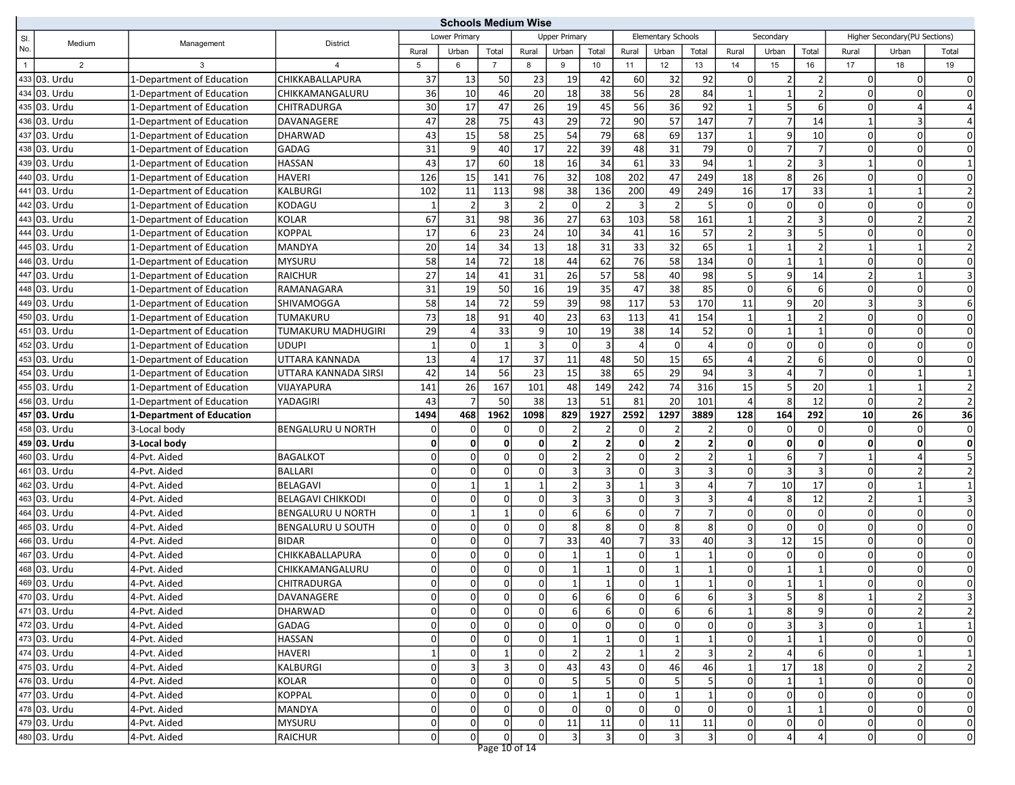|                |                |                           |                          | <b>Schools Medium Wise</b> |                |                |                |                      |                 |                |                    |                |                |                |                |                |                               |                |
|----------------|----------------|---------------------------|--------------------------|----------------------------|----------------|----------------|----------------|----------------------|-----------------|----------------|--------------------|----------------|----------------|----------------|----------------|----------------|-------------------------------|----------------|
| SI.            | Medium         | Management                | <b>District</b>          |                            | Lower Primary  |                |                | <b>Upper Primary</b> |                 |                | Elementary Schools |                |                | Secondary      |                |                | Higher Secondary(PU Sections) |                |
| No.            |                |                           |                          | Rural                      | Urban          | Total          | Rural          | Urban                | Total           | Rural          | Urban              | Total          | Rural          | Urban          | Total          | Rural          | Urban                         | Total          |
| $\overline{1}$ | $\overline{2}$ | 3                         |                          | 5                          | 6              | $\overline{7}$ | 8              | 9                    | 10 <sup>1</sup> | 11             | 12                 | 13             | 14             | 15             | 16             | 17             | 18                            | 19             |
|                | 433 03. Urdu   | 1-Department of Education | CHIKKABALLAPURA          | 37                         | 13             | 50             | 23             | 19                   | 42              | 60             | 32                 | 92             | 0              | $\overline{2}$ | 2              | <sup>0</sup>   | 0l                            | $\Omega$       |
|                | 434 03. Urdu   | 1-Department of Education | CHIKKAMANGALURU          | 36                         | 10             | 46             | 20             | 18                   | 38              | 56             | 28                 | 84             |                | $\overline{1}$ | $\overline{2}$ | $\overline{0}$ | $\mathbf 0$                   | $\Omega$       |
|                | 435 03. Urdu   | 1-Department of Education | CHITRADURGA              | 30                         | 17             | 47             | 26             | 19                   | 45              | 56             | 36                 | 92             | $\mathbf{1}$   | 5              | 6              | $\overline{0}$ | 4                             | $\Delta$       |
|                | 436 03. Urdu   | 1-Department of Education | DAVANAGERE               | 47                         | 28             | 75             | 43             | 29                   | 72              | 90             | 57                 | 147            | $\overline{7}$ | $\overline{7}$ | 14             | 1              | 3                             | $\Delta$       |
|                | 437 03. Urdu   | 1-Department of Education | <b>DHARWAD</b>           | 43                         | 15             | 58             | 25             | 54                   | 79              | 68             | 69                 | 137            | $\mathbf{1}$   | 9              | 10             | $\overline{0}$ | $\Omega$                      | $\Omega$       |
|                | 438 03. Urdu   | 1-Department of Education | <b>GADAG</b>             | 31                         | $\overline{9}$ | 40             | 17             | 22                   | 39              | 48             | 31                 | 79             | 0              | 7              | $\overline{7}$ | $\overline{0}$ | 0                             | $\mathbf 0$    |
|                | 439 03. Urdu   | 1-Department of Education | <b>HASSAN</b>            | 43                         | 17             | 60             | 18             | 16                   | 34              | 61             | 33                 | 94             |                | $\overline{2}$ | $\overline{3}$ | $\mathbf{1}$   | 0                             |                |
|                | 440 03. Urdu   | 1-Department of Education | <b>HAVERI</b>            | 126                        | 15             | 141            | 76             | 32                   | 108             | 202            | 47                 | 249            | 18             | 8              | 26             | $\overline{0}$ | 0                             | $\mathbf 0$    |
|                | 441 03. Urdu   | 1-Department of Education | <b>KALBURGI</b>          | 102                        | 11             | 113            | 98             | 38                   | 136             | 200            | 49                 | 249            | 16             | 17             | 33             | $\mathbf{1}$   |                               | $\overline{2}$ |
|                | 442 03. Urdu   | 1-Department of Education | KODAGU                   | $\mathbf{1}$               | $\overline{2}$ | 3              |                | $\overline{0}$       | $\overline{2}$  | $\overline{3}$ | $\overline{2}$     | 5 <sup>1</sup> | 0              | $\overline{0}$ | $\Omega$       | $\overline{0}$ | 0                             | 0              |
|                | 443 03. Urdu   | 1-Department of Education | <b>KOLAR</b>             | 67                         | 31             | 98             | 36             | 27                   | 63              | 103            | 58                 | 161            |                | $\overline{2}$ | 3              | 0              | $\mathcal{P}$                 | $\overline{2}$ |
|                | 444 03. Urdu   | 1-Department of Education | <b>KOPPAL</b>            | 17                         | $6 \mid$       | 23             | 24             | 10                   | 34              | 41             | 16                 | 57             | $\overline{2}$ | $\overline{3}$ | 5              | $\overline{0}$ | 0                             | $\mathbf 0$    |
|                | 445 03. Urdu   | 1-Department of Education | <b>MANDYA</b>            | 20                         | 14             | 34             | 13             | 18                   | 31              | 33             | 32                 | 65             |                | $\mathbf{1}$   | $\overline{2}$ | $\mathbf{1}$   |                               | $\overline{2}$ |
|                | 446 03. Urdu   | 1-Department of Education | <b>MYSURU</b>            | 58                         | 14             | 72             | 18             | 44                   | 62              | 76             | 58                 | 134            | $\Omega$       | $\mathbf{1}$   | $\mathbf{1}$   | $\overline{0}$ | $\Omega$                      | $\mathbf 0$    |
|                | 447 03. Urdu   | 1-Department of Education | <b>RAICHUR</b>           | 27                         | 14             | 41             | 31             | 26                   | 57              | 58             | 40                 | 98             | .5             | $\overline{9}$ | 14             | $\overline{2}$ | $\mathbf 1$                   |                |
|                | 448 03. Urdu   | 1-Department of Education | RAMANAGARA               | 31                         | 19             | 50             | 16             | 19                   | 35              | 47             | 38                 | 85             | $\Omega$       | 6              | 6              | $\overline{0}$ | $\Omega$                      | $\Omega$       |
|                | 449 03. Urdu   | 1-Department of Education | SHIVAMOGGA               | 58                         | 14             | 72             | 59             | 39                   | 98              | 117            | 53                 | 170            | 11             | $\overline{9}$ | 20             | $\overline{3}$ | 3                             | 6              |
|                | 450 03. Urdu   | 1-Department of Education | TUMAKURU                 | 73                         | 18             | 91             | 40             | 23                   | 63              | 113            | 41                 | 154            | $\mathbf 1$    | $\mathbf{1}$   | $\overline{2}$ | $\overline{0}$ | 0                             | $\mathbf 0$    |
|                | 451 03. Urdu   | 1-Department of Education | TUMAKURU MADHUGIRI       | 29                         |                | 33             | 9              | 10                   | 19              | 38             | 14                 | 52             | $\Omega$       | $\mathbf{1}$   | $\mathbf{1}$   | $\overline{0}$ | 0                             | $\mathbf 0$    |
|                | 452 03. Urdu   | 1-Department of Education | <b>UDUPI</b>             | $\vert$ 1                  | $\overline{0}$ | $\mathbf{1}$   |                | $\overline{0}$       | $\overline{3}$  | $\Delta$       | $\overline{0}$     |                | $\Omega$       | $\Omega$       | $\Omega$       | $\overline{0}$ | 0                             | $\mathbf 0$    |
|                | 453 03. Urdu   | 1-Department of Education | UTTARA KANNADA           | 13                         | $\overline{4}$ | 17             | 37             | 11                   | 48              | 50             | 15                 | 65             | $\Delta$       | $\overline{2}$ | 6              | $\overline{0}$ | 0                             | $\mathbf 0$    |
|                | 454 03. Urdu   | 1-Department of Education | UTTARA KANNADA SIRSI     | 42                         | 14             | 56             | 23             | 15                   | 38              | 65             | 29                 | 94             | 3              | $\overline{4}$ | 7              | 0              |                               |                |
|                | 455 03. Urdu   | 1-Department of Education | VIJAYAPURA               | 141                        | 26             | 167            | 101            | 48                   | 149             | 242            | 74                 | 316            | 15             | 5              | 20             | $\mathbf{1}$   |                               | $\overline{2}$ |
|                | 456 03. Urdu   | 1-Department of Education | YADAGIRI                 | 43                         | $\overline{7}$ | 50             | 38             | 13                   | 51              | 81             | 20                 | 101            | $\Delta$       | 8              | 12             | $\overline{0}$ | $\overline{2}$                | $\overline{2}$ |
|                | 457 03. Urdu   | 1-Department of Education |                          | 1494                       | 468            | 1962           | 1098           | 829                  | 1927            | 2592           | 1297               | 3889           | 128            | 164            | 292            | 10             | 26                            | 36             |
|                | 458 03. Urdu   | 3-Local body              | <b>BENGALURU U NORTH</b> | $\overline{0}$             | $\Omega$       | 0              | n              | $\overline{2}$       | $\mathcal{P}$   | 0              | $\mathfrak{p}$     | 2              | $\Omega$       | $\mathbf 0$    | $\Omega$       | <sup>0</sup>   | 0                             | 0              |
|                | 459 03. Urdu   | 3-Local body              |                          | $\mathbf{0}$               | $\mathbf{0}$   | $\mathbf 0$    | 0              | 2 <sup>1</sup>       | $\overline{2}$  | $\mathbf 0$    | $\overline{2}$     | $\overline{2}$ | O              | $\mathbf{0}$   | $\Omega$       | 0              | $\mathbf{0}$                  | 0              |
|                | 460 03. Urdu   | 4-Pvt. Aided              | <b>BAGALKOT</b>          | 0                          | $\overline{0}$ | 0              | $\Omega$       | 2                    | $\overline{2}$  | $\mathbf 0$    | $\overline{2}$     | 2              |                | 6              | 7              | $\mathbf{1}$   | 4                             | 5              |
|                | 461 03. Urdu   | 4-Pvt. Aided              | <b>BALLARI</b>           | $\Omega$                   | $\Omega$       | $\Omega$       | $\Omega$       | 3                    | 3               | $\mathbf 0$    | 3                  |                | 0              | $\overline{3}$ | 3              | $\overline{0}$ | $\overline{2}$                | $\overline{2}$ |
|                | 462 03. Urdu   | 4-Pvt. Aided              | <b>BELAGAVI</b>          | $\Omega$                   | $\mathbf{1}$   | $\mathbf{1}$   |                | 2                    | 3               | $\overline{1}$ | 3                  |                | $\overline{7}$ | 10             | 17             | $\overline{0}$ |                               |                |
|                | 463 03. Urdu   | 4-Pvt. Aided              | <b>BELAGAVI CHIKKODI</b> | 0                          | $\overline{0}$ | $\mathbf 0$    | $\Omega$       | 3 <sup>1</sup>       | $\overline{3}$  | $\mathbf 0$    | $\overline{3}$     | $\overline{3}$ | $\Delta$       | 8              | 12             | 2              |                               | $\overline{3}$ |
|                | 464 03. Urdu   | 4-Pvt. Aided              | <b>BENGALURU U NORTH</b> | $\Omega$                   | $\mathbf{1}$   | $\mathbf{1}$   | $\Omega$       | 6 <sup>1</sup>       | $6 \mid$        | $\mathbf 0$    | $\overline{7}$     | $\overline{7}$ | $\Omega$       | $\Omega$       | $\Omega$       | $\overline{0}$ | 0                             | $\Omega$       |
|                | 465 03. Urdu   | 4-Pvt. Aided              | <b>BENGALURU U SOUTH</b> | $\Omega$                   | $\overline{0}$ | 0              | n              | 8 <sup>1</sup>       | 8               | $\mathbf 0$    | 8 <sup>1</sup>     | 8              | $\Omega$       | $\overline{0}$ | 0              | 0              | 0                             | $\mathbf 0$    |
|                | 466 03. Urdu   | 4-Pvt. Aided              | <b>BIDAR</b>             | $\overline{0}$             | $\Omega$       | 0              |                | 33                   | 40              | $\overline{7}$ | 33                 | 40             | 3              | 12             | 15             | $\overline{0}$ | $\mathbf 0$                   | $\mathbf 0$    |
|                | 467 03. Urdu   | 4-Pvt. Aided              | CHIKKABALLAPURA          | $\Omega$                   | 0              | 0              | $\Omega$       |                      |                 | $\mathbf 0$    |                    |                | 0              | $\overline{0}$ | $\Omega$       | $\overline{0}$ | 0                             | $\mathbf 0$    |
|                | 468 03. Urdu   | 4-Pvt. Aided              | CHIKKAMANGALURU          | $\Omega$                   | $\Omega$       | 0              | $\Omega$       |                      |                 | $\mathbf 0$    |                    |                | $\Omega$       | $\mathbf{1}$   |                | 0              | $\Omega$                      | $\mathbf 0$    |
|                | 469 03. Urdu   | 4-Pvt. Aided              | CHITRADURGA              | $\overline{0}$             | $\Omega$       | $\mathbf 0$    | $\Omega$       | $1\overline{ }$      | $\mathbf{1}$    | $\mathbf 0$    |                    | $\mathbf{1}$   | $\Omega$       | $\mathbf{1}$   | $\mathbf 1$    | $\Omega$       | n                             | $\Omega$       |
|                | 470 03. Urdu   | 4-Pvt. Aided              | DAVANAGERE               | 0                          | 0              | 0              | 0              | 6                    | 6               | 0              | 6                  | 6              | $\vert$ 3      | $5 \mid$       | 8              | 1              | $\mathbf{2}$                  | 3              |
|                | 471 03. Urdu   | 4-Pvt. Aided              | DHARWAD                  | 0                          | $\overline{0}$ | $\pmb{0}$      | $\Omega$       | $6 \mid$             | 6 <sup>1</sup>  | $\mathbf 0$    | $6 \mid$           | 6              | $\mathbf{1}$   | $\bf 8$        | 9              | $\overline{0}$ | 2 <sup>1</sup>                | $\overline{2}$ |
|                | 472 03. Urdu   | 4-Pvt. Aided              | GADAG                    | $\Omega$                   | $\overline{0}$ | $\mathbf 0$    | $\overline{0}$ | $\overline{0}$       | $\Omega$        | 0              | 0                  | 0              | 0              | $\overline{3}$ | 3              | $\overline{0}$ | $1\vert$                      | $\mathbf{1}$   |
|                | 473 03. Urdu   | 4-Pvt. Aided              | <b>HASSAN</b>            | $\overline{0}$             | $\overline{0}$ | 0              | $\Omega$       |                      |                 | $\mathbf 0$    |                    |                | 0              | $\mathbf{1}$   |                | $\mathbf 0$    | $\Omega$                      | $\mathbf 0$    |
|                | 474 03. Urdu   | 4-Pvt. Aided              | <b>HAVERI</b>            | 1                          | $\overline{0}$ | $\mathbf{1}$   | $\Omega$       | 2                    | $\overline{2}$  | $\mathbf{1}$   | $\overline{2}$     | 3              | $\overline{2}$ | $\overline{4}$ | 6              | $\overline{0}$ | $\mathbf{1}$                  | $\mathbf{1}$   |
|                | 475 03. Urdu   | 4-Pvt. Aided              | KALBURGI                 | $\overline{0}$             | $\vert$ 3      | 3              | $\overline{0}$ | 43                   | 43              | $\mathbf 0$    | 46                 | 46             | 1              | 17             | 18             | 0              | 2                             | $\overline{2}$ |
|                | 476 03. Urdu   | 4-Pvt. Aided              | KOLAR                    | $\Omega$                   | $\overline{0}$ | 0              |                | 5 <sub>l</sub>       | 5               | $\mathbf 0$    | 5                  | 5              | 0              | 1              |                | 0              | 0                             | $\pmb{0}$      |
|                | 477 03. Urdu   | 4-Pvt. Aided              | <b>KOPPAL</b>            | $\Omega$                   | $\overline{0}$ | 0              | 0              | $1\overline{ }$      | 1               | $\mathbf 0$    | $\mathbf{1}$       | $\mathbf{1}$   | 0              | $\overline{0}$ | 0              | $\overline{0}$ | 0                             | $\pmb{0}$      |
|                | 478 03. Urdu   | 4-Pvt. Aided              | MANDYA                   | $\Omega$                   | $\overline{0}$ | $\mathbf 0$    | οı             | $\overline{0}$       | $\Omega$        | $\mathbf 0$    | 0                  | $\overline{0}$ | 0              | $\vert$ 1      |                | $\overline{0}$ | 0                             | $\mathbf 0$    |
|                | 479 03. Urdu   | 4-Pvt. Aided              | <b>MYSURU</b>            | $\overline{0}$             | $\overline{0}$ | 0              | 0              | 11                   | 11              | 0              | 11                 | 11             | 0              | $\overline{0}$ | 0              | 0              | $\Omega$                      | $\mathbf 0$    |
|                | 480 03. Urdu   | 4-Pvt. Aided              | <b>RAICHUR</b>           | 0                          | $\Omega$       | $\mathbf 0$    | οI             | 3                    | 3               | $\mathsf 0$    | $\vert$ 3          | 3              | 0              | $\overline{4}$ | $\overline{4}$ | $\overline{0}$ | 0                             | $\mathbf 0$    |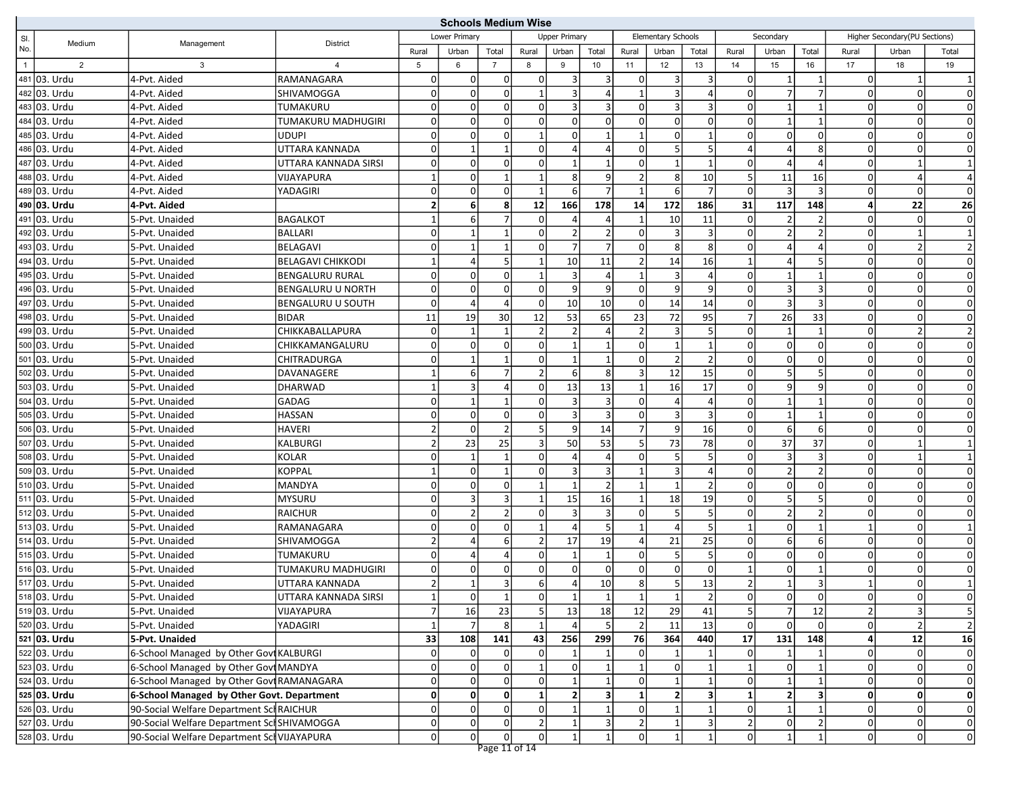|                |                                              |                                             | <b>Schools Medium Wise</b> |                |                        |                                |                      |                              |                 |                               |                      |                   |                |                                 |                |                               |                |                                      |
|----------------|----------------------------------------------|---------------------------------------------|----------------------------|----------------|------------------------|--------------------------------|----------------------|------------------------------|-----------------|-------------------------------|----------------------|-------------------|----------------|---------------------------------|----------------|-------------------------------|----------------|--------------------------------------|
| SI.            | Medium                                       | <b>District</b>                             |                            | Lower Primary  |                        |                                | <b>Upper Primary</b> |                              |                 | Elementary Schools            |                      |                   | Secondary      |                                 |                | Higher Secondary(PU Sections) |                |                                      |
| No.            |                                              | Management                                  |                            | Rural          | Urban                  | Total                          | Rural                | Urban                        | Total           | Rural                         | Urban                | Total             | Rural          | Urban                           | Total          | Rural                         | Urban          | Total                                |
| $\overline{1}$ | 2                                            | 3                                           | $\overline{a}$             | 5              | 6                      | $\overline{7}$                 | 8                    | 9                            | 10 <sup>1</sup> | 11                            | 12                   | 13                | 14             | 15                              | 16             | 17                            | 18             | 19                                   |
| 481            | 03. Urdu                                     | 4-Pvt. Aided                                | RAMANAGARA                 | 0              | $\mathbf{0}$           | 0                              | $\Omega$             | 3                            | 3 <sup>2</sup>  | 0                             | 3                    | 3                 | 0              | $\mathbf{1}$                    | 1              | $\Omega$                      | 1              |                                      |
|                | 482 03. Urdu                                 | 4-Pvt. Aided                                | SHIVAMOGGA                 | $\Omega$       | $\overline{0}$         | $\mathsf 0$                    |                      | 3                            | $\vert$         | $\overline{1}$                | 3                    |                   | $\Omega$       | 7'                              | 7              | $\Omega$                      | 0              | 0                                    |
|                | 483 03. Urdu                                 | 4-Pvt. Aided                                | TUMAKURU                   | $\Omega$       | $\Omega$               | $\mathbf 0$                    | $\Omega$             | 3                            | 3 <sup>1</sup>  | $\Omega$                      | 3                    |                   | $\Omega$       | $\mathbf{1}$                    |                | 0                             | $\Omega$       | $\mathbf 0$                          |
|                | 484 03. Urdu                                 | 4-Pvt. Aided                                | TUMAKURU MADHUGIRI         | 0              | $\overline{0}$         | $\mathbf 0$                    | $\Omega$             | $\Omega$                     | οl              | $\mathbf 0$                   | $\Omega$             | $\Omega$          | $\Omega$       | $\mathbf{1}$                    | $\mathbf{1}$   | $\Omega$                      | 0              | $\mathbf 0$                          |
|                | 485 03. Urdu                                 | 4-Pvt. Aided                                | <b>UDUPI</b>               | 0              | $\overline{0}$         | $\mathsf 0$                    |                      | 0                            | $\mathbf{1}$    | $\overline{1}$                | $\overline{0}$       | $\mathbf 1$       | O              | $\overline{0}$                  | 0              | 0                             | 0              | $\mathbf 0$                          |
|                | 486 03. Urdu                                 | 4-Pvt. Aided                                | UTTARA KANNADA             | $\Omega$       | $\mathbf{1}$           | $\mathbf{1}$                   | $\Omega$             | 4                            | $\vert$         | $\mathbf 0$                   | 5 <sub>l</sub>       | 5                 |                | $\overline{4}$                  | 8              | $\Omega$                      | 0              | $\mathbf 0$                          |
|                | 487 03. Urdu                                 | 4-Pvt. Aided                                | UTTARA KANNADA SIRSI       | 0              | $\overline{0}$         | $\mathbf 0$                    | $\Omega$             | 1                            | $\mathbf{1}$    | $\mathbf 0$                   | $1\vert$             | $\mathbf 1$       | O              | $\vert$                         |                | $\Omega$                      | 1              | $\overline{1}$                       |
|                | 488 03. Urdu                                 | 4-Pvt. Aided                                | VIJAYAPURA                 | $\mathbf 1$    | $\overline{0}$         | $\mathbf{1}$                   |                      | 8                            | $\overline{9}$  | $\overline{2}$                | 8 <sup>1</sup>       | 10                | 5              | 11                              | 16             | $\Omega$                      | 4              | $\overline{4}$                       |
|                | 489 03. Urdu                                 | 4-Pvt. Aided                                | YADAGIRI                   | $\overline{0}$ | $\overline{0}$         | $\overline{0}$                 | $\mathbf 1$          | 6                            | 7 <sup>1</sup>  | $\overline{1}$                | $6 \mid$             | $\overline{7}$    | $\Omega$       | $\overline{3}$                  | $\overline{3}$ | $\Omega$                      | 0              | $\mathbf 0$                          |
|                | 490 03. Urdu                                 | 4-Pvt. Aided                                |                            | $\mathbf{2}$   | 6                      | 8                              | 12                   | 166                          | 178             | 14                            | 172                  | 186               | 31             | 117                             | 148            | 4                             | 22             | 26                                   |
|                | 491 03. Urdu                                 | 5-Pvt. Unaided                              | <b>BAGALKOT</b>            | $\mathbf{1}$   | 6                      | $\overline{7}$                 |                      | 4                            | $\overline{4}$  |                               | 10                   | 11                | $\Omega$       | $\overline{2}$                  |                | 0                             | $\Omega$       | $\mathbf 0$                          |
|                | 492 03. Urdu                                 | 5-Pvt. Unaided                              | <b>BALLARI</b>             | 0              | $\mathbf{1}$           | $\mathbf{1}$                   | $\Omega$             | $\overline{2}$               | 2               | 0                             | $\overline{3}$       | 3                 | $\Omega$       | $\overline{2}$                  |                | $\Omega$                      | $\mathbf{1}$   | $\mathbf{1}$                         |
|                | 493 03. Urdu                                 | 5-Pvt. Unaided                              | <b>BELAGAVI</b>            | $\Omega$       | $\mathbf{1}$           | $\mathbf{1}$                   | $\Omega$             | $\overline{7}$               | $\overline{7}$  | $\mathbf 0$                   | 8 <sup>1</sup>       | 8 <sup>1</sup>    | $\Omega$       | $\vert$                         |                | $\Omega$                      | $\overline{2}$ | $\mathbf 2$                          |
|                | 494 03. Urdu                                 | 5-Pvt. Unaided                              | <b>BELAGAVI CHIKKODI</b>   | 1              | 4                      | 5                              |                      | 10                           | 11              | $\mathcal{I}$                 | 14                   | 16                |                | 4                               |                | 0                             | $\Omega$       | $\mathbf 0$                          |
|                | 495 03. Urdu                                 | 5-Pvt. Unaided                              | <b>BENGALURU RURAL</b>     | 0              | $\overline{0}$         | $\mathbf 0$                    |                      | 3                            | $\vert 4 \vert$ | $\overline{1}$                | $\overline{3}$       | 4                 | $\Omega$       | $1\vert$                        | $\mathbf{1}$   | $\Omega$                      | 0              | $\mathbf 0$                          |
|                | 496 03. Urdu                                 | 5-Pvt. Unaided                              | <b>BENGALURU U NORTH</b>   | $\Omega$       | $\overline{0}$         | $\mathsf 0$                    | $\Omega$             | 9                            | $\overline{9}$  | $\mathbf 0$                   | $\overline{9}$       | 9                 | $\Omega$       | $\overline{3}$                  | 3              | 0                             | 0              | $\mathbf 0$                          |
|                | 497 03. Urdu                                 | 5-Pvt. Unaided                              | <b>BENGALURU U SOUTH</b>   | 0              | $\overline{4}$         | $\overline{4}$                 | $\Omega$             | 10                           | 10              | $\mathbf 0$                   | 14                   | 14                | 0              | $\overline{3}$                  | 3              | $\Omega$                      | 0              | $\mathbf 0$                          |
|                | 498 03. Urdu                                 | 5-Pvt. Unaided                              | <b>BIDAR</b>               | 11             | 19                     | 30                             | 12                   | 53                           | 65              | 23                            | 72                   | 95                | 7              | 26                              | 33             | $\Omega$                      | 0              | $\mathbf 0$                          |
|                | 499 03. Urdu                                 | 5-Pvt. Unaided                              | <b>CHIKKABALLAPURA</b>     | $\mathbf 0$    | $\mathbf{1}$           | $\mathbf{1}$                   |                      | $\overline{2}$               | $\vert$         | $\overline{2}$                | $\vert$ 3            | 5                 | 0              | $\mathbf{1}$                    |                | $\mathbf 0$                   | $\overline{2}$ | $\overline{2}$                       |
|                | 500 03. Urdu                                 | 5-Pvt. Unaided                              | CHIKKAMANGALURU            | $\Omega$       | $\overline{0}$         | $\mathbf 0$                    | $\Omega$             | $\mathbf{1}$                 | 1               | $\mathbf 0$                   | $\mathbf{1}$         | $\mathbf{1}$      | $\Omega$       | $\Omega$                        | $\Omega$       | $\Omega$                      | 0              | $\mathbf 0$                          |
|                | 501 03. Urdu                                 | 5-Pvt. Unaided                              | CHITRADURGA                | $\Omega$       | 1                      | $\mathbf{1}$                   | $\Omega$             | $\mathbf{1}$                 | $1\vert$        | $\mathbf 0$                   | $\overline{2}$       | $\mathfrak{p}$    | $\Omega$       | $\Omega$                        | $\Omega$       | $\Omega$                      | 0              | $\mathbf 0$                          |
|                | 502 03. Urdu                                 | 5-Pvt. Unaided                              | DAVANAGERE                 | $\mathbf{1}$   | $6 \mid$               | $\overline{7}$                 |                      | $6 \overline{6}$             | 8               | $\overline{3}$                | 12                   | 15                | $\Omega$       | 5 <sup>1</sup>                  | .5             | 0                             | $\Omega$       | $\mathbf 0$                          |
|                | 503 03. Urdu                                 | 5-Pvt. Unaided                              | <b>DHARWAD</b>             | $\mathbf{1}$   | 3                      | $\overline{a}$                 | $\Omega$             | 13                           | 13              | -1                            | 16                   | 17                | $\Omega$       | $\overline{9}$                  | 9              | $\Omega$                      | 0              | $\mathbf 0$                          |
|                | 504 03. Urdu                                 | 5-Pvt. Unaided                              | <b>GADAG</b>               | $\overline{0}$ | $\mathbf{1}$           | $\mathbf{1}$                   | $\Omega$             | 3                            | 3 <sup>1</sup>  | $\mathbf 0$                   | $\overline{4}$       | 4                 | $\Omega$       | $\mathbf{1}$                    | $\mathbf{1}$   | $\Omega$                      | $\overline{0}$ | $\mathbf 0$                          |
|                | 505 03. Urdu                                 | 5-Pvt. Unaided                              | <b>HASSAN</b>              | 0              | $\overline{0}$         | $\mathbf 0$                    | n                    | 3                            | $\overline{3}$  | $\Omega$                      | $\vert$ 3            | 3                 | 0              | $1\vert$                        | $\mathbf 1$    | 0                             | $\Omega$       | $\mathbf 0$                          |
|                | 506 03. Urdu                                 | 5-Pvt. Unaided                              | <b>HAVERI</b>              | $\overline{2}$ | $\overline{0}$         | $\overline{2}$                 |                      | $\overline{9}$               | 14              | $\overline{7}$                | $\overline{9}$       | 16                | $\Omega$       | $6 \mid$                        | 6              | $\Omega$                      | 0              | $\mathbf 0$                          |
|                | 507 03. Urdu                                 | 5-Pvt. Unaided                              | <b>KALBURGI</b>            | $\overline{2}$ | 23                     | 25                             | 3                    | 50                           | 53              | 5                             | 73                   | 78                | $\Omega$       | 37                              | 37             | $\Omega$                      |                |                                      |
|                | 508 03. Urdu                                 | 5-Pvt. Unaided                              | <b>KOLAR</b>               | 0              | 1                      | $\mathbf{1}$                   |                      | 4                            | $\vert 4 \vert$ | $\Omega$                      | 5 <sub>l</sub>       | 5                 | $\Omega$       | $\overline{3}$                  |                | 0                             | $\mathbf 1$    | $\overline{1}$                       |
|                | 509 03. Urdu                                 | 5-Pvt. Unaided                              | <b>KOPPAL</b>              | $\mathbf{1}$   | $\overline{0}$         | $\mathbf{1}$                   | $\Omega$             | 3                            | 3               | $\mathbf{1}$                  | $\overline{3}$       | 4                 | 0              | $\overline{2}$                  | 2              | $\Omega$                      | 0              | $\mathbf 0$                          |
|                | 510 03. Urdu                                 | 5-Pvt. Unaided                              | <b>MANDYA</b>              | $\Omega$       | $\Omega$               | $\mathbf 0$                    |                      |                              | $\overline{2}$  |                               |                      |                   | $\Omega$       | $\Omega$                        | 0              | 0                             | $\mathbf 0$    | $\mathbf 0$                          |
|                | 511 03. Urdu                                 | 5-Pvt. Unaided                              | <b>MYSURU</b>              | $\Omega$       | 3                      | $\overline{3}$                 |                      | 15                           | 16              | $\overline{1}$                | 18                   | 19                | $\Omega$       | 5 <sup>1</sup>                  |                | $\Omega$                      | 0              | $\mathbf 0$                          |
|                | 512 03. Urdu                                 | 5-Pvt. Unaided                              | <b>RAICHUR</b>             | $\Omega$       | $\overline{2}$         | $\sqrt{2}$                     | ŋ                    | 3                            | $\overline{3}$  | $\mathbf 0$                   | 5 <sup>1</sup>       | 5                 | $\Omega$       | $\overline{2}$                  | 2              | 0                             | 0              | $\mathbf 0$                          |
|                | 513 03. Urdu                                 | 5-Pvt. Unaided                              | RAMANAGARA                 | 0              | $\overline{0}$         | $\mathbf 0$                    |                      | 4                            | 5 <sup>1</sup>  | $\mathbf{1}$                  | $\vert$              | 5                 | $\mathbf{1}$   | $\Omega$                        | $\mathbf 1$    | $\mathbf{1}$                  | $\Omega$       |                                      |
| 514            | 03. Urdu                                     | 5-Pvt. Unaided                              | SHIVAMOGGA                 | $\overline{2}$ | $\overline{4}$         | 6                              |                      | 17                           | 19              | $\overline{4}$                | 21                   | 25                | $\Omega$       | $6 \overline{6}$                | 6              | $\Omega$                      | $\mathbf 0$    | $\mathbf 0$                          |
|                | 515 03. Urdu                                 | 5-Pvt. Unaided                              | TUMAKURU                   | $\Omega$       | 4                      | $\overline{4}$                 | $\Omega$             | 1                            | $\mathbf{1}$    | $\mathbf 0$                   | 5 <sub>l</sub>       | 5                 |                | $\Omega$                        | <sup>0</sup>   | 0                             | 0              | $\mathbf 0$                          |
|                | 516 03. Urdu                                 | 5-Pvt. Unaided                              | TUMAKURU MADHUGIRI         | 0              | $\overline{0}$         | 0                              | $\Omega$             | $\mathbf 0$                  | $\overline{0}$  | $\mathbf 0$                   | $\overline{0}$       | $\overline{0}$    |                | $\overline{0}$                  |                | 0                             | 0              | $\mathbf 0$                          |
|                | 517 03. Urdu                                 | 5-Pvt. Unaided                              | UTTARA KANNADA             | $\overline{2}$ | 1                      | $\overline{3}$                 | 6                    | 4                            | 10 <sup>1</sup> | 8                             | 5 <sup>1</sup>       | 13                | $\overline{2}$ |                                 |                |                               |                |                                      |
|                | 518 03. Urdu                                 | 5-Pvt. Unaided                              | UTTARA KANNADA SIRSI       | $\vert$ 1      | 0                      | $\mathbf{1}$                   | 0                    | $\mathbf{1}$                 | $1\vert$        | 1                             | 1                    | $\overline{2}$    | 0              | 0                               | 0              | 0                             | 0              | $\mathbf{0}$                         |
|                | 519 03. Urdu                                 | 5-Pvt. Unaided                              | VIJAYAPURA                 | $\overline{7}$ | 16                     | 23                             |                      | 13                           | 18              | 12                            | 29                   | 41                | 5              | 7                               | 12             | $\overline{2}$                | 3              | 5                                    |
|                | 520 03. Urdu<br>521 03. Urdu                 | 5-Pvt. Unaided                              | YADAGIRI                   | $\mathbf{1}$   | $\overline{7}$         | 8                              |                      | 4                            | 5               | $\overline{2}$                | 11                   | 13                | 0              | $\overline{0}$                  |                | $\Omega$                      | 2              | $\overline{2}$                       |
|                |                                              | 5-Pvt. Unaided                              |                            | 33             | 108                    | 141                            | 43                   | 256                          | 299             | 76                            | 364                  | 440               | 17             | 131                             | 148            | 4                             | $12$           | 16                                   |
|                | 522 03. Urdu<br>523 03. Urdu<br>524 03. Urdu | 6-School Managed by Other Govi KALBURGI     |                            | 0              | $\overline{0}$         | $\pmb{0}$                      | $\Omega$             |                              |                 | $\mathbf 0$                   |                      |                   |                |                                 |                | $\Omega$                      | $\Omega$       | $\overline{\mathbf{0}}$              |
|                |                                              | 6-School Managed by Other Govt MANDYA       |                            | 0              | $\overline{0}$         | $\mathbf 0$                    |                      | $\overline{0}$               | $1\vert$        | $\mathbf{1}$                  | $\Omega$             |                   |                | $\overline{0}$                  |                | $\Omega$                      | 0              | $\mathbf 0$                          |
|                |                                              | 6-School Managed by Other GovtRAMANAGARA    |                            | 0              | $\overline{0}$         | $\mathbf 0$                    | $\overline{0}$       |                              | $\mathbf{1}$    | $\mathbf 0$                   |                      |                   | $\Omega$       | $\mathbf{1}$                    |                | $\overline{0}$                | $\Omega$       | $\pmb{0}$<br>$\overline{\mathbf{0}}$ |
|                | 525 03. Urdu                                 | 6-School Managed by Other Govt. Department  |                            | 0              | 0 <br>$\overline{0}$   | $\mathbf 0$<br>$\mathbf 0$     | 1                    | $\mathbf{2}$                 | $\vert$         | $\mathbf{1}$<br>$\mathbf 0$   | $\mathbf{2}$         | 3 <sup>1</sup>    | 1              | $\mathbf{2}$<br>$1\overline{ }$ | 3              | 0                             | 0              |                                      |
|                | 526 03. Urdu<br>527 03. Urdu                 | 90-Social Welfare Department Scl RAICHUR    |                            | 0              |                        |                                | $\overline{0}$       | $\mathbf{1}$<br>$\mathbf{1}$ | $1\vert$        |                               |                      |                   |                |                                 |                | 0                             | 0              | $\mathsf{O}$                         |
|                | 528 03. Urdu                                 | 90-Social Welfare Department SclSHIVAMOGGA  |                            | 0              | $\boldsymbol{0}$<br> 0 | $\mathsf{O}\xspace$<br>$\circ$ | 0l                   | $\mathbf{1}$                 | 3<br>1          | $\overline{2}$<br>$\mathbf 0$ | $1\vert$<br>$1\vert$ | 3<br>$\mathbf{1}$ | $\mathbf{0}$   | $\Omega$<br>1                   | $\mathbf{1}$   | $\Omega$                      | 0              | $\pmb{0}$<br>$\pmb{0}$               |
|                |                                              | 90-Social Welfare Department Scl VIJAYAPURA |                            | 0              |                        |                                |                      |                              |                 |                               |                      |                   |                |                                 |                | $\overline{0}$                | 0              |                                      |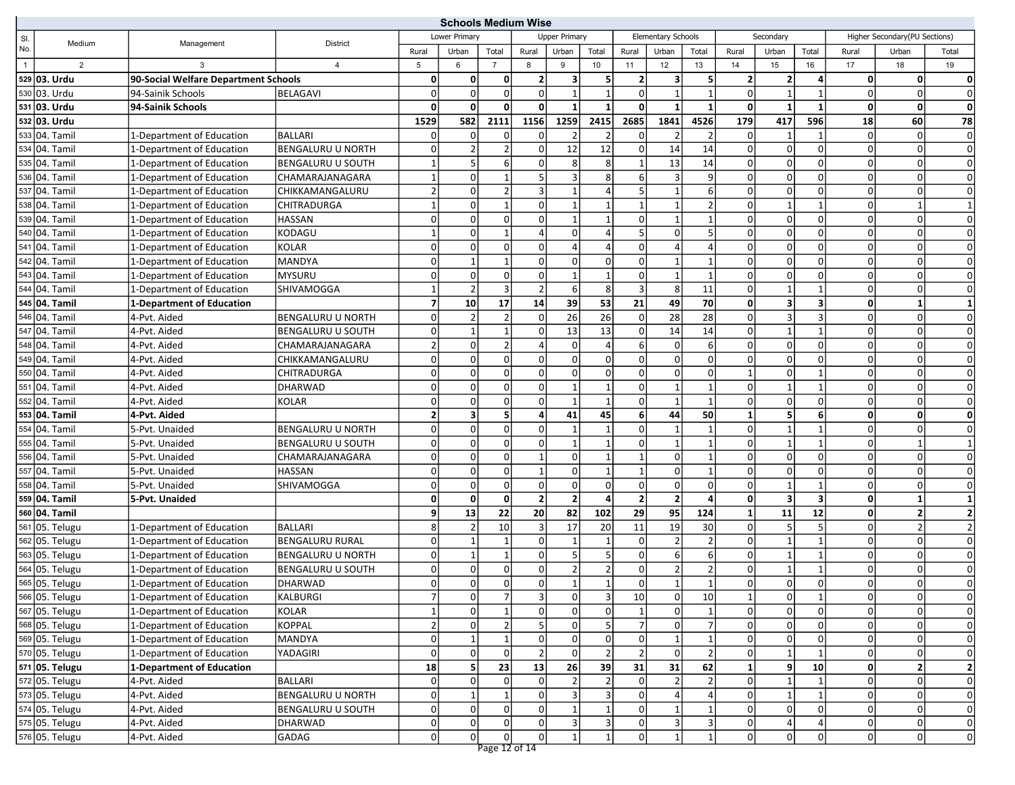|                |                |                                      |                          | <b>Schools Medium Wise</b> |                |                |                          |                         |                |                         |                         |                |              |                         |              |                |                               |                |
|----------------|----------------|--------------------------------------|--------------------------|----------------------------|----------------|----------------|--------------------------|-------------------------|----------------|-------------------------|-------------------------|----------------|--------------|-------------------------|--------------|----------------|-------------------------------|----------------|
| SI.            | Medium         | Management                           | <b>District</b>          |                            | Lower Primary  |                |                          | <b>Upper Primary</b>    |                |                         | Elementary Schools      |                |              | Secondary               |              |                | Higher Secondary(PU Sections) |                |
| No.            |                |                                      |                          | Rural                      | Urban          | Total          | Rural                    | Urban                   | Total          | Rural                   | Urban                   | Total          | Rural        | Urban                   | Total        | Rural          | Urban                         | Total          |
| $\overline{1}$ | $\overline{2}$ | 3                                    | $\overline{4}$           | 5                          | 6              | $\overline{7}$ | 8                        | 9                       | 10             | 11                      | 12                      | 13             | 14           | 15                      | 16           | 17             | 18                            | 19             |
|                | 529 03. Urdu   | 90-Social Welfare Department Schools |                          | 0                          | 0              | 0              |                          | $\overline{\mathbf{3}}$ | 5              | $\overline{2}$          | $\overline{\mathbf{3}}$ | 5              | 2            | $\overline{2}$          | 4            | $\mathbf{0}$   | Οl                            | $\mathbf 0$    |
|                | 530 03. Urdu   | 94-Sainik Schools                    | <b>BELAGAVI</b>          | $\overline{0}$             | $\mathbf 0$    | $\mathbf 0$    | n                        | $\mathbf{1}$            | $\mathbf{1}$   | $\mathbf 0$             | $\mathbf{1}$            |                | $\Omega$     | $\mathbf{1}$            | $\mathbf{1}$ | $\overline{0}$ | $\Omega$                      | 0              |
|                | 531 03. Urdu   | 94-Sainik Schools                    |                          | $\mathbf{0}$               | 0              | $\Omega$       | 0                        | $\mathbf{1}$            | 1              | $\mathbf 0$             | $\mathbf{1}$            |                | $\mathbf 0$  | $\mathbf{1}$            | $\mathbf{1}$ | $\mathbf{0}$   | 0                             | $\mathbf 0$    |
|                | 532 03. Urdu   |                                      |                          | 1529                       | 582            | 2111           | 1156                     | 1259                    | 2415           | 2685                    | 1841                    | 4526           | 179          | 417                     | 596          | 18             | 60                            | 78             |
|                | 533 04. Tamil  | 1-Department of Education            | <b>BALLARI</b>           | 0                          | $\mathbf 0$    | 0              |                          | 2                       | $\overline{2}$ | 0                       | $\overline{2}$          |                | $\Omega$     | 1                       | $\mathbf 1$  | $\overline{0}$ | 0                             | $\mathbf 0$    |
|                | 534 04. Tamil  | 1-Department of Education            | <b>BENGALURU U NORTH</b> | 0                          | $\overline{2}$ | $\overline{2}$ |                          | 12                      | 12             | $\mathbf 0$             | 14                      | 14             | 0            | $\overline{0}$          | $\Omega$     | $\Omega$       | $\mathbf 0$                   | $\mathbf 0$    |
|                | 535 04. Tamil  | 1-Department of Education            | BENGALURU U SOUTH        | $\mathbf{1}$               | 5              | 6              |                          | 8                       | 8              |                         | 13                      | 14             | O            | $\overline{0}$          | <sup>0</sup> | $\Omega$       | 0                             | $\mathbf 0$    |
|                | 536 04. Tamil  | 1-Department of Education            | CHAMARAJANAGARA          | $\mathbf{1}$               | $\mathbf 0$    | $\mathbf{1}$   |                          | 3                       | 8 <sup>1</sup> | 6                       | 3                       | 9              | $\Omega$     | $\Omega$                | $\Omega$     | $\Omega$       | $\Omega$                      | $\mathbf 0$    |
|                | 537 04. Tamil  | 1-Department of Education            | CHIKKAMANGALURU          | 2                          | 0              | $\overline{2}$ |                          | $\mathbf{1}$            | $\overline{4}$ | 5                       | $\mathbf 1$             | 6              | $\Omega$     | $\Omega$                | $\Omega$     | $\Omega$       | 0                             | $\mathbf 0$    |
|                | 538 04. Tamil  | 1-Department of Education            | CHITRADURGA              | $\mathbf{1}$               | $\mathbf 0$    | $\overline{1}$ |                          |                         | 1              | $\overline{1}$          |                         | 2              | $\Omega$     | $\mathbf{1}$            |              | $\Omega$       |                               |                |
|                | 539 04. Tamil  | 1-Department of Education            | <b>HASSAN</b>            | $\overline{0}$             | $\mathbf 0$    | $\mathbf 0$    |                          |                         | $\mathbf{1}$   | $\mathbf 0$             | $\mathbf{1}$            |                | $\Omega$     | $\Omega$                | 0            | $\Omega$       | 0                             | $\mathbf 0$    |
|                | 540 04. Tamil  | 1-Department of Education            | KODAGU                   | $\mathbf{1}$               | $\mathbf 0$    | $\mathbf{1}$   |                          | $\overline{0}$          | $\overline{4}$ | 5                       | 0l                      |                | O            | $\overline{0}$          | $\Omega$     | $\Omega$       | 0                             | $\mathbf 0$    |
|                | 541 04. Tamil  | 1-Department of Education            | <b>KOLAR</b>             | $\overline{0}$             | $\Omega$       | $\mathbf 0$    | $\Omega$                 | $\Delta$                | $\overline{4}$ | $\mathbf 0$             | Δ                       |                | $\Omega$     | $\Omega$                | $\Omega$     | $\Omega$       | $\Omega$                      | $\mathbf 0$    |
|                | 542 04. Tamil  | 1-Department of Education            | <b>MANDYA</b>            | 0                          | $\mathbf 1$    | $\mathbf{1}$   | $\Omega$                 | $\mathbf 0$             | 0              | $\mathbf 0$             | $\mathbf{1}$            |                | $\Omega$     | $\Omega$                | $\Omega$     | $\Omega$       | 0                             | $\mathbf 0$    |
|                | 543 04. Tamil  | 1-Department of Education            | <b>MYSURU</b>            | 0                          | $\mathbf 0$    | $\mathbf 0$    | $\Omega$                 | $\mathbf{1}$            | $\mathbf{1}$   | $\mathbf 0$             | $\mathbf{1}$            | 1              | $\Omega$     | $\Omega$                | $\Omega$     | $\overline{0}$ | $\overline{0}$                | $\mathbf 0$    |
|                | 544 04. Tamil  | 1-Department of Education            | SHIVAMOGGA               | 1                          | $\overline{2}$ | 3              |                          | 6                       | 8 <sup>°</sup> | 3                       | 8                       | 11             | 0            | $1\vert$                | $\mathbf 1$  | 0              | 0                             | $\mathbf 0$    |
|                | 545 04. Tamil  | 1-Department of Education            |                          | 7 <sup>1</sup>             | 10             | 17             | 14                       | 39                      | 53             | 21                      | 49                      | 70             | 0            | $\overline{\mathbf{3}}$ | 3            | $\mathbf{0}$   | 1                             | $\mathbf{1}$   |
|                | 546 04. Tamil  | 4-Pvt. Aided                         | <b>BENGALURU U NORTH</b> | 0                          | 2              | $\overline{2}$ | 0                        | 26                      | 26             | $\mathbf 0$             | 28                      | 28             | 0            | $\overline{3}$          | 3            | $\overline{0}$ | 0                             | $\mathbf 0$    |
|                | 547 04. Tamil  | 4-Pvt. Aided                         | <b>BENGALURU U SOUTH</b> | $\mathbf 0$                | $\mathbf{1}$   | $\overline{1}$ |                          | 13                      | 13             | $\Omega$                | 14                      | 14             | $\Omega$     | $\mathbf{1}$            | $\mathbf{1}$ | 0              | $\Omega$                      | $\mathbf 0$    |
|                | 548 04. Tamil  | 4-Pvt. Aided                         | CHAMARAJANAGARA          | $\overline{2}$             | $\mathbf 0$    | $\overline{2}$ |                          | $\mathbf 0$             | $\vert$        | 6                       | 0l                      | 6              | $\Omega$     | $\Omega$                | $\Omega$     | $\Omega$       | 0                             | $\mathbf 0$    |
|                | 549 04. Tamil  | 4-Pvt. Aided                         | CHIKKAMANGALURU          | 0                          | $\mathbf 0$    | $\mathbf 0$    | $\Omega$                 | $\mathbf 0$             | οl             | $\mathbf 0$             | $\Omega$                | $\overline{0}$ | $\Omega$     | $\Omega$                | $\Omega$     | 0              | 0                             | $\mathbf 0$    |
|                | 550 04. Tamil  | 4-Pvt. Aided                         | CHITRADURGA              | $\overline{0}$             | $\mathbf 0$    | $\pmb{0}$      |                          | 0                       | 0              | $\mathbf 0$             | 0                       | $\overline{0}$ |              | $\Omega$                | $\mathbf 1$  | $\Omega$       | 0                             | $\mathbf 0$    |
|                | 551 04. Tamil  | 4-Pvt. Aided                         | <b>DHARWAD</b>           | 0                          | $\mathbf 0$    | $\mathsf 0$    | $\Omega$                 | 1                       | $\mathbf{1}$   | $\mathbf 0$             | 1                       |                | O            | $\mathbf{1}$            | $\mathbf 1$  | $\overline{0}$ | 0                             | $\mathbf 0$    |
|                | 552 04. Tamil  | 4-Pvt. Aided                         | <b>KOLAR</b>             | 0                          | $\Omega$       | $\mathbf 0$    | $\Omega$                 |                         | $\mathbf{1}$   | $\Omega$                |                         |                | $\Omega$     | $\Omega$                | $\Omega$     | $\Omega$       | $\Omega$                      | $\mathbf 0$    |
|                | 553 04. Tamil  | 4-Pvt. Aided                         |                          | 2                          | 3              | 5              |                          | 41                      | 45             | 6                       | 44                      | 50             |              | 5 <sub>5</sub>          | 6            | $\mathbf{0}$   | 0                             | $\mathbf 0$    |
|                | 554 04. Tamil  | 5-Pvt. Unaided                       | <b>BENGALURU U NORTH</b> | 0                          | $\mathbf 0$    | $\mathbf 0$    | $\Omega$                 |                         | $\mathbf{1}$   | $\mathbf 0$             | $\mathbf{1}$            | 1              | $\Omega$     | $\mathbf{1}$            | $\mathbf{1}$ | $\overline{0}$ | 0                             | $\mathbf 0$    |
|                | 555 04. Tamil  | 5-Pvt. Unaided                       | <b>BENGALURU U SOUTH</b> | 0                          | $\mathbf 0$    | $\mathbf 0$    | ŋ                        | $\mathbf{1}$            | $\mathbf{1}$   | $\mathbf 0$             | $\mathbf{1}$            | $\mathbf{1}$   | $\Omega$     | $\mathbf{1}$            | $\mathbf{1}$ | 0              | $\mathbf 1$                   |                |
|                | 556 04. Tamil  | 5-Pvt. Unaided                       | CHAMARAJANAGARA          | 0                          | $\pmb{0}$      | $\pmb{0}$      |                          | $\mathbf 0$             | 1              | $\mathbf{1}$            | 0l                      | 1              | 0            | $\Omega$                | 0            | 0              | 0                             | $\mathbf 0$    |
|                | 557 04. Tamil  | 5-Pvt. Unaided                       | <b>HASSAN</b>            | 0                          | $\mathbf 0$    | $\pmb{0}$      |                          | $\overline{0}$          | $\mathbf{1}$   | $\overline{1}$          | $\Omega$                |                | $\Omega$     | $\overline{0}$          | 0            | $\Omega$       | 0                             | $\mathbf 0$    |
|                | 558 04. Tamil  | 5-Pvt. Unaided                       | SHIVAMOGGA               | 0                          | $\mathbf 0$    | $\mathbf 0$    | $\Omega$                 | $\mathbf 0$             | $\overline{0}$ | $\mathbf 0$             | 0                       | $\Omega$       | $\Omega$     | $\mathbf{1}$            |              | 0              | 0                             | $\mathbf 0$    |
|                | 559 04. Tamil  | 5-Pvt. Unaided                       |                          | $\mathbf{0}$               | 0              | $\mathbf 0$    | $\overline{\phantom{a}}$ | $\overline{2}$          | $\overline{4}$ | $\overline{\mathbf{2}}$ | $\overline{2}$          | 4              | $\mathbf 0$  | $\overline{\mathbf{3}}$ | 3            | $\mathbf{0}$   | 1                             |                |
|                | 560 04. Tamil  |                                      |                          | 9                          | 13             | 22             | 20                       | 82                      | 102            | 29                      | 95                      | 124            | $\mathbf{1}$ | 11                      | 12           | $\mathbf{0}$   | 2                             | $\overline{2}$ |
|                | 561 05. Telugu | 1-Department of Education            | <b>BALLARI</b>           | 8 <sup>1</sup>             | $\overline{2}$ | 10             |                          | 17                      | 20             | 11                      | 19                      | 30             | 0            | 5 <sub>5</sub>          | .5           | $\Omega$       | $\overline{2}$                | $\overline{2}$ |
|                | 562 05. Telugu | 1-Department of Education            | <b>BENGALURU RURAL</b>   | 0                          | 1              | $\mathbf{1}$   | 0                        | 1                       | 1              | $\mathbf 0$             | $\overline{2}$          | 2              | 0            | $\vert$ 1               | 1            | $\Omega$       | 0                             | $\mathbf 0$    |
|                | 563 05. Telugu | 1-Department of Education            | <b>BENGALURU U NORTH</b> | 0                          |                | $\overline{1}$ |                          | 5                       | 5              | $\mathbf 0$             | $6 \mid$                | 6              | $\Omega$     | $\mathbf{1}$            |              | $\Omega$       | 0                             | $\mathbf 0$    |
|                | 564 05. Telugu | 1-Department of Education            | <b>BENGALURU U SOUTH</b> | 0                          | $\mathbf 0$    | $\mathbf 0$    | $\Omega$                 | $\overline{2}$          | $\overline{2}$ | $\mathbf 0$             | 2 <sup>1</sup>          | $\overline{2}$ | 0            | $\vert$ 1               | $\mathbf{1}$ | $\Omega$       | 0                             | $\mathbf 0$    |
|                | 565 05. Telugu | 1-Department of Education            | DHARWAD                  | 0                          | $\Omega$       | $\mathbf 0$    |                          |                         |                | $\Omega$                |                         |                | $\Omega$     | $\Omega$                | O            | $\Omega$       | 0                             | $\Omega$       |
|                | 566 05. Telugu | 1-Department of Education            | KALBURGI                 | 7                          | 0              | 7              | 31                       | $\overline{0}$          | 3              | 10                      | 0                       | 10             | $\mathbf{1}$ | 0                       | 1            | 0              | 0                             | $\overline{0}$ |
|                | 567 05. Telugu | 1-Department of Education            | <b>KOLAR</b>             | $1\overline{ }$            | $\overline{0}$ | $\mathbf 1$    | $\Omega$                 | $\overline{0}$          | $\overline{0}$ | $\mathbf{1}$            | $\circ$                 | $\mathbf{1}$   | $\mathbf 0$  | $\mathbf 0$             | $\Omega$     | $\overline{0}$ | 0                             | $\pmb{0}$      |
|                | 568 05. Telugu | 1-Department of Education            | <b>KOPPAL</b>            | $\overline{2}$             | $\mathbf 0$    | $\overline{2}$ |                          | $\overline{0}$          | 5 <sup>1</sup> | $\overline{7}$          | 0l                      |                |              | $\overline{0}$          |              | 0              | 0                             | $\mathsf{O}$   |
|                | 569 05. Telugu | 1-Department of Education            | <b>MANDYA</b>            | 0                          |                | $\mathbf{1}$   |                          | 0                       | 0              | $\mathbf 0$             | 1                       |                |              | $\overline{0}$          |              | 0              | $\Omega$                      | $\mathbf 0$    |
|                | 570 05. Telugu | 1-Department of Education            | YADAGIRI                 | $\Omega$                   | $\Omega$       | $\pmb{0}$      |                          | $\overline{0}$          | $\overline{2}$ | $\overline{2}$          | 0l                      | $\overline{2}$ | $\Omega$     | $1\vert$                |              | $\Omega$       | $\Omega$                      | $\mathbf 0$    |
|                | 571 05. Telugu | 1-Department of Education            |                          | 18                         | 5              | 23             | 13                       | 26                      | 39             | 31                      | 31                      | 62             | 1            | 9                       | 10           | $\mathbf{0}$   | 2                             | $\mathbf 2$    |
|                | 572 05. Telugu | 4-Pvt. Aided                         | BALLARI                  | 0                          | 0              | 0              |                          | $\overline{2}$          | $\overline{2}$ | 0                       | $\overline{2}$          |                | 0            | $\mathbf{1}$            |              | $\Omega$       | $\Omega$                      | $\mathsf{O}$   |
|                | 573 05. Telugu | 4-Pvt. Aided                         | <b>BENGALURU U NORTH</b> | $\Omega$                   | 1              | $\mathbf 1$    | 0                        | 3                       | 3              | 0                       | $\vert$                 |                | 0            | $\vert$ 1               | 1            | $\Omega$       | 0                             | $\mathbf 0$    |
|                | 574 05. Telugu | 4-Pvt. Aided                         | <b>BENGALURU U SOUTH</b> | 0                          | $\mathbf 0$    | $\mathbf 0$    | $\Omega$                 |                         |                | $\mathbf 0$             |                         |                | 0            | $\overline{0}$          |              | $\Omega$       | 0                             | $\mathsf{O}$   |
|                | 575 05. Telugu | 4-Pvt. Aided                         | <b>DHARWAD</b>           | 0                          | $\Omega$       | $\pmb{0}$      | $\overline{0}$           | 3                       | 3              | $\mathbf 0$             | $\overline{3}$          | 3              | 0            | $\overline{4}$          |              | $\Omega$       | 0                             | $\pmb{0}$      |
|                | 576 05. Telugu | 4-Pvt. Aided                         | <b>GADAG</b>             | $\Omega$                   | $\Omega$       | $\overline{0}$ | 0                        | $\mathbf{1}$            | $1\vert$       | $\mathbf 0$             | $1\vert$                | $1\vert$       | $\mathbf 0$  | $\overline{0}$          | 0            | $\overline{0}$ | 0                             | $\mathbf 0$    |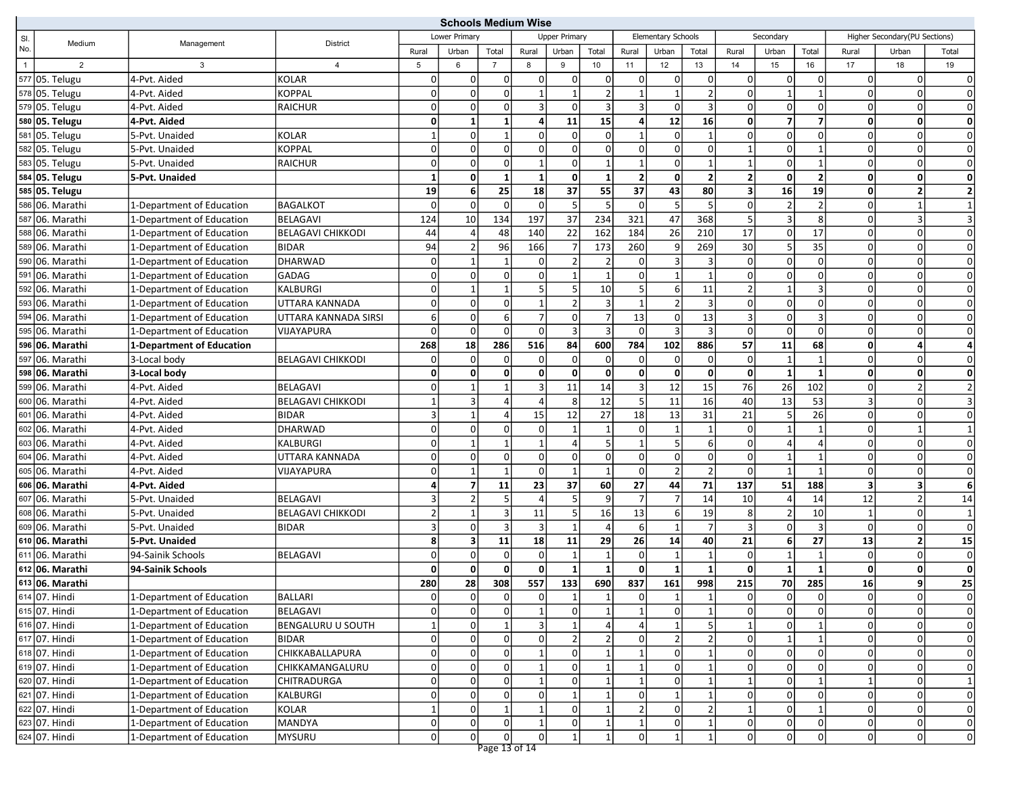| <b>Schools Medium Wise</b> |                 |                           |                          |                |                             |                |              |                      |                 |                         |                    |                 |                |                         |                 |                         |                               |                         |
|----------------------------|-----------------|---------------------------|--------------------------|----------------|-----------------------------|----------------|--------------|----------------------|-----------------|-------------------------|--------------------|-----------------|----------------|-------------------------|-----------------|-------------------------|-------------------------------|-------------------------|
| SI.                        | Medium          | Management                | <b>District</b>          | Lower Primary  |                             |                |              | <b>Upper Primary</b> |                 |                         | Elementary Schools |                 |                | Secondary               |                 |                         | Higher Secondary(PU Sections) |                         |
| No.                        |                 |                           |                          | Rural          | Urban                       | Total          | Rural        | Urban                | Total           | Rural                   | Urban              | Total           | Rural          | Urban                   | Total           | Rural                   | Urban                         | Total                   |
| $\overline{1}$             | $\overline{2}$  | 3                         | $\overline{4}$           | 5              | 6                           | $\overline{7}$ | 8            | 9                    | 10              | 11                      | 12                 | 13              | 14             | 15                      | 16              | 17                      | 18                            | 19                      |
|                            | 577 05. Telugu  | 4-Pvt. Aided              | <b>KOLAR</b>             | 0              | $\overline{0}$              | 0              | $\Omega$     | 0                    | $\overline{0}$  | 0                       | $\overline{0}$     | $\overline{0}$  | $\mathbf 0$    | $\overline{0}$          | $\mathbf 0$     | $\Omega$                | 0l                            | 0                       |
|                            | 578 05. Telugu  | 4-Pvt. Aided              | <b>KOPPAL</b>            | 0              | $\overline{0}$              | $\pmb{0}$      |              | $\mathbf{1}$         | 2               | $\overline{1}$          | $\mathbf{1}$       | $\overline{2}$  | $\mathbf 0$    | $\mathbf{1}$            | $\mathbf{1}$    | $\Omega$                | $\Omega$                      | $\mathbf{0}$            |
|                            | 579 05. Telugu  | 4-Pvt. Aided              | <b>RAICHUR</b>           | 0              | $\overline{0}$              | $\overline{0}$ | 3            | $\Omega$             | 3 <sup>1</sup>  | $\overline{3}$          | $\mathbf 0$        | $\overline{3}$  | $\mathbf 0$    | $\mathbf 0$             | $\mathbf 0$     | $\Omega$                | $\Omega$                      | $\mathbf{0}$            |
|                            | 580 05. Telugu  | 4-Pvt. Aided              |                          | $\mathbf{0}$   | $\mathbf{1}$                | $\mathbf{1}$   | Δ            | 11                   | 15              | $\overline{\mathbf{4}}$ | 12                 | 16              | $\mathbf 0$    | $\overline{\mathbf{z}}$ | 7               | $\mathbf{0}$            | $\mathbf{0}$                  | $\mathbf 0$             |
|                            | 581 05. Telugu  | 5-Pvt. Unaided            | <b>KOLAR</b>             | 1              | $\overline{0}$              | $\mathbf{1}$   |              | 0                    | $\Omega$        | -1                      | $\mathbf 0$        | $\mathbf{1}$    | 0              | 0                       | 0               | $\Omega$                | $\Omega$                      | $\mathbf 0$             |
|                            | 582 05. Telugu  | 5-Pvt. Unaided            | <b>KOPPAL</b>            | 0              | $\overline{0}$              | $\mathbf 0$    | $\Omega$     | $\Omega$             | $\overline{0}$  | $\mathbf 0$             | $\overline{0}$     | 0               | $\mathbf{1}$   | $\mathbf 0$             | $\mathbf{1}$    | $\Omega$                | 0l                            | 0                       |
|                            | 583 05. Telugu  | 5-Pvt. Unaided            | <b>RAICHUR</b>           | 0              | $\overline{0}$              | $\mathsf 0$    |              | $\Omega$             | $\mathbf{1}$    | $\overline{1}$          | $\mathbf 0$        | $\mathbf{1}$    |                | 0                       | $\mathbf{1}$    | $\Omega$                | $\overline{0}$                | $\mathbf 0$             |
|                            | 584 05. Telugu  | 5-Pvt. Unaided            |                          | $\mathbf{1}$   | $\mathbf{0}$                | $\overline{1}$ |              | $\mathbf{0}$         | $\mathbf{1}$    | $\overline{2}$          | $\mathbf 0$        | $\mathbf{2}$    | $\overline{2}$ | $\mathbf 0$             | $\overline{2}$  | $\mathbf{0}$            | $\mathbf{0}$                  | $\mathbf 0$             |
|                            | 585 05. Telugu  |                           |                          | 19             | $6 \mid$                    | 25             | 18           | 37                   | 55              | 37                      | 43                 | 80              | 3              | 16                      | 19              | $\mathbf{0}$            | $\overline{\mathbf{2}}$       | $\overline{\mathbf{2}}$ |
|                            | 586 06. Marathi | 1-Department of Education | BAGALKOT                 | $\mathbf 0$    | $\overline{0}$              | $\mathbf 0$    | $\Omega$     | 5                    | 5               | $\mathbf 0$             | 5                  | 5               | $\mathbf 0$    | $\overline{2}$          | $\overline{2}$  | $\Omega$                |                               | $\mathbf{1}$            |
|                            | 587 06. Marathi | 1-Department of Education | <b>BELAGAVI</b>          | 124            | 10                          | 134            | 197          | 37                   | 234             | 321                     | 47                 | 368             | 5              | $\overline{\mathbf{3}}$ | 8               | $\Omega$                | $\overline{3}$                | $\overline{3}$          |
|                            | 588 06. Marathi | 1-Department of Education | <b>BELAGAVI CHIKKODI</b> | 44             | 4                           | 48             | 140          | 22                   | 162             | 184                     | 26                 | 210             | 17             | $\overline{0}$          | $\overline{17}$ | $\Omega$                | 0                             | $\mathbf 0$             |
|                            | 589 06. Marathi | 1-Department of Education | BIDAR                    | 94             | $\overline{2}$              | 96             | 166          | 7                    | 173             | 260                     | 9                  | 269             | 30             | $\sqrt{5}$              | 35              | $\Omega$                | $\Omega$                      | $\mathbf 0$             |
|                            | 590 06. Marathi | 1-Department of Education | DHARWAD                  | 0              | $\mathbf{1}$                | $\overline{1}$ | $\Omega$     | $\overline{2}$       | $\overline{2}$  | $\mathbf 0$             | 3                  | $\overline{3}$  | $\mathbf 0$    | $\mathsf 0$             | $\mathbf 0$     | $\Omega$                | $\Omega$                      | 0                       |
|                            | 591 06. Marathi | 1-Department of Education | <b>GADAG</b>             | 0              | $\overline{0}$              | $\pmb{0}$      | $\Omega$     | $\mathbf{1}$         | $\mathbf{1}$    | $\mathbf 0$             |                    | $\mathbf{1}$    | $\mathbf 0$    | 0                       | $\mathbf 0$     | $\Omega$                | $\Omega$                      | $\mathbf 0$             |
|                            | 592 06. Marathi | 1-Department of Education | <b>KALBURGI</b>          | 0              | 1                           | $\mathbf{1}$   |              | 5                    | 10              | -5                      | 6                  | 11              | $\overline{2}$ | $\mathbf{1}$            | 3               | $\Omega$                | $\Omega$                      | $\mathbf 0$             |
|                            | 593 06. Marathi | 1-Department of Education | UTTARA KANNADA           | $\Omega$       | $\overline{0}$              | $\mathbf 0$    |              | $\overline{2}$       | $\overline{3}$  | -1                      | $\overline{2}$     | $\overline{3}$  | $\mathbf 0$    | $\mathbf 0$             | $\mathbf 0$     | $\overline{0}$          | 0l                            | 0                       |
|                            | 594 06. Marathi | 1-Department of Education | UTTARA KANNADA SIRSI     | $6 \mid$       | $\overline{0}$              | 6              |              | $\Omega$             | $\overline{7}$  | 13                      | 0                  | 13              | 3              | $\overline{0}$          | 3               | $\Omega$                | $\overline{0}$                | $\mathbf 0$             |
|                            | 595 06. Marathi | 1-Department of Education | <b>VIJAYAPURA</b>        | $\mathbf 0$    | $\overline{0}$              | $\Omega$       | $\Omega$     | 3                    | $\overline{3}$  | $\Omega$                | 3                  | $\overline{3}$  | $\Omega$       | $\mathbf 0$             | $\Omega$        | $\Omega$                | $\Omega$                      | $\mathbf 0$             |
|                            | 596 06. Marathi | 1-Department of Education |                          | 268            | 18                          | 286            | 516          | 84                   | 600             | 784                     | 102                | 886             | 57             | 11                      | 68              | $\mathbf{0}$            | 4                             | 4                       |
|                            | 597 06. Marathi | 3-Local body              | <b>BELAGAVI CHIKKODI</b> | 0              | $\overline{0}$              | $\mathbf 0$    | $\Omega$     | $\mathbf 0$          | $\overline{0}$  | $\mathbf 0$             | $\mathbf 0$        | 0               | $\mathbf 0$    | $\mathbf{1}$            | $\overline{1}$  | $\Omega$                | $\overline{0}$                | $\Omega$                |
|                            | 598 06. Marathi | 3-Local body              |                          | $\mathbf{0}$   | $\mathbf{0}$                | $\pmb{0}$      | $\mathbf{0}$ | $\mathbf{0}$         | $\mathbf{0}$    | $\mathbf 0$             | $\mathbf{0}$       | 0               | $\mathbf 0$    | $\mathbf{1}$            | $\mathbf{1}$    | $\mathbf{0}$            | 0                             | $\mathbf{0}$            |
|                            | 599 06. Marathi | 4-Pvt. Aided              | <b>BELAGAVI</b>          | 0              | $\mathbf{1}$                | $\mathbf{1}$   | 3            | 11                   | 14              | 3                       | 12                 | 15              | 76             | 26                      | 102             | $\Omega$                | $\overline{2}$                | $\overline{2}$          |
|                            | 600 06. Marathi | 4-Pvt. Aided              | <b>BELAGAVI CHIKKODI</b> | $\mathbf{1}$   | 3                           | $\overline{4}$ |              | 8                    | 12              | 5                       | 11                 | 16              | 40             | 13                      | 53              | $\overline{3}$          | $\Omega$                      | $\overline{3}$          |
|                            | 601 06. Marathi | 4-Pvt. Aided              | <b>BIDAR</b>             | $\vert$ 3      | 1                           | $\overline{4}$ | 15           | 12                   | 27              | 18                      | 13                 | 31              | 21             | 5                       | 26              | $\Omega$                | $\Omega$                      | $\mathbf{0}$            |
|                            | 602 06. Marathi | 4-Pvt. Aided              | DHARWAD                  | $\Omega$       | $\overline{0}$              | $\mathbf 0$    | $\Omega$     | $\mathbf{1}$         | $\mathbf{1}$    | $\mathbf 0$             | $\mathbf{1}$       | $\mathbf{1}$    | $\mathbf 0$    | $\overline{1}$          | $\overline{1}$  | $\Omega$                | $\overline{1}$                | $\overline{1}$          |
|                            | 603 06. Marathi | 4-Pvt. Aided              | <b>KALBURGI</b>          | 0              | $\mathbf{1}$                | $\mathbf{1}$   |              | 4                    | 5 <sup>1</sup>  | $\mathbf{1}$            | 5                  | $6 \mid$        | $\mathbf 0$    | $\overline{4}$          | $\overline{4}$  | $\Omega$                | $\Omega$                      | $\mathbf{0}$            |
|                            | 604 06. Marathi | 4-Pvt. Aided              | UTTARA KANNADA           | 0              | $\overline{0}$              | $\pmb{0}$      | $\Omega$     | $\overline{0}$       | $\mathbf{0}$    | $\mathbf 0$             | $\overline{0}$     | 0               | $\mathbf 0$    | $\mathbf{1}$            | $\mathbf{1}$    | $\overline{0}$          | 0l                            | 0                       |
|                            | 605 06. Marathi | 4-Pvt. Aided              | VIJAYAPURA               | $\Omega$       | $\mathbf{1}$                | $\mathbf{1}$   | $\Omega$     | $\overline{1}$       | $\mathbf{1}$    | $\mathbf 0$             | $\overline{2}$     | $\overline{2}$  | $\mathbf 0$    | $\mathbf{1}$            | $\overline{1}$  | $\Omega$                | $\overline{0}$                | $\mathbf 0$             |
|                            | 606 06. Marathi | 4-Pvt. Aided              |                          | 4              | $\overline{7}$              | 11             | 23           | 37                   | 60              | 27                      | 44                 | 71              | 137            | 51                      | 188             | $\overline{\mathbf{3}}$ | 3                             | 6                       |
|                            | 607 06. Marathi | 5-Pvt. Unaided            | <b>BELAGAVI</b>          | 3              | $\overline{2}$              | 5              |              | 5                    | $\mathsf{g}$    | $\overline{7}$          | $\overline{7}$     | 14              | 10             | $\overline{4}$          | 14              | 12                      | $\overline{2}$                | 14                      |
|                            | 608 06. Marathi | 5-Pvt. Unaided            | <b>BELAGAVI CHIKKODI</b> | $\overline{2}$ | $\mathbf{1}$                | 3              | 11           | 5                    | 16              | 13                      | 6                  | 19              | 8              | $\overline{2}$          | 10              | 1                       | $\overline{0}$                | $\mathbf{1}$            |
|                            | 609 06. Marathi | 5-Pvt. Unaided            | <b>BIDAR</b>             | $\overline{3}$ | $\overline{0}$              | $\overline{3}$ |              | $\mathbf{1}$         | $\vert 4 \vert$ | 6                       | $\overline{1}$     | 7               | $\overline{3}$ | $\mathbf 0$             | $\overline{3}$  | $\overline{0}$          | 0l                            | $\mathbf 0$             |
|                            | 610 06. Marathi | 5-Pvt. Unaided            |                          | 8 <sup>1</sup> | $\mathbf{3}$                | 11             | 18           | 11                   | 29              | 26                      | 14                 | 40              | 21             | 6                       | 27              | 13                      | 2 <sup>1</sup>                | 15                      |
|                            | 611 06. Marathi | 94-Sainik Schools         | BELAGAVI                 | $\Omega$       | $\overline{0}$              | $\mathbf 0$    | $\Omega$     |                      |                 | $\mathbf 0$             | $\overline{1}$     | $\mathbf{1}$    | $\mathbf 0$    | $\mathbf{1}$            | $\overline{1}$  | $\overline{0}$          | $\overline{0}$                | $\pmb{0}$               |
|                            | 612 06. Marathi | 94-Sainik Schools         |                          | 0              | $\mathbf{0}$                | $\mathbf 0$    | $\mathbf{0}$ | $\mathbf{1}$         | $\mathbf{1}$    | $\mathbf 0$             | $\mathbf{1}$       | $\mathbf{1}$    | $\mathbf 0$    | $\mathbf{1}$            | $\mathbf{1}$    | $\mathbf{0}$            | $\mathbf{0}$                  | $\mathbf{0}$            |
|                            | 613 06. Marathi |                           |                          | 280            | 28                          | 308            | 557          | 133                  | 690             | 837                     | 161                | 998             | 215            | 70                      | 285             | 16                      |                               | 25                      |
|                            | 614 07. Hindi   | 1-Department of Education | <b>BALLARI</b>           | 0              | 0                           | $\overline{0}$ | 0            | 1                    | 1               | 0                       | 1                  | $\vert$ 1       | $\overline{0}$ | 0                       | 0               | 0                       | 0                             | $\overline{0}$          |
|                            | 615 07. Hindi   | 1-Department of Education | BELAGAVI                 | $\overline{0}$ | 0                           | $\mathsf{o}$   |              | $\mathbf 0$          | $1\vert$        | $\mathbf{1}$            | $\overline{0}$     | $1\overline{ }$ | $\pmb{0}$      | $\overline{0}$          | $\mathbf 0$     | $\overline{0}$          | 0                             | 0                       |
|                            | 616 07. Hindi   | 1-Department of Education | <b>BENGALURU U SOUTH</b> | $\mathbf{1}$   | $\overline{0}$              | $\mathbf{1}$   |              |                      | $\vert$         | $\overline{a}$          |                    | 5 <sup>1</sup>  | $\mathbf{1}$   | $\overline{0}$          |                 | $\Omega$                | 0l                            | 0                       |
|                            | 617 07. Hindi   | 1-Department of Education | <b>BIDAR</b>             | 0              | $\overline{0}$              | $\overline{0}$ |              | $\overline{2}$       | 2               | 0                       | $\overline{2}$     | $\overline{2}$  | $\mathbf 0$    | $\mathbf{1}$            | $\mathbf{1}$    | 0                       | 0l                            | 0                       |
|                            | 618 07. Hindi   | 1-Department of Education | <b>CHIKKABALLAPURA</b>   | 0              | $\mathsf{O}\hspace{0.02cm}$ | $\mathbf 0$    |              | $\overline{0}$       | $1\vert$        | $\mathbf{1}$            | $\overline{0}$     | $\mathbf{1}$    | $\mathbf 0$    | $\overline{0}$          | $\mathbf 0$     | $\Omega$                | 0l                            | $\overline{0}$          |
|                            | 619 07. Hindi   | 1-Department of Education | CHIKKAMANGALURU          | 0              | $\overline{0}$              | $\mathbf 0$    |              | $\overline{0}$       | 1               | $\mathbf{1}$            | $\overline{0}$     | $\mathbf{1}$    | $\mathbf 0$    | $\overline{0}$          | $\mathbf 0$     | $\Omega$                | 0                             | 0                       |
|                            | 620 07. Hindi   | 1-Department of Education | <b>CHITRADURGA</b>       | 0              | $\overline{0}$              | $\mathbf 0$    |              | 0                    |                 |                         | $\mathbf 0$        | $\mathbf{1}$    | $\mathbf{1}$   | 0                       |                 | $\mathbf{1}$            | 0l                            | $\vert$ 1               |
|                            | 621 07. Hindi   | 1-Department of Education | <b>KALBURGI</b>          | 0              | 0                           | $\overline{0}$ | οı           | 1                    | 1               | 0                       | $\mathbf{1}$       | 1               | $\mathbf 0$    | $\overline{0}$          | 0               | $\overline{0}$          | 0                             | 0                       |
|                            | 622 07. Hindi   | 1-Department of Education | KOLAR                    | $\overline{1}$ | $\overline{0}$              | $\overline{1}$ |              | $\mathbf 0$          |                 | $\overline{2}$          | $\mathbf 0$        | $\overline{2}$  |                | $\overline{0}$          |                 | $\Omega$                | 0                             | 0                       |
|                            | 623 07. Hindi   | 1-Department of Education | MANDYA                   | 0              | $\overline{0}$              | $\pmb{0}$      | 1            | $\overline{0}$       | $1\vert$        | $\mathbf{1}$            | $\overline{0}$     | $1\vert$        | $\mathbf 0$    | $\overline{0}$          | $\mathbf 0$     | $\overline{0}$          | 0                             | 0                       |
|                            | 624 07. Hindi   | 1-Department of Education | MYSURU                   | 0              | οl                          | $\overline{0}$ | 0l           | $\mathbf{1}$         | 1               | $\overline{0}$          | $\mathbf{1}$       | $1\vert$        | $\overline{0}$ | $\overline{0}$          | $\mathbf 0$     | $\Omega$                | 0                             | 0                       |